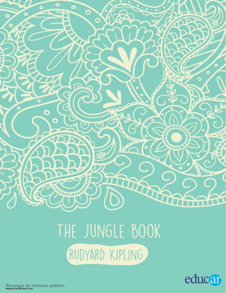

# THE JUNGLE BOOK RUDYARD KIPLING



Recursos de dominio público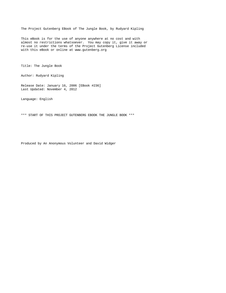The Project Gutenberg EBook of The Jungle Book, by Rudyard Kipling

This eBook is for the use of anyone anywhere at no cost and with almost no restrictions whatsoever. You may copy it, give it away or re-use it under the terms of the Project Gutenberg License included with this eBook or online at www.gutenberg.org

Title: The Jungle Book

Author: Rudyard Kipling

Release Date: January 16, 2006 [EBook #236] Last Updated: November 4, 2012

Language: English

\*\*\* START OF THIS PROJECT GUTENBERG EBOOK THE JUNGLE BOOK \*\*\*

Produced by An Anonymous Volunteer and David Widger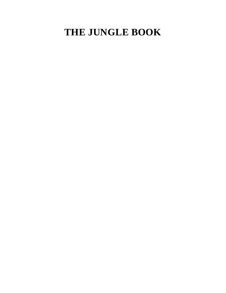# **THE JUNGLE BOOK**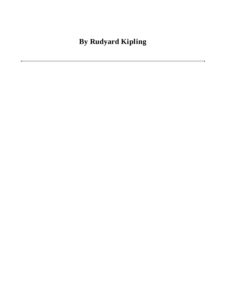**By Rudyard Kipling**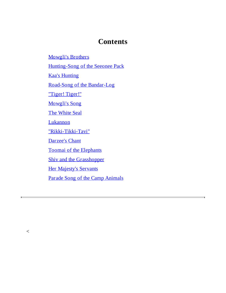## **Contents**

[Mowgli's](#page-4-0) Brothers

[Hunting-Song](#page-19-0) of the Seeonee Pack

Kaa's [Hunting](#page-20-0)

Road-Song of the [Bandar-Log](#page-38-0)

["Tiger!](#page-39-0) Tiger!"

[Mowgli's](#page-52-0) Song

The [White](#page-54-0) Seal

**[Lukannon](#page-68-0)** 

["Rikki-Tikki-Tavi"](#page-70-0)

[Darzee's](#page-81-0) Chant

Toomai of the [Elephants](#page-82-0)

Shiv and the [Grasshopper](#page-96-0)

Her [Majesty's](#page-97-0) Servants

<span id="page-4-0"></span>Parade Song of the Camp [Animals](#page-109-0)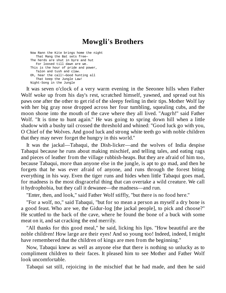# **Mowgli's Brothers**

Now Rann the Kite brings home the night That Mang the Bat sets free— The herds are shut in byre and hut For loosed till dawn are we. This is the hour of pride and power, Talon and tush and claw. Oh, hear the call!—Good hunting all That keep the Jungle Law! Night-Song in the Jungle

It was seven o'clock of a very warm evening in the Seeonee hills when Father Wolf woke up from his day's rest, scratched himself, yawned, and spread out his paws one after the other to get rid of the sleepy feeling in their tips. Mother Wolf lay with her big gray nose dropped across her four tumbling, squealing cubs, and the moon shone into the mouth of the cave where they all lived. "Augrh!" said Father Wolf. "It is time to hunt again." He was going to spring down hill when a little shadow with a bushy tail crossed the threshold and whined: "Good luck go with you, O Chief of the Wolves. And good luck and strong white teeth go with noble children that they may never forget the hungry in this world."

It was the jackal—Tabaqui, the Dish-licker—and the wolves of India despise Tabaqui because he runs about making mischief, and telling tales, and eating rags and pieces of leather from the village rubbish-heaps. But they are afraid of him too, because Tabaqui, more than anyone else in the jungle, is apt to go mad, and then he forgets that he was ever afraid of anyone, and runs through the forest biting everything in his way. Even the tiger runs and hides when little Tabaqui goes mad, for madness is the most disgraceful thing that can overtake a wild creature. We call it hydrophobia, but they call it dewanee—the madness—and run.

"Enter, then, and look," said Father Wolf stiffly, "but there is no food here."

"For a wolf, no," said Tabaqui, "but for so mean a person as myself a dry bone is a good feast. Who are we, the Gidur-log [the jackal people], to pick and choose?" He scuttled to the back of the cave, where he found the bone of a buck with some meat on it, and sat cracking the end merrily.

"All thanks for this good meal," he said, licking his lips. "How beautiful are the noble children! How large are their eyes! And so young too! Indeed, indeed, I might have remembered that the children of kings are men from the beginning."

Now, Tabaqui knew as well as anyone else that there is nothing so unlucky as to compliment children to their faces. It pleased him to see Mother and Father Wolf look uncomfortable.

Tabaqui sat still, rejoicing in the mischief that he had made, and then he said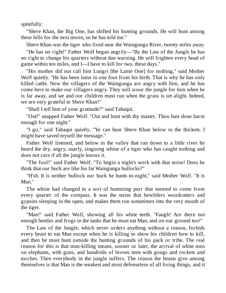spitefully:

"Shere Khan, the Big One, has shifted his hunting grounds. He will hunt among these hills for the next moon, so he has told me."

Shere Khan was the tiger who lived near the Waingunga River, twenty miles away.

"He has no right!" Father Wolf began angrily—"By the Law of the Jungle he has no right to change his quarters without due warning. He will frighten every head of game within ten miles, and I—I have to kill for two, these days."

"His mother did not call him Lungri [the Lame One] for nothing," said Mother Wolf quietly. "He has been lame in one foot from his birth. That is why he has only killed cattle. Now the villagers of the Waingunga are angry with him, and he has come here to make our villagers angry. They will scour the jungle for him when he is far away, and we and our children must run when the grass is set alight. Indeed, we are very grateful to Shere Khan!"

"Shall I tell him of your gratitude?" said Tabaqui.

"Out!" snapped Father Wolf. "Out and hunt with thy master. Thou hast done harm enough for one night."

"I go," said Tabaqui quietly. "Ye can hear Shere Khan below in the thickets. I might have saved myself the message."

Father Wolf listened, and below in the valley that ran down to a little river he heard the dry, angry, snarly, singsong whine of a tiger who has caught nothing and does not care if all the jungle knows it.

"The fool!" said Father Wolf. "To begin a night's work with that noise! Does he think that our buck are like his fat Waingunga bullocks?"

"H'sh. It is neither bullock nor buck he hunts to-night," said Mother Wolf. "It is Man."

The whine had changed to a sort of humming purr that seemed to come from every quarter of the compass. It was the noise that bewilders woodcutters and gypsies sleeping in the open, and makes them run sometimes into the very mouth of the tiger.

"Man!" said Father Wolf, showing all his white teeth. "Faugh! Are there not enough beetles and frogs in the tanks that he must eat Man, and on our ground too!"

The Law of the Jungle, which never orders anything without a reason, forbids every beast to eat Man except when he is killing to show his children how to kill, and then he must hunt outside the hunting grounds of his pack or tribe. The real reason for this is that man-killing means, sooner or later, the arrival of white men on elephants, with guns, and hundreds of brown men with gongs and rockets and torches. Then everybody in the jungle suffers. The reason the beasts give among themselves is that Man is the weakest and most defenseless of all living things, and it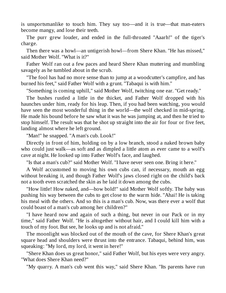is unsportsmanlike to touch him. They say too—and it is true—that man-eaters become mangy, and lose their teeth.

The purr grew louder, and ended in the full-throated "Aaarh!" of the tiger's charge.

Then there was a howl—an untigerish howl—from Shere Khan. "He has missed," said Mother Wolf. "What is it?"

Father Wolf ran out a few paces and heard Shere Khan muttering and mumbling savagely as he tumbled about in the scrub.

"The fool has had no more sense than to jump at a woodcutter's campfire, and has burned his feet," said Father Wolf with a grunt. "Tabaqui is with him."

"Something is coming uphill," said Mother Wolf, twitching one ear. "Get ready."

The bushes rustled a little in the thicket, and Father Wolf dropped with his haunches under him, ready for his leap. Then, if you had been watching, you would have seen the most wonderful thing in the world—the wolf checked in mid-spring. He made his bound before he saw what it was he was jumping at, and then he tried to stop himself. The result was that he shot up straight into the air for four or five feet, landing almost where he left ground.

"Man!" he snapped. "A man's cub. Look!"

Directly in front of him, holding on by a low branch, stood a naked brown baby who could just walk—as soft and as dimpled a little atom as ever came to a wolf's cave at night. He looked up into Father Wolf's face, and laughed.

"Is that a man's cub?" said Mother Wolf. "I have never seen one. Bring it here."

A Wolf accustomed to moving his own cubs can, if necessary, mouth an egg without breaking it, and though Father Wolf's jaws closed right on the child's back not a tooth even scratched the skin as he laid it down among the cubs.

"How little! How naked, and—how bold!" said Mother Wolf softly. The baby was pushing his way between the cubs to get close to the warm hide. "Ahai! He is taking his meal with the others. And so this is a man's cub. Now, was there ever a wolf that could boast of a man's cub among her children?"

"I have heard now and again of such a thing, but never in our Pack or in my time," said Father Wolf. "He is altogether without hair, and I could kill him with a touch of my foot. But see, he looks up and is not afraid."

The moonlight was blocked out of the mouth of the cave, for Shere Khan's great square head and shoulders were thrust into the entrance. Tabaqui, behind him, was squeaking: "My lord, my lord, it went in here!"

"Shere Khan does us great honor," said Father Wolf, but his eyes were very angry. "What does Shere Khan need?"

"My quarry. A man's cub went this way," said Shere Khan. "Its parents have run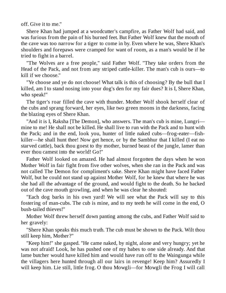off. Give it to me."

Shere Khan had jumped at a woodcutter's campfire, as Father Wolf had said, and was furious from the pain of his burned feet. But Father Wolf knew that the mouth of the cave was too narrow for a tiger to come in by. Even where he was, Shere Khan's shoulders and forepaws were cramped for want of room, as a man's would be if he tried to fight in a barrel.

"The Wolves are a free people," said Father Wolf. "They take orders from the Head of the Pack, and not from any striped cattle-killer. The man's cub is ours—to kill if we choose."

"Ye choose and ye do not choose! What talk is this of choosing? By the bull that I killed, am I to stand nosing into your dog's den for my fair dues? It is I, Shere Khan, who speak!"

The tiger's roar filled the cave with thunder. Mother Wolf shook herself clear of the cubs and sprang forward, her eyes, like two green moons in the darkness, facing the blazing eyes of Shere Khan.

"And it is I, Raksha [The Demon], who answers. The man's cub is mine, Lungri mine to me! He shall not be killed. He shall live to run with the Pack and to hunt with the Pack; and in the end, look you, hunter of little naked cubs—frog-eater—fishkiller—he shall hunt thee! Now get hence, or by the Sambhur that I killed (I eat no starved cattle), back thou goest to thy mother, burned beast of the jungle, lamer than ever thou camest into the world! Go!"

Father Wolf looked on amazed. He had almost forgotten the days when he won Mother Wolf in fair fight from five other wolves, when she ran in the Pack and was not called The Demon for compliment's sake. Shere Khan might have faced Father Wolf, but he could not stand up against Mother Wolf, for he knew that where he was she had all the advantage of the ground, and would fight to the death. So he backed out of the cave mouth growling, and when he was clear he shouted:

"Each dog barks in his own yard! We will see what the Pack will say to this fostering of man-cubs. The cub is mine, and to my teeth he will come in the end, O bush-tailed thieves!"

Mother Wolf threw herself down panting among the cubs, and Father Wolf said to her gravely:

"Shere Khan speaks this much truth. The cub must be shown to the Pack. Wilt thou still keep him, Mother?"

"Keep him!" she gasped. "He came naked, by night, alone and very hungry; yet he was not afraid! Look, he has pushed one of my babes to one side already. And that lame butcher would have killed him and would have run off to the Waingunga while the villagers here hunted through all our lairs in revenge! Keep him? Assuredly I will keep him. Lie still, little frog. O thou Mowgli—for Mowgli the Frog I will call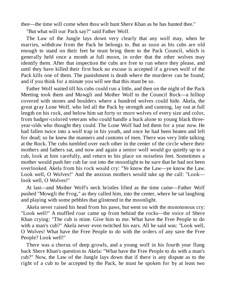thee—the time will come when thou wilt hunt Shere Khan as he has hunted thee."

"But what will our Pack say?" said Father Wolf.

The Law of the Jungle lays down very clearly that any wolf may, when he marries, withdraw from the Pack he belongs to. But as soon as his cubs are old enough to stand on their feet he must bring them to the Pack Council, which is generally held once a month at full moon, in order that the other wolves may identify them. After that inspection the cubs are free to run where they please, and until they have killed their first buck no excuse is accepted if a grown wolf of the Pack kills one of them. The punishment is death where the murderer can be found; and if you think for a minute you will see that this must be so.

Father Wolf waited till his cubs could run a little, and then on the night of the Pack Meeting took them and Mowgli and Mother Wolf to the Council Rock—a hilltop covered with stones and boulders where a hundred wolves could hide. Akela, the great gray Lone Wolf, who led all the Pack by strength and cunning, lay out at full length on his rock, and below him sat forty or more wolves of every size and color, from badger-colored veterans who could handle a buck alone to young black threeyear-olds who thought they could. The Lone Wolf had led them for a year now. He had fallen twice into a wolf trap in his youth, and once he had been beaten and left for dead; so he knew the manners and customs of men. There was very little talking at the Rock. The cubs tumbled over each other in the center of the circle where their mothers and fathers sat, and now and again a senior wolf would go quietly up to a cub, look at him carefully, and return to his place on noiseless feet. Sometimes a mother would push her cub far out into the moonlight to be sure that he had not been overlooked. Akela from his rock would cry: "Ye know the Law—ye know the Law. Look well, O Wolves!" And the anxious mothers would take up the call: "Look look well, O Wolves!"

At last—and Mother Wolf's neck bristles lifted as the time came—Father Wolf pushed "Mowgli the Frog," as they called him, into the center, where he sat laughing and playing with some pebbles that glistened in the moonlight.

Akela never raised his head from his paws, but went on with the monotonous cry: "Look well!" A muffled roar came up from behind the rocks—the voice of Shere Khan crying: "The cub is mine. Give him to me. What have the Free People to do with a man's cub?" Akela never even twitched his ears. All he said was: "Look well, O Wolves! What have the Free People to do with the orders of any save the Free People? Look well!"

There was a chorus of deep growls, and a young wolf in his fourth year flung back Shere Khan's question to Akela: "What have the Free People to do with a man's cub?" Now, the Law of the Jungle lays down that if there is any dispute as to the right of a cub to be accepted by the Pack, he must be spoken for by at least two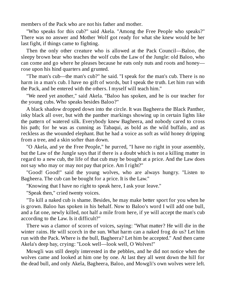members of the Pack who are not his father and mother.

"Who speaks for this cub?" said Akela. "Among the Free People who speaks?" There was no answer and Mother Wolf got ready for what she knew would be her last fight, if things came to fighting.

Then the only other creature who is allowed at the Pack Council—Baloo, the sleepy brown bear who teaches the wolf cubs the Law of the Jungle: old Baloo, who can come and go where he pleases because he eats only nuts and roots and honey rose upon his hind quarters and grunted.

"The man's cub—the man's cub?" he said. "I speak for the man's cub. There is no harm in a man's cub. I have no gift of words, but I speak the truth. Let him run with the Pack, and be entered with the others. I myself will teach him."

"We need yet another," said Akela. "Baloo has spoken, and he is our teacher for the young cubs. Who speaks besides Baloo?"

A black shadow dropped down into the circle. It was Bagheera the Black Panther, inky black all over, but with the panther markings showing up in certain lights like the pattern of watered silk. Everybody knew Bagheera, and nobody cared to cross his path; for he was as cunning as Tabaqui, as bold as the wild buffalo, and as reckless as the wounded elephant. But he had a voice as soft as wild honey dripping from a tree, and a skin softer than down.

"O Akela, and ye the Free People," he purred, "I have no right in your assembly, but the Law of the Jungle says that if there is a doubt which is not a killing matter in regard to a new cub, the life of that cub may be bought at a price. And the Law does not say who may or may not pay that price. Am I right?"

"Good! Good!" said the young wolves, who are always hungry. "Listen to Bagheera. The cub can be bought for a price. It is the Law."

"Knowing that I have no right to speak here, I ask your leave."

"Speak then," cried twenty voices.

"To kill a naked cub is shame. Besides, he may make better sport for you when he is grown. Baloo has spoken in his behalf. Now to Baloo's word I will add one bull, and a fat one, newly killed, not half a mile from here, if ye will accept the man's cub according to the Law. Is it difficult?"

There was a clamor of scores of voices, saying: "What matter? He will die in the winter rains. He will scorch in the sun. What harm can a naked frog do us? Let him run with the Pack. Where is the bull, Bagheera? Let him be accepted." And then came Akela's deep bay, crying: "Look well—look well, O Wolves!"

Mowgli was still deeply interested in the pebbles, and he did not notice when the wolves came and looked at him one by one. At last they all went down the hill for the dead bull, and only Akela, Bagheera, Baloo, and Mowgli's own wolves were left.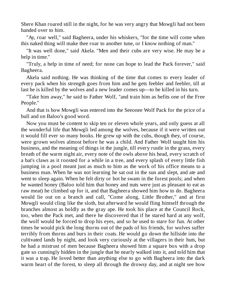Shere Khan roared still in the night, for he was very angry that Mowgli had not been handed over to him.

"Ay, roar well," said Bagheera, under his whiskers, "for the time will come when this naked thing will make thee roar to another tune, or I know nothing of man."

"It was well done," said Akela. "Men and their cubs are very wise. He may be a help in time."

"Truly, a help in time of need; for none can hope to lead the Pack forever," said Bagheera.

Akela said nothing. He was thinking of the time that comes to every leader of every pack when his strength goes from him and he gets feebler and feebler, till at last he is killed by the wolves and a new leader comes up—to be killed in his turn.

"Take him away," he said to Father Wolf, "and train him as befits one of the Free People."

And that is how Mowgli was entered into the Seeonee Wolf Pack for the price of a bull and on Baloo's good word.

Now you must be content to skip ten or eleven whole years, and only guess at all the wonderful life that Mowgli led among the wolves, because if it were written out it would fill ever so many books. He grew up with the cubs, though they, of course, were grown wolves almost before he was a child. And Father Wolf taught him his business, and the meaning of things in the jungle, till every rustle in the grass, every breath of the warm night air, every note of the owls above his head, every scratch of a bat's claws as it roosted for a while in a tree, and every splash of every little fish jumping in a pool meant just as much to him as the work of his office means to a business man. When he was not learning he sat out in the sun and slept, and ate and went to sleep again. When he felt dirty or hot he swam in the forest pools; and when he wanted honey (Baloo told him that honey and nuts were just as pleasant to eat as raw meat) he climbed up for it, and that Bagheera showed him how to do. Bagheera would lie out on a branch and call, "Come along, Little Brother," and at first Mowgli would cling like the sloth, but afterward he would fling himself through the branches almost as boldly as the gray ape. He took his place at the Council Rock, too, when the Pack met, and there he discovered that if he stared hard at any wolf, the wolf would be forced to drop his eyes, and so he used to stare for fun. At other times he would pick the long thorns out of the pads of his friends, for wolves suffer terribly from thorns and burs in their coats. He would go down the hillside into the cultivated lands by night, and look very curiously at the villagers in their huts, but he had a mistrust of men because Bagheera showed him a square box with a drop gate so cunningly hidden in the jungle that he nearly walked into it, and told him that it was a trap. He loved better than anything else to go with Bagheera into the dark warm heart of the forest, to sleep all through the drowsy day, and at night see how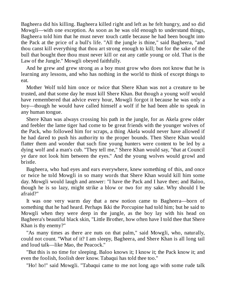Bagheera did his killing. Bagheera killed right and left as he felt hungry, and so did Mowgli—with one exception. As soon as he was old enough to understand things, Bagheera told him that he must never touch cattle because he had been bought into the Pack at the price of a bull's life. "All the jungle is thine," said Bagheera, "and thou canst kill everything that thou art strong enough to kill; but for the sake of the bull that bought thee thou must never kill or eat any cattle young or old. That is the Law of the Jungle." Mowgli obeyed faithfully.

And he grew and grew strong as a boy must grow who does not know that he is learning any lessons, and who has nothing in the world to think of except things to eat.

Mother Wolf told him once or twice that Shere Khan was not a creature to be trusted, and that some day he must kill Shere Khan. But though a young wolf would have remembered that advice every hour, Mowgli forgot it because he was only a boy—though he would have called himself a wolf if he had been able to speak in any human tongue.

Shere Khan was always crossing his path in the jungle, for as Akela grew older and feebler the lame tiger had come to be great friends with the younger wolves of the Pack, who followed him for scraps, a thing Akela would never have allowed if he had dared to push his authority to the proper bounds. Then Shere Khan would flatter them and wonder that such fine young hunters were content to be led by a dying wolf and a man's cub. "They tell me," Shere Khan would say, "that at Council ye dare not look him between the eyes." And the young wolves would growl and bristle.

Bagheera, who had eyes and ears everywhere, knew something of this, and once or twice he told Mowgli in so many words that Shere Khan would kill him some day. Mowgli would laugh and answer: "I have the Pack and I have thee; and Baloo, though he is so lazy, might strike a blow or two for my sake. Why should I be afraid?"

It was one very warm day that a new notion came to Bagheera—born of something that he had heard. Perhaps Ikki the Porcupine had told him; but he said to Mowgli when they were deep in the jungle, as the boy lay with his head on Bagheera's beautiful black skin, "Little Brother, how often have I told thee that Shere Khan is thy enemy?"

"As many times as there are nuts on that palm," said Mowgli, who, naturally, could not count. "What of it? I am sleepy, Bagheera, and Shere Khan is all long tail and loud talk—like Mao, the Peacock."

"But this is no time for sleeping. Baloo knows it; I know it; the Pack know it; and even the foolish, foolish deer know. Tabaqui has told thee too."

"Ho! ho!" said Mowgli. "Tabaqui came to me not long ago with some rude talk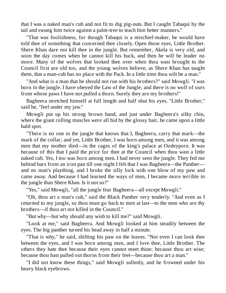that I was a naked man's cub and not fit to dig pig-nuts. But I caught Tabaqui by the tail and swung him twice against a palm-tree to teach him better manners."

"That was foolishness, for though Tabaqui is a mischief-maker, he would have told thee of something that concerned thee closely. Open those eyes, Little Brother. Shere Khan dare not kill thee in the jungle. But remember, Akela is very old, and soon the day comes when he cannot kill his buck, and then he will be leader no more. Many of the wolves that looked thee over when thou wast brought to the Council first are old too, and the young wolves believe, as Shere Khan has taught them, that a man-cub has no place with the Pack. In a little time thou wilt be a man."

"And what is a man that he should not run with his brothers?" said Mowgli. "I was born in the jungle. I have obeyed the Law of the Jungle, and there is no wolf of ours from whose paws I have not pulled a thorn. Surely they are my brothers!"

Bagheera stretched himself at full length and half shut his eyes. "Little Brother," said he, "feel under my jaw."

Mowgli put up his strong brown hand, and just under Bagheera's silky chin, where the giant rolling muscles were all hid by the glossy hair, he came upon a little bald spot.

"There is no one in the jungle that knows that I, Bagheera, carry that mark—the mark of the collar; and yet, Little Brother, I was born among men, and it was among men that my mother died—in the cages of the king's palace at Oodeypore. It was because of this that I paid the price for thee at the Council when thou wast a little naked cub. Yes, I too was born among men. I had never seen the jungle. They fed me behind bars from an iron pan till one night I felt that I was Bagheera—the Panther and no man's plaything, and I broke the silly lock with one blow of my paw and came away. And because I had learned the ways of men, I became more terrible in the jungle than Shere Khan. Is it not so?"

"Yes," said Mowgli, "all the jungle fear Bagheera—all except Mowgli."

"Oh, thou art a man's cub," said the Black Panther very tenderly. "And even as I returned to my jungle, so thou must go back to men at last—to the men who are thy brothers—if thou art not killed in the Council."

"But why—but why should any wish to kill me?" said Mowgli.

"Look at me," said Bagheera. And Mowgli looked at him steadily between the eyes. The big panther turned his head away in half a minute.

"That is why," he said, shifting his paw on the leaves. "Not even I can look thee between the eyes, and I was born among men, and I love thee, Little Brother. The others they hate thee because their eyes cannot meet thine; because thou art wise; because thou hast pulled out thorns from their feet—because thou art a man."

"I did not know these things," said Mowgli sullenly, and he frowned under his heavy black eyebrows.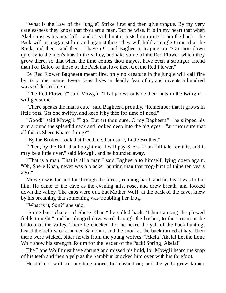"What is the Law of the Jungle? Strike first and then give tongue. By thy very carelessness they know that thou art a man. But be wise. It is in my heart that when Akela misses his next kill—and at each hunt it costs him more to pin the buck—the Pack will turn against him and against thee. They will hold a jungle Council at the Rock, and then—and then—I have it!" said Bagheera, leaping up. "Go thou down quickly to the men's huts in the valley, and take some of the Red Flower which they grow there, so that when the time comes thou mayest have even a stronger friend than I or Baloo or those of the Pack that love thee. Get the Red Flower."

By Red Flower Bagheera meant fire, only no creature in the jungle will call fire by its proper name. Every beast lives in deadly fear of it, and invents a hundred ways of describing it.

"The Red Flower?" said Mowgli. "That grows outside their huts in the twilight. I will get some."

"There speaks the man's cub," said Bagheera proudly. "Remember that it grows in little pots. Get one swiftly, and keep it by thee for time of need."

"Good!" said Mowgli. "I go. But art thou sure, O my Bagheera"—he slipped his arm around the splendid neck and looked deep into the big eyes—"art thou sure that all this is Shere Khan's doing?"

"By the Broken Lock that freed me, I am sure, Little Brother."

"Then, by the Bull that bought me, I will pay Shere Khan full tale for this, and it may be a little over," said Mowgli, and he bounded away.

"That is a man. That is all a man," said Bagheera to himself, lying down again. "Oh, Shere Khan, never was a blacker hunting than that frog-hunt of thine ten years ago!"

Mowgli was far and far through the forest, running hard, and his heart was hot in him. He came to the cave as the evening mist rose, and drew breath, and looked down the valley. The cubs were out, but Mother Wolf, at the back of the cave, knew by his breathing that something was troubling her frog.

"What is it, Son?" she said.

"Some bat's chatter of Shere Khan," he called back. "I hunt among the plowed fields tonight," and he plunged downward through the bushes, to the stream at the bottom of the valley. There he checked, for he heard the yell of the Pack hunting, heard the bellow of a hunted Sambhur, and the snort as the buck turned at bay. Then there were wicked, bitter howls from the young wolves: "Akela! Akela! Let the Lone Wolf show his strength. Room for the leader of the Pack! Spring, Akela!"

The Lone Wolf must have sprung and missed his hold, for Mowgli heard the snap of his teeth and then a yelp as the Sambhur knocked him over with his forefoot.

He did not wait for anything more, but dashed on; and the yells grew fainter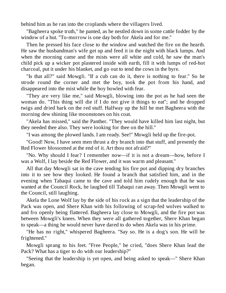behind him as he ran into the croplands where the villagers lived.

"Bagheera spoke truth," he panted, as he nestled down in some cattle fodder by the window of a hut. "To-morrow is one day both for Akela and for me."

Then he pressed his face close to the window and watched the fire on the hearth. He saw the husbandman's wife get up and feed it in the night with black lumps. And when the morning came and the mists were all white and cold, he saw the man's child pick up a wicker pot plastered inside with earth, fill it with lumps of red-hot charcoal, put it under his blanket, and go out to tend the cows in the byre.

"Is that all?" said Mowgli. "If a cub can do it, there is nothing to fear." So he strode round the corner and met the boy, took the pot from his hand, and disappeared into the mist while the boy howled with fear.

"They are very like me," said Mowgli, blowing into the pot as he had seen the woman do. "This thing will die if I do not give it things to eat"; and he dropped twigs and dried bark on the red stuff. Halfway up the hill he met Bagheera with the morning dew shining like moonstones on his coat.

"Akela has missed," said the Panther. "They would have killed him last night, but they needed thee also. They were looking for thee on the hill."

"I was among the plowed lands. I am ready. See!" Mowgli held up the fire-pot.

"Good! Now, I have seen men thrust a dry branch into that stuff, and presently the Red Flower blossomed at the end of it. Art thou not afraid?"

"No. Why should I fear? I remember now—if it is not a dream—how, before I was a Wolf, I lay beside the Red Flower, and it was warm and pleasant."

All that day Mowgli sat in the cave tending his fire pot and dipping dry branches into it to see how they looked. He found a branch that satisfied him, and in the evening when Tabaqui came to the cave and told him rudely enough that he was wanted at the Council Rock, he laughed till Tabaqui ran away. Then Mowgli went to the Council, still laughing.

Akela the Lone Wolf lay by the side of his rock as a sign that the leadership of the Pack was open, and Shere Khan with his following of scrap-fed wolves walked to and fro openly being flattered. Bagheera lay close to Mowgli, and the fire pot was between Mowgli's knees. When they were all gathered together, Shere Khan began to speak—a thing he would never have dared to do when Akela was in his prime.

"He has no right," whispered Bagheera. "Say so. He is a dog's son. He will be frightened."

Mowgli sprang to his feet. "Free People," he cried, "does Shere Khan lead the Pack? What has a tiger to do with our leadership?"

"Seeing that the leadership is yet open, and being asked to speak—" Shere Khan began.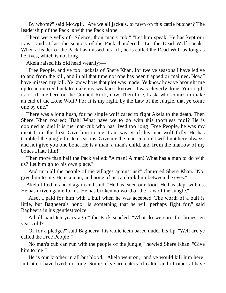"By whom?" said Mowgli. "Are we all jackals, to fawn on this cattle butcher? The leadership of the Pack is with the Pack alone."

There were yells of "Silence, thou man's cub!" "Let him speak. He has kept our Law"; and at last the seniors of the Pack thundered: "Let the Dead Wolf speak." When a leader of the Pack has missed his kill, he is called the Dead Wolf as long as he lives, which is not long.

Akela raised his old head wearily:—

"Free People, and ye too, jackals of Shere Khan, for twelve seasons I have led ye to and from the kill, and in all that time not one has been trapped or maimed. Now I have missed my kill. Ye know how that plot was made. Ye know how ye brought me up to an untried buck to make my weakness known. It was cleverly done. Your right is to kill me here on the Council Rock, now. Therefore, I ask, who comes to make an end of the Lone Wolf? For it is my right, by the Law of the Jungle, that ye come one by one."

There was a long hush, for no single wolf cared to fight Akela to the death. Then Shere Khan roared: "Bah! What have we to do with this toothless fool? He is doomed to die! It is the man-cub who has lived too long. Free People, he was my meat from the first. Give him to me. I am weary of this man-wolf folly. He has troubled the jungle for ten seasons. Give me the man-cub, or I will hunt here always, and not give you one bone. He is a man, a man's child, and from the marrow of my bones I hate him!"

Then more than half the Pack yelled: "A man! A man! What has a man to do with us? Let him go to his own place."

"And turn all the people of the villages against us?" clamored Shere Khan. "No, give him to me. He is a man, and none of us can look him between the eyes."

Akela lifted his head again and said, "He has eaten our food. He has slept with us. He has driven game for us. He has broken no word of the Law of the Jungle."

"Also, I paid for him with a bull when he was accepted. The worth of a bull is little, but Bagheera's honor is something that he will perhaps fight for," said Bagheera in his gentlest voice.

"A bull paid ten years ago!" the Pack snarled. "What do we care for bones ten years old?"

"Or for a pledge?" said Bagheera, his white teeth bared under his lip. "Well are ye called the Free People!"

"No man's cub can run with the people of the jungle," howled Shere Khan. "Give him to me!"

"He is our brother in all but blood," Akela went on, "and ye would kill him here! In truth, I have lived too long. Some of ye are eaters of cattle, and of others I have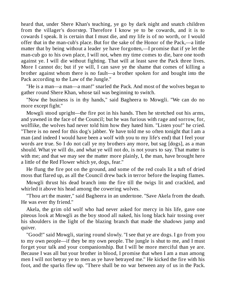heard that, under Shere Khan's teaching, ye go by dark night and snatch children from the villager's doorstep. Therefore I know ye to be cowards, and it is to cowards I speak. It is certain that I must die, and my life is of no worth, or I would offer that in the man-cub's place. But for the sake of the Honor of the Pack,—a little matter that by being without a leader ye have forgotten,—I promise that if ye let the man-cub go to his own place, I will not, when my time comes to die, bare one tooth against ye. I will die without fighting. That will at least save the Pack three lives. More I cannot do; but if ye will, I can save ye the shame that comes of killing a brother against whom there is no fault—a brother spoken for and bought into the Pack according to the Law of the Jungle."

"He is a man—a man—a man!" snarled the Pack. And most of the wolves began to gather round Shere Khan, whose tail was beginning to switch.

"Now the business is in thy hands," said Bagheera to Mowgli. "We can do no more except fight."

Mowgli stood upright—the fire pot in his hands. Then he stretched out his arms, and yawned in the face of the Council; but he was furious with rage and sorrow, for, wolflike, the wolves had never told him how they hated him. "Listen you!" he cried. "There is no need for this dog's jabber. Ye have told me so often tonight that I am a man (and indeed I would have been a wolf with you to my life's end) that I feel your words are true. So I do not call ye my brothers any more, but sag [dogs], as a man should. What ye will do, and what ye will not do, is not yours to say. That matter is with me; and that we may see the matter more plainly, I, the man, have brought here a little of the Red Flower which ye, dogs, fear."

He flung the fire pot on the ground, and some of the red coals lit a tuft of dried moss that flared up, as all the Council drew back in terror before the leaping flames.

Mowgli thrust his dead branch into the fire till the twigs lit and crackled, and whirled it above his head among the cowering wolves.

"Thou art the master," said Bagheera in an undertone. "Save Akela from the death. He was ever thy friend."

Akela, the grim old wolf who had never asked for mercy in his life, gave one piteous look at Mowgli as the boy stood all naked, his long black hair tossing over his shoulders in the light of the blazing branch that made the shadows jump and quiver.

"Good!" said Mowgli, staring round slowly. "I see that ye are dogs. I go from you to my own people—if they be my own people. The jungle is shut to me, and I must forget your talk and your companionship. But I will be more merciful than ye are. Because I was all but your brother in blood, I promise that when I am a man among men I will not betray ye to men as ye have betrayed me." He kicked the fire with his foot, and the sparks flew up. "There shall be no war between any of us in the Pack.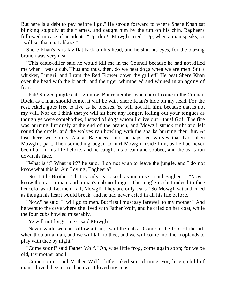But here is a debt to pay before I go." He strode forward to where Shere Khan sat blinking stupidly at the flames, and caught him by the tuft on his chin. Bagheera followed in case of accidents. "Up, dog!" Mowgli cried. "Up, when a man speaks, or I will set that coat ablaze!"

Shere Khan's ears lay flat back on his head, and he shut his eyes, for the blazing branch was very near.

"This cattle-killer said he would kill me in the Council because he had not killed me when I was a cub. Thus and thus, then, do we beat dogs when we are men. Stir a whisker, Lungri, and I ram the Red Flower down thy gullet!" He beat Shere Khan over the head with the branch, and the tiger whimpered and whined in an agony of fear.

"Pah! Singed jungle cat—go now! But remember when next I come to the Council Rock, as a man should come, it will be with Shere Khan's hide on my head. For the rest, Akela goes free to live as he pleases. Ye will not kill him, because that is not my will. Nor do I think that ye will sit here any longer, lolling out your tongues as though ye were somebodies, instead of dogs whom I drive out—thus! Go!" The fire was burning furiously at the end of the branch, and Mowgli struck right and left round the circle, and the wolves ran howling with the sparks burning their fur. At last there were only Akela, Bagheera, and perhaps ten wolves that had taken Mowgli's part. Then something began to hurt Mowgli inside him, as he had never been hurt in his life before, and he caught his breath and sobbed, and the tears ran down his face.

"What is it? What is it?" he said. "I do not wish to leave the jungle, and I do not know what this is. Am I dying, Bagheera?"

"No, Little Brother. That is only tears such as men use," said Bagheera. "Now I know thou art a man, and a man's cub no longer. The jungle is shut indeed to thee henceforward. Let them fall, Mowgli. They are only tears." So Mowgli sat and cried as though his heart would break; and he had never cried in all his life before.

"Now," he said, "I will go to men. But first I must say farewell to my mother." And he went to the cave where she lived with Father Wolf, and he cried on her coat, while the four cubs howled miserably.

"Ye will not forget me?" said Mowgli.

"Never while we can follow a trail," said the cubs. "Come to the foot of the hill when thou art a man, and we will talk to thee; and we will come into the croplands to play with thee by night."

"Come soon!" said Father Wolf. "Oh, wise little frog, come again soon; for we be old, thy mother and I."

"Come soon," said Mother Wolf, "little naked son of mine. For, listen, child of man, I loved thee more than ever I loved my cubs."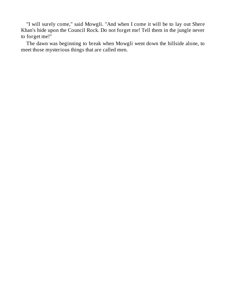"I will surely come," said Mowgli. "And when I come it will be to lay out Shere Khan's hide upon the Council Rock. Do not forget me! Tell them in the jungle never to forget me!"

<span id="page-19-0"></span>The dawn was beginning to break when Mowgli went down the hillside alone, to meet those mysterious things that are called men.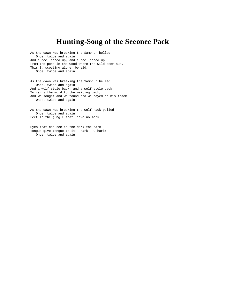### **Hunting-Song of the Seeonee Pack**

As the dawn was breaking the Sambhur belled Once, twice and again! And a doe leaped up, and a doe leaped up From the pond in the wood where the wild deer sup. This I, scouting alone, beheld, Once, twice and again!

As the dawn was breaking the Sambhur belled Once, twice and again! And a wolf stole back, and a wolf stole back To carry the word to the waiting pack, And we sought and we found and we bayed on his track Once, twice and again!

As the dawn was breaking the Wolf Pack yelled Once, twice and again! Feet in the jungle that leave no mark!

<span id="page-20-0"></span>Eyes that can see in the dark—the dark! Tongue—give tongue to it! Hark! O hark! Once, twice and again!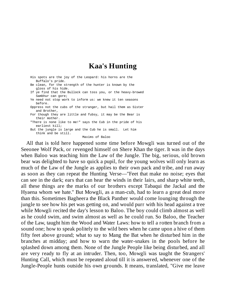#### **Kaa's Hunting**

| His spots are the joy of the Leopard: his horns are the<br>Buffalo's pride.        |
|------------------------------------------------------------------------------------|
| Be clean, for the strength of the hunter is known by the<br>gloss of his hide.     |
| If ye find that the Bullock can toss you, or the heavy-browed<br>Sambhur can gore; |
| Ye need not stop work to inform us: we knew it ten seasons<br>before.              |
| Oppress not the cubs of the stranger, but hail them as Sister<br>and Brother,      |
| For though they are little and fubsy, it may be the Bear is<br>their mother.       |
| "There is none like to me!" says the Cub in the pride of his<br>earliest kill;     |
| But the jungle is large and the Cub he is small. Let him<br>think and be still.    |
| Maxims of Baloo                                                                    |

All that is told here happened some time before Mowgli was turned out of the Seeonee Wolf Pack, or revenged himself on Shere Khan the tiger. It was in the days when Baloo was teaching him the Law of the Jungle. The big, serious, old brown bear was delighted to have so quick a pupil, for the young wolves will only learn as much of the Law of the Jungle as applies to their own pack and tribe, and run away as soon as they can repeat the Hunting Verse—"Feet that make no noise; eyes that can see in the dark; ears that can hear the winds in their lairs, and sharp white teeth, all these things are the marks of our brothers except Tabaqui the Jackal and the Hyaena whom we hate." But Mowgli, as a man-cub, had to learn a great deal more than this. Sometimes Bagheera the Black Panther would come lounging through the jungle to see how his pet was getting on, and would purr with his head against a tree while Mowgli recited the day's lesson to Baloo. The boy could climb almost as well as he could swim, and swim almost as well as he could run. So Baloo, the Teacher of the Law, taught him the Wood and Water Laws: how to tell a rotten branch from a sound one; how to speak politely to the wild bees when he came upon a hive of them fifty feet above ground; what to say to Mang the Bat when he disturbed him in the branches at midday; and how to warn the water-snakes in the pools before he splashed down among them. None of the Jungle People like being disturbed, and all are very ready to fly at an intruder. Then, too, Mowgli was taught the Strangers' Hunting Call, which must be repeated aloud till it is answered, whenever one of the Jungle-People hunts outside his own grounds. It means, translated, "Give me leave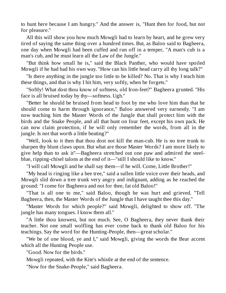to hunt here because I am hungry." And the answer is, "Hunt then for food, but not for pleasure."

All this will show you how much Mowgli had to learn by heart, and he grew very tired of saying the same thing over a hundred times. But, as Baloo said to Bagheera, one day when Mowgli had been cuffed and run off in a temper, "A man's cub is a man's cub, and he must learn all the Law of the Jungle."

"But think how small he is," said the Black Panther, who would have spoiled Mowgli if he had had his own way. "How can his little head carry all thy long talk?"

"Is there anything in the jungle too little to be killed? No. That is why I teach him these things, and that is why I hit him, very softly, when he forgets."

"Softly! What dost thou know of softness, old Iron-feet?" Bagheera grunted. "His face is all bruised today by thy—softness. Ugh."

"Better he should be bruised from head to foot by me who love him than that he should come to harm through ignorance," Baloo answered very earnestly. "I am now teaching him the Master Words of the Jungle that shall protect him with the birds and the Snake People, and all that hunt on four feet, except his own pack. He can now claim protection, if he will only remember the words, from all in the jungle. Is not that worth a little beating?"

"Well, look to it then that thou dost not kill the man-cub. He is no tree trunk to sharpen thy blunt claws upon. But what are those Master Words? I am more likely to give help than to ask it"—Bagheera stretched out one paw and admired the steelblue, ripping-chisel talons at the end of it—"still I should like to know."

"I will call Mowgli and he shall say them—if he will. Come, Little Brother!"

"My head is ringing like a bee tree," said a sullen little voice over their heads, and Mowgli slid down a tree trunk very angry and indignant, adding as he reached the ground: "I come for Bagheera and not for thee, fat old Baloo!"

"That is all one to me," said Baloo, though he was hurt and grieved. "Tell Bagheera, then, the Master Words of the Jungle that I have taught thee this day."

"Master Words for which people?" said Mowgli, delighted to show off. "The jungle has many tongues. I know them all."

"A little thou knowest, but not much. See, O Bagheera, they never thank their teacher. Not one small wolfling has ever come back to thank old Baloo for his teachings. Say the word for the Hunting-People, then—great scholar."

"We be of one blood, ye and I," said Mowgli, giving the words the Bear accent which all the Hunting People use.

"Good. Now for the birds."

Mowgli repeated, with the Kite's whistle at the end of the sentence.

"Now for the Snake-People," said Bagheera.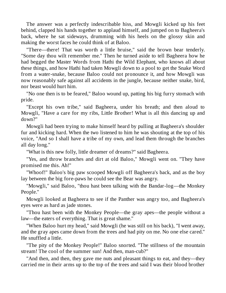The answer was a perfectly indescribable hiss, and Mowgli kicked up his feet behind, clapped his hands together to applaud himself, and jumped on to Bagheera's back, where he sat sideways, drumming with his heels on the glossy skin and making the worst faces he could think of at Baloo.

"There—there! That was worth a little bruise," said the brown bear tenderly. "Some day thou wilt remember me." Then he turned aside to tell Bagheera how he had begged the Master Words from Hathi the Wild Elephant, who knows all about these things, and how Hathi had taken Mowgli down to a pool to get the Snake Word from a water-snake, because Baloo could not pronounce it, and how Mowgli was now reasonably safe against all accidents in the jungle, because neither snake, bird, nor beast would hurt him.

"No one then is to be feared," Baloo wound up, patting his big furry stomach with pride.

"Except his own tribe," said Bagheera, under his breath; and then aloud to Mowgli, "Have a care for my ribs, Little Brother! What is all this dancing up and down?"

Mowgli had been trying to make himself heard by pulling at Bagheera's shoulder fur and kicking hard. When the two listened to him he was shouting at the top of his voice, "And so I shall have a tribe of my own, and lead them through the branches all day long."

"What is this new folly, little dreamer of dreams?" said Bagheera.

"Yes, and throw branches and dirt at old Baloo," Mowgli went on. "They have promised me this. Ah!"

"Whoof!" Baloo's big paw scooped Mowgli off Bagheera's back, and as the boy lay between the big fore-paws he could see the Bear was angry.

"Mowgli," said Baloo, "thou hast been talking with the Bandar-log—the Monkey People."

Mowgli looked at Bagheera to see if the Panther was angry too, and Bagheera's eyes were as hard as jade stones.

"Thou hast been with the Monkey People—the gray apes—the people without a law—the eaters of everything. That is great shame."

"When Baloo hurt my head," said Mowgli (he was still on his back), "I went away, and the gray apes came down from the trees and had pity on me. No one else cared." He snuffled a little.

"The pity of the Monkey People!" Baloo snorted. "The stillness of the mountain stream! The cool of the summer sun! And then, man-cub?"

"And then, and then, they gave me nuts and pleasant things to eat, and they—they carried me in their arms up to the top of the trees and said I was their blood brother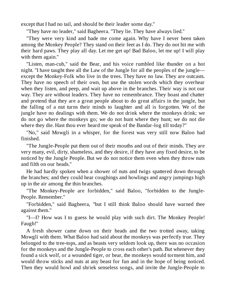except that I had no tail, and should be their leader some day."

"They have no leader," said Bagheera. "They lie. They have always lied."

"They were very kind and bade me come again. Why have I never been taken among the Monkey People? They stand on their feet as I do. They do not hit me with their hard paws. They play all day. Let me get up! Bad Baloo, let me up! I will play with them again."

"Listen, man-cub," said the Bear, and his voice rumbled like thunder on a hot night. "I have taught thee all the Law of the Jungle for all the peoples of the jungle except the Monkey-Folk who live in the trees. They have no law. They are outcasts. They have no speech of their own, but use the stolen words which they overhear when they listen, and peep, and wait up above in the branches. Their way is not our way. They are without leaders. They have no remembrance. They boast and chatter and pretend that they are a great people about to do great affairs in the jungle, but the falling of a nut turns their minds to laughter and all is forgotten. We of the jungle have no dealings with them. We do not drink where the monkeys drink; we do not go where the monkeys go; we do not hunt where they hunt; we do not die where they die. Hast thou ever heard me speak of the Bandar-log till today?"

"No," said Mowgli in a whisper, for the forest was very still now Baloo had finished.

"The Jungle-People put them out of their mouths and out of their minds. They are very many, evil, dirty, shameless, and they desire, if they have any fixed desire, to be noticed by the Jungle People. But we do not notice them even when they throw nuts and filth on our heads."

He had hardly spoken when a shower of nuts and twigs spattered down through the branches; and they could hear coughings and howlings and angry jumpings high up in the air among the thin branches.

"The Monkey-People are forbidden," said Baloo, "forbidden to the Jungle-People. Remember."

"Forbidden," said Bagheera, "but I still think Baloo should have warned thee against them."

"I—I? How was I to guess he would play with such dirt. The Monkey People! Faugh!"

A fresh shower came down on their heads and the two trotted away, taking Mowgli with them. What Baloo had said about the monkeys was perfectly true. They belonged to the tree-tops, and as beasts very seldom look up, there was no occasion for the monkeys and the Jungle-People to cross each other's path. But whenever they found a sick wolf, or a wounded tiger, or bear, the monkeys would torment him, and would throw sticks and nuts at any beast for fun and in the hope of being noticed. Then they would howl and shriek senseless songs, and invite the Jungle-People to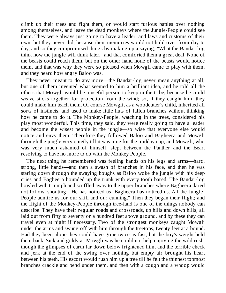climb up their trees and fight them, or would start furious battles over nothing among themselves, and leave the dead monkeys where the Jungle-People could see them. They were always just going to have a leader, and laws and customs of their own, but they never did, because their memories would not hold over from day to day, and so they compromised things by making up a saying, "What the Bandar-log think now the jungle will think later," and that comforted them a great deal. None of the beasts could reach them, but on the other hand none of the beasts would notice them, and that was why they were so pleased when Mowgli came to play with them, and they heard how angry Baloo was.

They never meant to do any more—the Bandar-log never mean anything at all; but one of them invented what seemed to him a brilliant idea, and he told all the others that Mowgli would be a useful person to keep in the tribe, because he could weave sticks together for protection from the wind; so, if they caught him, they could make him teach them. Of course Mowgli, as a woodcutter's child, inherited all sorts of instincts, and used to make little huts of fallen branches without thinking how he came to do it. The Monkey-People, watching in the trees, considered his play most wonderful. This time, they said, they were really going to have a leader and become the wisest people in the jungle—so wise that everyone else would notice and envy them. Therefore they followed Baloo and Bagheera and Mowgli through the jungle very quietly till it was time for the midday nap, and Mowgli, who was very much ashamed of himself, slept between the Panther and the Bear, resolving to have no more to do with the Monkey People.

The next thing he remembered was feeling hands on his legs and arms—hard, strong, little hands—and then a swash of branches in his face, and then he was staring down through the swaying boughs as Baloo woke the jungle with his deep cries and Bagheera bounded up the trunk with every tooth bared. The Bandar-log howled with triumph and scuffled away to the upper branches where Bagheera dared not follow, shouting: "He has noticed us! Bagheera has noticed us. All the Jungle-People admire us for our skill and our cunning." Then they began their flight; and the flight of the Monkey-People through tree-land is one of the things nobody can describe. They have their regular roads and crossroads, up hills and down hills, all laid out from fifty to seventy or a hundred feet above ground, and by these they can travel even at night if necessary. Two of the strongest monkeys caught Mowgli under the arms and swung off with him through the treetops, twenty feet at a bound. Had they been alone they could have gone twice as fast, but the boy's weight held them back. Sick and giddy as Mowgli was he could not help enjoying the wild rush, though the glimpses of earth far down below frightened him, and the terrible check and jerk at the end of the swing over nothing but empty air brought his heart between his teeth. His escort would rush him up a tree till he felt the thinnest topmost branches crackle and bend under them, and then with a cough and a whoop would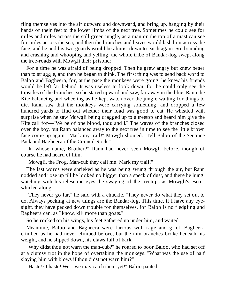fling themselves into the air outward and downward, and bring up, hanging by their hands or their feet to the lower limbs of the next tree. Sometimes he could see for miles and miles across the still green jungle, as a man on the top of a mast can see for miles across the sea, and then the branches and leaves would lash him across the face, and he and his two guards would be almost down to earth again. So, bounding and crashing and whooping and yelling, the whole tribe of Bandar-log swept along the tree-roads with Mowgli their prisoner.

For a time he was afraid of being dropped. Then he grew angry but knew better than to struggle, and then he began to think. The first thing was to send back word to Baloo and Bagheera, for, at the pace the monkeys were going, he knew his friends would be left far behind. It was useless to look down, for he could only see the topsides of the branches, so he stared upward and saw, far away in the blue, Rann the Kite balancing and wheeling as he kept watch over the jungle waiting for things to die. Rann saw that the monkeys were carrying something, and dropped a few hundred yards to find out whether their load was good to eat. He whistled with surprise when he saw Mowgli being dragged up to a treetop and heard him give the Kite call for—"We be of one blood, thou and I." The waves of the branches closed over the boy, but Rann balanced away to the next tree in time to see the little brown face come up again. "Mark my trail!" Mowgli shouted. "Tell Baloo of the Seeonee Pack and Bagheera of the Council Rock."

"In whose name, Brother?" Rann had never seen Mowgli before, though of course he had heard of him.

"Mowgli, the Frog. Man-cub they call me! Mark my trail!"

The last words were shrieked as he was being swung through the air, but Rann nodded and rose up till he looked no bigger than a speck of dust, and there he hung, watching with his telescope eyes the swaying of the treetops as Mowgli's escort whirled along.

"They never go far," he said with a chuckle. "They never do what they set out to do. Always pecking at new things are the Bandar-log. This time, if I have any eyesight, they have pecked down trouble for themselves, for Baloo is no fledgling and Bagheera can, as I know, kill more than goats."

So he rocked on his wings, his feet gathered up under him, and waited.

Meantime, Baloo and Bagheera were furious with rage and grief. Bagheera climbed as he had never climbed before, but the thin branches broke beneath his weight, and he slipped down, his claws full of bark.

"Why didst thou not warn the man-cub?" he roared to poor Baloo, who had set off at a clumsy trot in the hope of overtaking the monkeys. "What was the use of half slaying him with blows if thou didst not warn him?"

"Haste! O haste! We—we may catch them yet!" Baloo panted.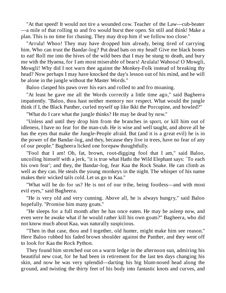"At that speed! It would not tire a wounded cow. Teacher of the Law—cub-beater —a mile of that rolling to and fro would burst thee open. Sit still and think! Make a plan. This is no time for chasing. They may drop him if we follow too close."

"Arrula! Whoo! They may have dropped him already, being tired of carrying him. Who can trust the Bandar-log? Put dead bats on my head! Give me black bones to eat! Roll me into the hives of the wild bees that I may be stung to death, and bury me with the Hyaena, for I am most miserable of bears! Arulala! Wahooa! O Mowgli, Mowgli! Why did I not warn thee against the Monkey-Folk instead of breaking thy head? Now perhaps I may have knocked the day's lesson out of his mind, and he will be alone in the jungle without the Master Words."

Baloo clasped his paws over his ears and rolled to and fro moaning.

"At least he gave me all the Words correctly a little time ago," said Bagheera impatiently. "Baloo, thou hast neither memory nor respect. What would the jungle think if I, the Black Panther, curled myself up like Ikki the Porcupine, and howled?"

"What do I care what the jungle thinks? He may be dead by now."

"Unless and until they drop him from the branches in sport, or kill him out of idleness, I have no fear for the man-cub. He is wise and well taught, and above all he has the eyes that make the Jungle-People afraid. But (and it is a great evil) he is in the power of the Bandar-log, and they, because they live in trees, have no fear of any of our people." Bagheera licked one forepaw thoughtfully.

"Fool that I am! Oh, fat, brown, root-digging fool that I am," said Baloo, uncoiling himself with a jerk, "it is true what Hathi the Wild Elephant says: `To each his own fear'; and they, the Bandar-log, fear Kaa the Rock Snake. He can climb as well as they can. He steals the young monkeys in the night. The whisper of his name makes their wicked tails cold. Let us go to Kaa."

"What will he do for us? He is not of our tribe, being footless—and with most evil eyes," said Bagheera.

"He is very old and very cunning. Above all, he is always hungry," said Baloo hopefully. "Promise him many goats."

"He sleeps for a full month after he has once eaten. He may be asleep now, and even were he awake what if he would rather kill his own goats?" Bagheera, who did not know much about Kaa, was naturally suspicious.

"Then in that case, thou and I together, old hunter, might make him see reason." Here Baloo rubbed his faded brown shoulder against the Panther, and they went off to look for Kaa the Rock Python.

They found him stretched out on a warm ledge in the afternoon sun, admiring his beautiful new coat, for he had been in retirement for the last ten days changing his skin, and now he was very splendid—darting his big blunt-nosed head along the ground, and twisting the thirty feet of his body into fantastic knots and curves, and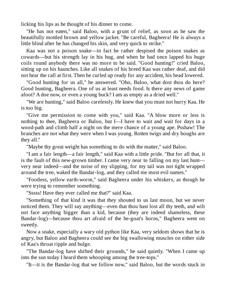licking his lips as he thought of his dinner to come.

"He has not eaten," said Baloo, with a grunt of relief, as soon as he saw the beautifully mottled brown and yellow jacket. "Be careful, Bagheera! He is always a little blind after he has changed his skin, and very quick to strike."

Kaa was not a poison snake—in fact he rather despised the poison snakes as cowards—but his strength lay in his hug, and when he had once lapped his huge coils round anybody there was no more to be said. "Good hunting!" cried Baloo, sitting up on his haunches. Like all snakes of his breed Kaa was rather deaf, and did not hear the call at first. Then he curled up ready for any accident, his head lowered.

"Good hunting for us all," he answered. "Oho, Baloo, what dost thou do here? Good hunting, Bagheera. One of us at least needs food. Is there any news of game afoot? A doe now, or even a young buck? I am as empty as a dried well."

"We are hunting," said Baloo carelessly. He knew that you must not hurry Kaa. He is too big.

"Give me permission to come with you," said Kaa. "A blow more or less is nothing to thee, Bagheera or Baloo, but I—I have to wait and wait for days in a wood-path and climb half a night on the mere chance of a young ape. Psshaw! The branches are not what they were when I was young. Rotten twigs and dry boughs are they all."

"Maybe thy great weight has something to do with the matter," said Baloo.

"I am a fair length—a fair length," said Kaa with a little pride. "But for all that, it is the fault of this new-grown timber. I came very near to falling on my last hunt very near indeed—and the noise of my slipping, for my tail was not tight wrapped around the tree, waked the Bandar-log, and they called me most evil names."

"Footless, yellow earth-worm," said Bagheera under his whiskers, as though he were trying to remember something.

"Sssss! Have they ever called me that?" said Kaa.

"Something of that kind it was that they shouted to us last moon, but we never noticed them. They will say anything—even that thou hast lost all thy teeth, and wilt not face anything bigger than a kid, because (they are indeed shameless, these Bandar-log)—because thou art afraid of the he-goat's horns," Bagheera went on sweetly.

Now a snake, especially a wary old python like Kaa, very seldom shows that he is angry, but Baloo and Bagheera could see the big swallowing muscles on either side of Kaa's throat ripple and bulge.

"The Bandar-log have shifted their grounds," he said quietly. "When I came up into the sun today I heard them whooping among the tree-tops."

"It—it is the Bandar-log that we follow now," said Baloo, but the words stuck in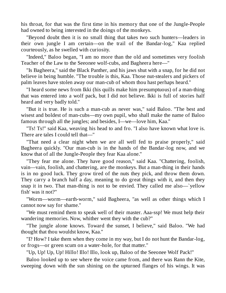his throat, for that was the first time in his memory that one of the Jungle-People had owned to being interested in the doings of the monkeys.

"Beyond doubt then it is no small thing that takes two such hunters—leaders in their own jungle I am certain—on the trail of the Bandar-log," Kaa replied courteously, as he swelled with curiosity.

"Indeed," Baloo began, "I am no more than the old and sometimes very foolish Teacher of the Law to the Seeonee wolf-cubs, and Bagheera here—"

"Is Bagheera," said the Black Panther, and his jaws shut with a snap, for he did not believe in being humble. "The trouble is this, Kaa. Those nut-stealers and pickers of palm leaves have stolen away our man-cub of whom thou hast perhaps heard."

"I heard some news from Ikki (his quills make him presumptuous) of a man-thing that was entered into a wolf pack, but I did not believe. Ikki is full of stories half heard and very badly told."

"But it is true. He is such a man-cub as never was," said Baloo. "The best and wisest and boldest of man-cubs—my own pupil, who shall make the name of Baloo famous through all the jungles; and besides, I—we—love him, Kaa."

"Ts! Ts!" said Kaa, weaving his head to and fro. "I also have known what love is. There are tales I could tell that—"

"That need a clear night when we are all well fed to praise properly," said Bagheera quickly. "Our man-cub is in the hands of the Bandar-log now, and we know that of all the Jungle-People they fear Kaa alone."

"They fear me alone. They have good reason," said Kaa. "Chattering, foolish, vain—vain, foolish, and chattering, are the monkeys. But a man-thing in their hands is in no good luck. They grow tired of the nuts they pick, and throw them down. They carry a branch half a day, meaning to do great things with it, and then they snap it in two. That man-thing is not to be envied. They called me also—`yellow fish' was it not?"

"Worm—worm—earth-worm," said Bagheera, "as well as other things which I cannot now say for shame."

"We must remind them to speak well of their master. Aaa-ssp! We must help their wandering memories. Now, whither went they with the cub?"

"The jungle alone knows. Toward the sunset, I believe," said Baloo. "We had thought that thou wouldst know, Kaa."

"I? How? I take them when they come in my way, but I do not hunt the Bandar-log, or frogs—or green scum on a water-hole, for that matter."

"Up, Up! Up, Up! Hillo! Illo! Illo, look up, Baloo of the Seeonee Wolf Pack!"

Baloo looked up to see where the voice came from, and there was Rann the Kite, sweeping down with the sun shining on the upturned flanges of his wings. It was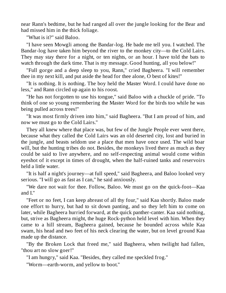near Rann's bedtime, but he had ranged all over the jungle looking for the Bear and had missed him in the thick foliage.

"What is it?" said Baloo.

"I have seen Mowgli among the Bandar-log. He bade me tell you. I watched. The Bandar-log have taken him beyond the river to the monkey city—to the Cold Lairs. They may stay there for a night, or ten nights, or an hour. I have told the bats to watch through the dark time. That is my message. Good hunting, all you below!"

"Full gorge and a deep sleep to you, Rann," cried Bagheera. "I will remember thee in my next kill, and put aside the head for thee alone, O best of kites!"

"It is nothing. It is nothing. The boy held the Master Word. I could have done no less," and Rann circled up again to his roost.

"He has not forgotten to use his tongue," said Baloo with a chuckle of pride. "To think of one so young remembering the Master Word for the birds too while he was being pulled across trees!"

"It was most firmly driven into him," said Bagheera. "But I am proud of him, and now we must go to the Cold Lairs."

They all knew where that place was, but few of the Jungle People ever went there, because what they called the Cold Lairs was an old deserted city, lost and buried in the jungle, and beasts seldom use a place that men have once used. The wild boar will, but the hunting tribes do not. Besides, the monkeys lived there as much as they could be said to live anywhere, and no self-respecting animal would come within eyeshot of it except in times of drought, when the half-ruined tanks and reservoirs held a little water.

"It is half a night's journey—at full speed," said Bagheera, and Baloo looked very serious. "I will go as fast as I can," he said anxiously.

"We dare not wait for thee. Follow, Baloo. We must go on the quick-foot—Kaa and I."

"Feet or no feet, I can keep abreast of all thy four," said Kaa shortly. Baloo made one effort to hurry, but had to sit down panting, and so they left him to come on later, while Bagheera hurried forward, at the quick panther-canter. Kaa said nothing, but, strive as Bagheera might, the huge Rock-python held level with him. When they came to a hill stream, Bagheera gained, because he bounded across while Kaa swam, his head and two feet of his neck clearing the water, but on level ground Kaa made up the distance.

"By the Broken Lock that freed me," said Bagheera, when twilight had fallen, "thou art no slow goer!"

"I am hungry," said Kaa. "Besides, they called me speckled frog."

"Worm—earth-worm, and yellow to boot."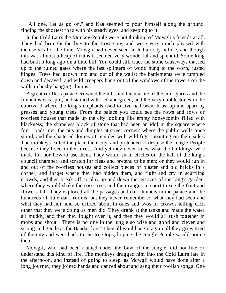"All one. Let us go on," and Kaa seemed to pour himself along the ground, finding the shortest road with his steady eyes, and keeping to it.

In the Cold Lairs the Monkey-People were not thinking of Mowgli's friends at all. They had brought the boy to the Lost City, and were very much pleased with themselves for the time. Mowgli had never seen an Indian city before, and though this was almost a heap of ruins it seemed very wonderful and splendid. Some king had built it long ago on a little hill. You could still trace the stone causeways that led up to the ruined gates where the last splinters of wood hung to the worn, rusted hinges. Trees had grown into and out of the walls; the battlements were tumbled down and decayed, and wild creepers hung out of the windows of the towers on the walls in bushy hanging clumps.

A great roofless palace crowned the hill, and the marble of the courtyards and the fountains was split, and stained with red and green, and the very cobblestones in the courtyard where the king's elephants used to live had been thrust up and apart by grasses and young trees. From the palace you could see the rows and rows of roofless houses that made up the city looking like empty honeycombs filled with blackness; the shapeless block of stone that had been an idol in the square where four roads met; the pits and dimples at street corners where the public wells once stood, and the shattered domes of temples with wild figs sprouting on their sides. The monkeys called the place their city, and pretended to despise the Jungle-People because they lived in the forest. And yet they never knew what the buildings were made for nor how to use them. They would sit in circles on the hall of the king's council chamber, and scratch for fleas and pretend to be men; or they would run in and out of the roofless houses and collect pieces of plaster and old bricks in a corner, and forget where they had hidden them, and fight and cry in scuffling crowds, and then break off to play up and down the terraces of the king's garden, where they would shake the rose trees and the oranges in sport to see the fruit and flowers fall. They explored all the passages and dark tunnels in the palace and the hundreds of little dark rooms, but they never remembered what they had seen and what they had not; and so drifted about in ones and twos or crowds telling each other that they were doing as men did. They drank at the tanks and made the water all muddy, and then they fought over it, and then they would all rush together in mobs and shout: "There is no one in the jungle so wise and good and clever and strong and gentle as the Bandar-log." Then all would begin again till they grew tired of the city and went back to the tree-tops, hoping the Jungle-People would notice them.

Mowgli, who had been trained under the Law of the Jungle, did not like or understand this kind of life. The monkeys dragged him into the Cold Lairs late in the afternoon, and instead of going to sleep, as Mowgli would have done after a long journey, they joined hands and danced about and sang their foolish songs. One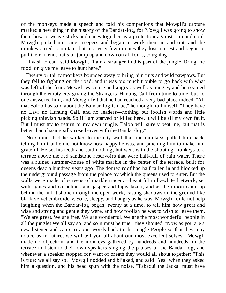of the monkeys made a speech and told his companions that Mowgli's capture marked a new thing in the history of the Bandar-log, for Mowgli was going to show them how to weave sticks and canes together as a protection against rain and cold. Mowgli picked up some creepers and began to work them in and out, and the monkeys tried to imitate; but in a very few minutes they lost interest and began to pull their friends' tails or jump up and down on all fours, coughing.

"I wish to eat," said Mowgli. "I am a stranger in this part of the jungle. Bring me food, or give me leave to hunt here."

Twenty or thirty monkeys bounded away to bring him nuts and wild pawpaws. But they fell to fighting on the road, and it was too much trouble to go back with what was left of the fruit. Mowgli was sore and angry as well as hungry, and he roamed through the empty city giving the Strangers' Hunting Call from time to time, but no one answered him, and Mowgli felt that he had reached a very bad place indeed. "All that Baloo has said about the Bandar-log is true," he thought to himself. "They have no Law, no Hunting Call, and no leaders—nothing but foolish words and little picking thievish hands. So if I am starved or killed here, it will be all my own fault. But I must try to return to my own jungle. Baloo will surely beat me, but that is better than chasing silly rose leaves with the Bandar-log."

No sooner had he walked to the city wall than the monkeys pulled him back, telling him that he did not know how happy he was, and pinching him to make him grateful. He set his teeth and said nothing, but went with the shouting monkeys to a terrace above the red sandstone reservoirs that were half-full of rain water. There was a ruined summer-house of white marble in the center of the terrace, built for queens dead a hundred years ago. The domed roof had half fallen in and blocked up the underground passage from the palace by which the queens used to enter. But the walls were made of screens of marble tracery—beautiful milk-white fretwork, set with agates and cornelians and jasper and lapis lazuli, and as the moon came up behind the hill it shone through the open work, casting shadows on the ground like black velvet embroidery. Sore, sleepy, and hungry as he was, Mowgli could not help laughing when the Bandar-log began, twenty at a time, to tell him how great and wise and strong and gentle they were, and how foolish he was to wish to leave them. "We are great. We are free. We are wonderful. We are the most wonderful people in all the jungle! We all say so, and so it must be true," they shouted. "Now as you are a new listener and can carry our words back to the Jungle-People so that they may notice us in future, we will tell you all about our most excellent selves." Mowgli made no objection, and the monkeys gathered by hundreds and hundreds on the terrace to listen to their own speakers singing the praises of the Bandar-log, and whenever a speaker stopped for want of breath they would all shout together: "This is true; we all say so." Mowgli nodded and blinked, and said "Yes" when they asked him a question, and his head spun with the noise. "Tabaqui the Jackal must have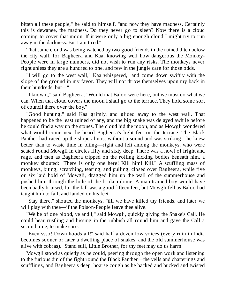bitten all these people," he said to himself, "and now they have madness. Certainly this is dewanee, the madness. Do they never go to sleep? Now there is a cloud coming to cover that moon. If it were only a big enough cloud I might try to run away in the darkness. But I am tired."

That same cloud was being watched by two good friends in the ruined ditch below the city wall, for Bagheera and Kaa, knowing well how dangerous the Monkey-People were in large numbers, did not wish to run any risks. The monkeys never fight unless they are a hundred to one, and few in the jungle care for those odds.

"I will go to the west wall," Kaa whispered, "and come down swiftly with the slope of the ground in my favor. They will not throw themselves upon my back in their hundreds, but—"

"I know it," said Bagheera. "Would that Baloo were here, but we must do what we can. When that cloud covers the moon I shall go to the terrace. They hold some sort of council there over the boy."

"Good hunting," said Kaa grimly, and glided away to the west wall. That happened to be the least ruined of any, and the big snake was delayed awhile before he could find a way up the stones. The cloud hid the moon, and as Mowgli wondered what would come next he heard Bagheera's light feet on the terrace. The Black Panther had raced up the slope almost without a sound and was striking—he knew better than to waste time in biting—right and left among the monkeys, who were seated round Mowgli in circles fifty and sixty deep. There was a howl of fright and rage, and then as Bagheera tripped on the rolling kicking bodies beneath him, a monkey shouted: "There is only one here! Kill him! Kill." A scuffling mass of monkeys, biting, scratching, tearing, and pulling, closed over Bagheera, while five or six laid hold of Mowgli, dragged him up the wall of the summerhouse and pushed him through the hole of the broken dome. A man-trained boy would have been badly bruised, for the fall was a good fifteen feet, but Mowgli fell as Baloo had taught him to fall, and landed on his feet.

"Stay there," shouted the monkeys, "till we have killed thy friends, and later we will play with thee—if the Poison-People leave thee alive."

"We be of one blood, ye and I," said Mowgli, quickly giving the Snake's Call. He could hear rustling and hissing in the rubbish all round him and gave the Call a second time, to make sure.

"Even ssso! Down hoods all!" said half a dozen low voices (every ruin in India becomes sooner or later a dwelling place of snakes, and the old summerhouse was alive with cobras). "Stand still, Little Brother, for thy feet may do us harm."

Mowgli stood as quietly as he could, peering through the open work and listening to the furious din of the fight round the Black Panther—the yells and chatterings and scufflings, and Bagheera's deep, hoarse cough as he backed and bucked and twisted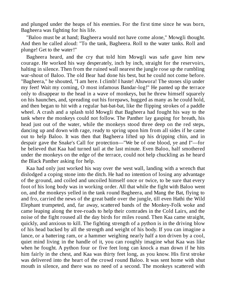and plunged under the heaps of his enemies. For the first time since he was born, Bagheera was fighting for his life.

"Baloo must be at hand; Bagheera would not have come alone," Mowgli thought. And then he called aloud: "To the tank, Bagheera. Roll to the water tanks. Roll and plunge! Get to the water!"

Bagheera heard, and the cry that told him Mowgli was safe gave him new courage. He worked his way desperately, inch by inch, straight for the reservoirs, halting in silence. Then from the ruined wall nearest the jungle rose up the rumbling war-shout of Baloo. The old Bear had done his best, but he could not come before. "Bagheera," he shouted, "I am here. I climb! I haste! Ahuwora! The stones slip under my feet! Wait my coming, O most infamous Bandar-log!" He panted up the terrace only to disappear to the head in a wave of monkeys, but he threw himself squarely on his haunches, and, spreading out his forepaws, hugged as many as he could hold, and then began to hit with a regular bat-bat-bat, like the flipping strokes of a paddle wheel. A crash and a splash told Mowgli that Bagheera had fought his way to the tank where the monkeys could not follow. The Panther lay gasping for breath, his head just out of the water, while the monkeys stood three deep on the red steps, dancing up and down with rage, ready to spring upon him from all sides if he came out to help Baloo. It was then that Bagheera lifted up his dripping chin, and in despair gave the Snake's Call for protection—"We be of one blood, ye and I"—for he believed that Kaa had turned tail at the last minute. Even Baloo, half smothered under the monkeys on the edge of the terrace, could not help chuckling as he heard the Black Panther asking for help.

Kaa had only just worked his way over the west wall, landing with a wrench that dislodged a coping stone into the ditch. He had no intention of losing any advantage of the ground, and coiled and uncoiled himself once or twice, to be sure that every foot of his long body was in working order. All that while the fight with Baloo went on, and the monkeys yelled in the tank round Bagheera, and Mang the Bat, flying to and fro, carried the news of the great battle over the jungle, till even Hathi the Wild Elephant trumpeted, and, far away, scattered bands of the Monkey-Folk woke and came leaping along the tree-roads to help their comrades in the Cold Lairs, and the noise of the fight roused all the day birds for miles round. Then Kaa came straight, quickly, and anxious to kill. The fighting strength of a python is in the driving blow of his head backed by all the strength and weight of his body. If you can imagine a lance, or a battering ram, or a hammer weighing nearly half a ton driven by a cool, quiet mind living in the handle of it, you can roughly imagine what Kaa was like when he fought. A python four or five feet long can knock a man down if he hits him fairly in the chest, and Kaa was thirty feet long, as you know. His first stroke was delivered into the heart of the crowd round Baloo. It was sent home with shut mouth in silence, and there was no need of a second. The monkeys scattered with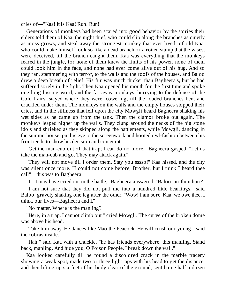cries of—"Kaa! It is Kaa! Run! Run!"

Generations of monkeys had been scared into good behavior by the stories their elders told them of Kaa, the night thief, who could slip along the branches as quietly as moss grows, and steal away the strongest monkey that ever lived; of old Kaa, who could make himself look so like a dead branch or a rotten stump that the wisest were deceived, till the branch caught them. Kaa was everything that the monkeys feared in the jungle, for none of them knew the limits of his power, none of them could look him in the face, and none had ever come alive out of his hug. And so they ran, stammering with terror, to the walls and the roofs of the houses, and Baloo drew a deep breath of relief. His fur was much thicker than Bagheera's, but he had suffered sorely in the fight. Then Kaa opened his mouth for the first time and spoke one long hissing word, and the far-away monkeys, hurrying to the defense of the Cold Lairs, stayed where they were, cowering, till the loaded branches bent and crackled under them. The monkeys on the walls and the empty houses stopped their cries, and in the stillness that fell upon the city Mowgli heard Bagheera shaking his wet sides as he came up from the tank. Then the clamor broke out again. The monkeys leaped higher up the walls. They clung around the necks of the big stone idols and shrieked as they skipped along the battlements, while Mowgli, dancing in the summerhouse, put his eye to the screenwork and hooted owl-fashion between his front teeth, to show his derision and contempt.

"Get the man-cub out of that trap; I can do no more," Bagheera gasped. "Let us take the man-cub and go. They may attack again."

"They will not move till I order them. Stay you sssso!" Kaa hissed, and the city was silent once more. "I could not come before, Brother, but I think I heard thee call"—this was to Bagheera.

"I—I may have cried out in the battle," Bagheera answered. "Baloo, art thou hurt?

"I am not sure that they did not pull me into a hundred little bearlings," said Baloo, gravely shaking one leg after the other. "Wow! I am sore. Kaa, we owe thee, I think, our lives—Bagheera and I."

"No matter. Where is the manling?"

"Here, in a trap. I cannot climb out," cried Mowgli. The curve of the broken dome was above his head.

"Take him away. He dances like Mao the Peacock. He will crush our young," said the cobras inside.

"Hah!" said Kaa with a chuckle, "he has friends everywhere, this manling. Stand back, manling. And hide you, O Poison People. I break down the wall."

Kaa looked carefully till he found a discolored crack in the marble tracery showing a weak spot, made two or three light taps with his head to get the distance, and then lifting up six feet of his body clear of the ground, sent home half a dozen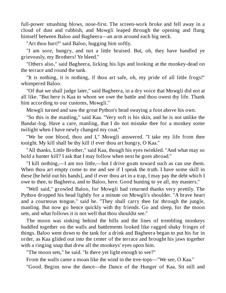full-power smashing blows, nose-first. The screen-work broke and fell away in a cloud of dust and rubbish, and Mowgli leaped through the opening and flung himself between Baloo and Bagheera—an arm around each big neck.

"Art thou hurt?" said Baloo, hugging him softly.

"I am sore, hungry, and not a little bruised. But, oh, they have handled ye grievously, my Brothers! Ye bleed."

"Others also," said Bagheera, licking his lips and looking at the monkey-dead on the terrace and round the tank.

"It is nothing, it is nothing, if thou art safe, oh, my pride of all little frogs!" whimpered Baloo.

"Of that we shall judge later," said Bagheera, in a dry voice that Mowgli did not at all like. "But here is Kaa to whom we owe the battle and thou owest thy life. Thank him according to our customs, Mowgli."

Mowgli turned and saw the great Python's head swaying a foot above his own.

"So this is the manling," said Kaa. "Very soft is his skin, and he is not unlike the Bandar-log. Have a care, manling, that I do not mistake thee for a monkey some twilight when I have newly changed my coat."

"We be one blood, thou and I," Mowgli answered. "I take my life from thee tonight. My kill shall be thy kill if ever thou art hungry, O Kaa."

"All thanks, Little Brother," said Kaa, though his eyes twinkled. "And what may so bold a hunter kill? I ask that I may follow when next he goes abroad."

"I kill nothing,—I am too little,—but I drive goats toward such as can use them. When thou art empty come to me and see if I speak the truth. I have some skill in these [he held out his hands], and if ever thou art in a trap, I may pay the debt which I owe to thee, to Bagheera, and to Baloo, here. Good hunting to ye all, my masters."

"Well said," growled Baloo, for Mowgli had returned thanks very prettily. The Python dropped his head lightly for a minute on Mowgli's shoulder. "A brave heart and a courteous tongue," said he. "They shall carry thee far through the jungle, manling. But now go hence quickly with thy friends. Go and sleep, for the moon sets, and what follows it is not well that thou shouldst see."

The moon was sinking behind the hills and the lines of trembling monkeys huddled together on the walls and battlements looked like ragged shaky fringes of things. Baloo went down to the tank for a drink and Bagheera began to put his fur in order, as Kaa glided out into the center of the terrace and brought his jaws together with a ringing snap that drew all the monkeys' eyes upon him.

"The moon sets," he said. "Is there yet light enough to see?"

From the walls came a moan like the wind in the tree-tops—"We see, O Kaa."

"Good. Begins now the dance—the Dance of the Hunger of Kaa. Sit still and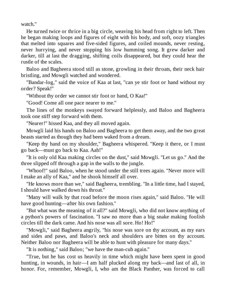watch."

He turned twice or thrice in a big circle, weaving his head from right to left. Then he began making loops and figures of eight with his body, and soft, oozy triangles that melted into squares and five-sided figures, and coiled mounds, never resting, never hurrying, and never stopping his low humming song. It grew darker and darker, till at last the dragging, shifting coils disappeared, but they could hear the rustle of the scales.

Baloo and Bagheera stood still as stone, growling in their throats, their neck hair bristling, and Mowgli watched and wondered.

"Bandar-log," said the voice of Kaa at last, "can ye stir foot or hand without my order? Speak!"

"Without thy order we cannot stir foot or hand, O Kaa!"

"Good! Come all one pace nearer to me."

The lines of the monkeys swayed forward helplessly, and Baloo and Bagheera took one stiff step forward with them.

"Nearer!" hissed Kaa, and they all moved again.

Mowgli laid his hands on Baloo and Bagheera to get them away, and the two great beasts started as though they had been waked from a dream.

"Keep thy hand on my shoulder," Bagheera whispered. "Keep it there, or I must go back—must go back to Kaa. Aah!"

"It is only old Kaa making circles on the dust," said Mowgli. "Let us go." And the three slipped off through a gap in the walls to the jungle.

"Whoof!" said Baloo, when he stood under the still trees again. "Never more will I make an ally of Kaa," and he shook himself all over.

"He knows more than we," said Bagheera, trembling. "In a little time, had I stayed, I should have walked down his throat."

"Many will walk by that road before the moon rises again," said Baloo. "He will have good hunting—after his own fashion."

"But what was the meaning of it all?" said Mowgli, who did not know anything of a python's powers of fascination. "I saw no more than a big snake making foolish circles till the dark came. And his nose was all sore. Ho! Ho!"

"Mowgli," said Bagheera angrily, "his nose was sore on thy account, as my ears and sides and paws, and Baloo's neck and shoulders are bitten on thy account. Neither Baloo nor Bagheera will be able to hunt with pleasure for many days."

"It is nothing," said Baloo; "we have the man-cub again."

"True, but he has cost us heavily in time which might have been spent in good hunting, in wounds, in hair—I am half plucked along my back—and last of all, in honor. For, remember, Mowgli, I, who am the Black Panther, was forced to call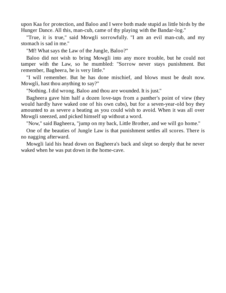upon Kaa for protection, and Baloo and I were both made stupid as little birds by the Hunger Dance. All this, man-cub, came of thy playing with the Bandar-log."

"True, it is true," said Mowgli sorrowfully. "I am an evil man-cub, and my stomach is sad in me."

"Mf! What says the Law of the Jungle, Baloo?"

Baloo did not wish to bring Mowgli into any more trouble, but he could not tamper with the Law, so he mumbled: "Sorrow never stays punishment. But remember, Bagheera, he is very little."

"I will remember. But he has done mischief, and blows must be dealt now. Mowgli, hast thou anything to say?"

"Nothing. I did wrong. Baloo and thou are wounded. It is just."

Bagheera gave him half a dozen love-taps from a panther's point of view (they would hardly have waked one of his own cubs), but for a seven-year-old boy they amounted to as severe a beating as you could wish to avoid. When it was all over Mowgli sneezed, and picked himself up without a word.

"Now," said Bagheera, "jump on my back, Little Brother, and we will go home."

One of the beauties of Jungle Law is that punishment settles all scores. There is no nagging afterward.

Mowgli laid his head down on Bagheera's back and slept so deeply that he never waked when he was put down in the home-cave.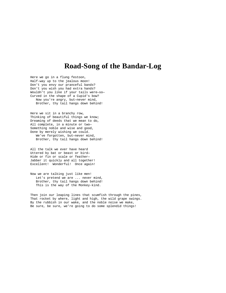#### **Road-Song of the Bandar-Log**

Here we go in a flung festoon, Half-way up to the jealous moon! Don't you envy our pranceful bands? Don't you wish you had extra hands? Wouldn't you like if your tails were—so— Curved in the shape of a Cupid's bow? Now you're angry, but—never mind, Brother, thy tail hangs down behind!

Here we sit in a branchy row, Thinking of beautiful things we know; Dreaming of deeds that we mean to do, All complete, in a minute or two— Something noble and wise and good, Done by merely wishing we could. We've forgotten, but—never mind, Brother, thy tail hangs down behind!

All the talk we ever have heard Uttered by bat or beast or bird— Hide or fin or scale or feather— Jabber it quickly and all together! Excellent! Wonderful! Once again!

Now we are talking just like men! Let's pretend we are ... never mind, Brother, thy tail hangs down behind! This is the way of the Monkey-kind.

Then join our leaping lines that scumfish through the pines, That rocket by where, light and high, the wild grape swings. By the rubbish in our wake, and the noble noise we make, Be sure, be sure, we're going to do some splendid things!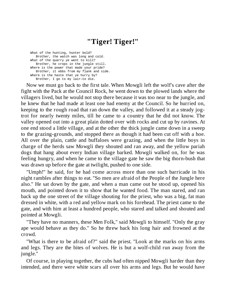# **"Tiger! Tiger!"**

What of the hunting, hunter bold? Brother, the watch was long and cold. What of the quarry ye went to kill? Brother, he crops in the jungle still. Where is the power that made your pride? Brother, it ebbs from my flank and side. Where is the haste that ye hurry by? Brother, I go to my lair—to die.

Now we must go back to the first tale. When Mowgli left the wolf's cave after the fight with the Pack at the Council Rock, he went down to the plowed lands where the villagers lived, but he would not stop there because it was too near to the jungle, and he knew that he had made at least one bad enemy at the Council. So he hurried on, keeping to the rough road that ran down the valley, and followed it at a steady jogtrot for nearly twenty miles, till he came to a country that he did not know. The valley opened out into a great plain dotted over with rocks and cut up by ravines. At one end stood a little village, and at the other the thick jungle came down in a sweep to the grazing-grounds, and stopped there as though it had been cut off with a hoe. All over the plain, cattle and buffaloes were grazing, and when the little boys in charge of the herds saw Mowgli they shouted and ran away, and the yellow pariah dogs that hang about every Indian village barked. Mowgli walked on, for he was feeling hungry, and when he came to the village gate he saw the big thorn-bush that was drawn up before the gate at twilight, pushed to one side.

"Umph!" he said, for he had come across more than one such barricade in his night rambles after things to eat. "So men are afraid of the People of the Jungle here also." He sat down by the gate, and when a man came out he stood up, opened his mouth, and pointed down it to show that he wanted food. The man stared, and ran back up the one street of the village shouting for the priest, who was a big, fat man dressed in white, with a red and yellow mark on his forehead. The priest came to the gate, and with him at least a hundred people, who stared and talked and shouted and pointed at Mowgli.

"They have no manners, these Men Folk," said Mowgli to himself. "Only the gray ape would behave as they do." So he threw back his long hair and frowned at the crowd.

"What is there to be afraid of?" said the priest. "Look at the marks on his arms and legs. They are the bites of wolves. He is but a wolf-child run away from the jungle."

Of course, in playing together, the cubs had often nipped Mowgli harder than they intended, and there were white scars all over his arms and legs. But he would have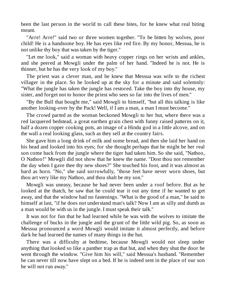been the last person in the world to call these bites, for he knew what real biting meant.

"Arre! Arre!" said two or three women together. "To be bitten by wolves, poor child! He is a handsome boy. He has eyes like red fire. By my honor, Messua, he is not unlike thy boy that was taken by the tiger."

"Let me look," said a woman with heavy copper rings on her wrists and ankles, and she peered at Mowgli under the palm of her hand. "Indeed he is not. He is thinner, but he has the very look of my boy."

The priest was a clever man, and he knew that Messua was wife to the richest villager in the place. So he looked up at the sky for a minute and said solemnly: "What the jungle has taken the jungle has restored. Take the boy into thy house, my sister, and forget not to honor the priest who sees so far into the lives of men."

"By the Bull that bought me," said Mowgli to himself, "but all this talking is like another looking-over by the Pack! Well, if I am a man, a man I must become."

The crowd parted as the woman beckoned Mowgli to her hut, where there was a red lacquered bedstead, a great earthen grain chest with funny raised patterns on it, half a dozen copper cooking pots, an image of a Hindu god in a little alcove, and on the wall a real looking glass, such as they sell at the country fairs.

She gave him a long drink of milk and some bread, and then she laid her hand on his head and looked into his eyes; for she thought perhaps that he might be her real son come back from the jungle where the tiger had taken him. So she said, "Nathoo, O Nathoo!" Mowgli did not show that he knew the name. "Dost thou not remember the day when I gave thee thy new shoes?" She touched his foot, and it was almost as hard as horn. "No," she said sorrowfully, "those feet have never worn shoes, but thou art very like my Nathoo, and thou shalt be my son."

Mowgli was uneasy, because he had never been under a roof before. But as he looked at the thatch, he saw that he could tear it out any time if he wanted to get away, and that the window had no fastenings. "What is the good of a man," he said to himself at last, "if he does not understand man's talk? Now I am as silly and dumb as a man would be with us in the jungle. I must speak their talk."

It was not for fun that he had learned while he was with the wolves to imitate the challenge of bucks in the jungle and the grunt of the little wild pig. So, as soon as Messua pronounced a word Mowgli would imitate it almost perfectly, and before dark he had learned the names of many things in the hut.

There was a difficulty at bedtime, because Mowgli would not sleep under anything that looked so like a panther trap as that hut, and when they shut the door he went through the window. "Give him his will," said Messua's husband. "Remember he can never till now have slept on a bed. If he is indeed sent in the place of our son he will not run away."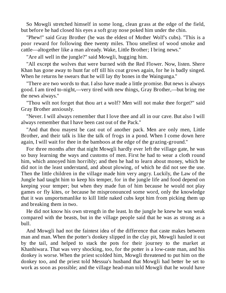So Mowgli stretched himself in some long, clean grass at the edge of the field, but before he had closed his eyes a soft gray nose poked him under the chin.

"Phew!" said Gray Brother (he was the eldest of Mother Wolf's cubs). "This is a poor reward for following thee twenty miles. Thou smellest of wood smoke and cattle—altogether like a man already. Wake, Little Brother; I bring news."

"Are all well in the jungle?" said Mowgli, hugging him.

"All except the wolves that were burned with the Red Flower. Now, listen. Shere Khan has gone away to hunt far off till his coat grows again, for he is badly singed. When he returns he swears that he will lay thy bones in the Waingunga."

"There are two words to that. I also have made a little promise. But news is always good. I am tired to-night,—very tired with new things, Gray Brother,—but bring me the news always."

"Thou wilt not forget that thou art a wolf? Men will not make thee forget?" said Gray Brother anxiously.

"Never. I will always remember that I love thee and all in our cave. But also I will always remember that I have been cast out of the Pack."

"And that thou mayest be cast out of another pack. Men are only men, Little Brother, and their talk is like the talk of frogs in a pond. When I come down here again, I will wait for thee in the bamboos at the edge of the grazing-ground."

For three months after that night Mowgli hardly ever left the village gate, he was so busy learning the ways and customs of men. First he had to wear a cloth round him, which annoyed him horribly; and then he had to learn about money, which he did not in the least understand, and about plowing, of which he did not see the use. Then the little children in the village made him very angry. Luckily, the Law of the Jungle had taught him to keep his temper, for in the jungle life and food depend on keeping your temper; but when they made fun of him because he would not play games or fly kites, or because he mispronounced some word, only the knowledge that it was unsportsmanlike to kill little naked cubs kept him from picking them up and breaking them in two.

He did not know his own strength in the least. In the jungle he knew he was weak compared with the beasts, but in the village people said that he was as strong as a bull.

And Mowgli had not the faintest idea of the difference that caste makes between man and man. When the potter's donkey slipped in the clay pit, Mowgli hauled it out by the tail, and helped to stack the pots for their journey to the market at Khanhiwara. That was very shocking, too, for the potter is a low-caste man, and his donkey is worse. When the priest scolded him, Mowgli threatened to put him on the donkey too, and the priest told Messua's husband that Mowgli had better be set to work as soon as possible; and the village head-man told Mowgli that he would have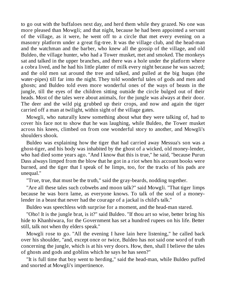to go out with the buffaloes next day, and herd them while they grazed. No one was more pleased than Mowgli; and that night, because he had been appointed a servant of the village, as it were, he went off to a circle that met every evening on a masonry platform under a great fig-tree. It was the village club, and the head-man and the watchman and the barber, who knew all the gossip of the village, and old Buldeo, the village hunter, who had a Tower musket, met and smoked. The monkeys sat and talked in the upper branches, and there was a hole under the platform where a cobra lived, and he had his little platter of milk every night because he was sacred; and the old men sat around the tree and talked, and pulled at the big huqas (the water-pipes) till far into the night. They told wonderful tales of gods and men and ghosts; and Buldeo told even more wonderful ones of the ways of beasts in the jungle, till the eyes of the children sitting outside the circle bulged out of their heads. Most of the tales were about animals, for the jungle was always at their door. The deer and the wild pig grubbed up their crops, and now and again the tiger carried off a man at twilight, within sight of the village gates.

Mowgli, who naturally knew something about what they were talking of, had to cover his face not to show that he was laughing, while Buldeo, the Tower musket across his knees, climbed on from one wonderful story to another, and Mowgli's shoulders shook.

Buldeo was explaining how the tiger that had carried away Messua's son was a ghost-tiger, and his body was inhabited by the ghost of a wicked, old money-lender, who had died some years ago. "And I know that this is true," he said, "because Purun Dass always limped from the blow that he got in a riot when his account books were burned, and the tiger that I speak of he limps, too, for the tracks of his pads are unequal."

"True, true, that must be the truth," said the gray-beards, nodding together.

"Are all these tales such cobwebs and moon talk?" said Mowgli. "That tiger limps because he was born lame, as everyone knows. To talk of the soul of a moneylender in a beast that never had the courage of a jackal is child's talk."

Buldeo was speechless with surprise for a moment, and the head-man stared.

"Oho! It is the jungle brat, is it?" said Buldeo. "If thou art so wise, better bring his hide to Khanhiwara, for the Government has set a hundred rupees on his life. Better still, talk not when thy elders speak."

Mowgli rose to go. "All the evening I have lain here listening," he called back over his shoulder, "and, except once or twice, Buldeo has not said one word of truth concerning the jungle, which is at his very doors. How, then, shall I believe the tales of ghosts and gods and goblins which he says he has seen?"

"It is full time that boy went to herding," said the head-man, while Buldeo puffed and snorted at Mowgli's impertinence.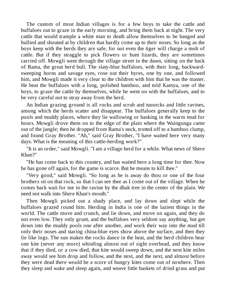The custom of most Indian villages is for a few boys to take the cattle and buffaloes out to graze in the early morning, and bring them back at night. The very cattle that would trample a white man to death allow themselves to be banged and bullied and shouted at by children that hardly come up to their noses. So long as the boys keep with the herds they are safe, for not even the tiger will charge a mob of cattle. But if they straggle to pick flowers or hunt lizards, they are sometimes carried off. Mowgli went through the village street in the dawn, sitting on the back of Rama, the great herd bull. The slaty-blue buffaloes, with their long, backwardsweeping horns and savage eyes, rose out their byres, one by one, and followed him, and Mowgli made it very clear to the children with him that he was the master. He beat the buffaloes with a long, polished bamboo, and told Kamya, one of the boys, to graze the cattle by themselves, while he went on with the buffaloes, and to be very careful not to stray away from the herd.

An Indian grazing ground is all rocks and scrub and tussocks and little ravines, among which the herds scatter and disappear. The buffaloes generally keep to the pools and muddy places, where they lie wallowing or basking in the warm mud for hours. Mowgli drove them on to the edge of the plain where the Waingunga came out of the jungle; then he dropped from Rama's neck, trotted off to a bamboo clump, and found Gray Brother. "Ah," said Gray Brother, "I have waited here very many days. What is the meaning of this cattle-herding work?"

"It is an order," said Mowgli. "I am a village herd for a while. What news of Shere Khan?"

"He has come back to this country, and has waited here a long time for thee. Now he has gone off again, for the game is scarce. But he means to kill thee."

"Very good," said Mowgli. "So long as he is away do thou or one of the four brothers sit on that rock, so that I can see thee as I come out of the village. When he comes back wait for me in the ravine by the dhak tree in the center of the plain. We need not walk into Shere Khan's mouth."

Then Mowgli picked out a shady place, and lay down and slept while the buffaloes grazed round him. Herding in India is one of the laziest things in the world. The cattle move and crunch, and lie down, and move on again, and they do not even low. They only grunt, and the buffaloes very seldom say anything, but get down into the muddy pools one after another, and work their way into the mud till only their noses and staring china-blue eyes show above the surface, and then they lie like logs. The sun makes the rocks dance in the heat, and the herd children hear one kite (never any more) whistling almost out of sight overhead, and they know that if they died, or a cow died, that kite would sweep down, and the next kite miles away would see him drop and follow, and the next, and the next, and almost before they were dead there would be a score of hungry kites come out of nowhere. Then they sleep and wake and sleep again, and weave little baskets of dried grass and put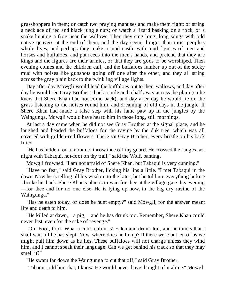grasshoppers in them; or catch two praying mantises and make them fight; or string a necklace of red and black jungle nuts; or watch a lizard basking on a rock, or a snake hunting a frog near the wallows. Then they sing long, long songs with odd native quavers at the end of them, and the day seems longer than most people's whole lives, and perhaps they make a mud castle with mud figures of men and horses and buffaloes, and put reeds into the men's hands, and pretend that they are kings and the figures are their armies, or that they are gods to be worshiped. Then evening comes and the children call, and the buffaloes lumber up out of the sticky mud with noises like gunshots going off one after the other, and they all string across the gray plain back to the twinkling village lights.

Day after day Mowgli would lead the buffaloes out to their wallows, and day after day he would see Gray Brother's back a mile and a half away across the plain (so he knew that Shere Khan had not come back), and day after day he would lie on the grass listening to the noises round him, and dreaming of old days in the jungle. If Shere Khan had made a false step with his lame paw up in the jungles by the Waingunga, Mowgli would have heard him in those long, still mornings.

At last a day came when he did not see Gray Brother at the signal place, and he laughed and headed the buffaloes for the ravine by the dhk tree, which was all covered with golden-red flowers. There sat Gray Brother, every bristle on his back lifted.

"He has hidden for a month to throw thee off thy guard. He crossed the ranges last night with Tabaqui, hot-foot on thy trail," said the Wolf, panting.

Mowgli frowned. "I am not afraid of Shere Khan, but Tabaqui is very cunning."

"Have no fear," said Gray Brother, licking his lips a little. "I met Tabaqui in the dawn. Now he is telling all his wisdom to the kites, but he told me everything before I broke his back. Shere Khan's plan is to wait for thee at the village gate this evening —for thee and for no one else. He is lying up now, in the big dry ravine of the Waingunga."

"Has he eaten today, or does he hunt empty?" said Mowgli, for the answer meant life and death to him.

"He killed at dawn,—a pig,—and he has drunk too. Remember, Shere Khan could never fast, even for the sake of revenge."

"Oh! Fool, fool! What a cub's cub it is! Eaten and drunk too, and he thinks that I shall wait till he has slept! Now, where does he lie up? If there were but ten of us we might pull him down as he lies. These buffaloes will not charge unless they wind him, and I cannot speak their language. Can we get behind his track so that they may smell it?"

"He swam far down the Waingunga to cut that off," said Gray Brother.

"Tabaqui told him that, I know. He would never have thought of it alone." Mowgli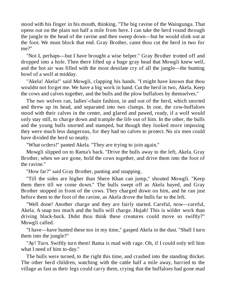stood with his finger in his mouth, thinking. "The big ravine of the Waingunga. That opens out on the plain not half a mile from here. I can take the herd round through the jungle to the head of the ravine and then sweep down—but he would slink out at the foot. We must block that end. Gray Brother, canst thou cut the herd in two for me?"

"Not I, perhaps—but I have brought a wise helper." Gray Brother trotted off and dropped into a hole. Then there lifted up a huge gray head that Mowgli knew well, and the hot air was filled with the most desolate cry of all the jungle—the hunting howl of a wolf at midday.

"Akela! Akela!" said Mowgli, clapping his hands. "I might have known that thou wouldst not forget me. We have a big work in hand. Cut the herd in two, Akela. Keep the cows and calves together, and the bulls and the plow buffaloes by themselves."

The two wolves ran, ladies'-chain fashion, in and out of the herd, which snorted and threw up its head, and separated into two clumps. In one, the cow-buffaloes stood with their calves in the center, and glared and pawed, ready, if a wolf would only stay still, to charge down and trample the life out of him. In the other, the bulls and the young bulls snorted and stamped, but though they looked more imposing they were much less dangerous, for they had no calves to protect. No six men could have divided the herd so neatly.

"What orders!" panted Akela. "They are trying to join again."

Mowgli slipped on to Rama's back. "Drive the bulls away to the left, Akela. Gray Brother, when we are gone, hold the cows together, and drive them into the foot of the ravine."

"How far?" said Gray Brother, panting and snapping.

"Till the sides are higher than Shere Khan can jump," shouted Mowgli. "Keep them there till we come down." The bulls swept off as Akela bayed, and Gray Brother stopped in front of the cows. They charged down on him, and he ran just before them to the foot of the ravine, as Akela drove the bulls far to the left.

"Well done! Another charge and they are fairly started. Careful, now—careful, Akela. A snap too much and the bulls will charge. Hujah! This is wilder work than driving black-buck. Didst thou think these creatures could move so swiftly?" Mowgli called.

"I have—have hunted these too in my time," gasped Akela in the dust. "Shall I turn them into the jungle?"

"Ay! Turn. Swiftly turn them! Rama is mad with rage. Oh, if I could only tell him what I need of him to-day."

The bulls were turned, to the right this time, and crashed into the standing thicket. The other herd children, watching with the cattle half a mile away, hurried to the village as fast as their legs could carry them, crying that the buffaloes had gone mad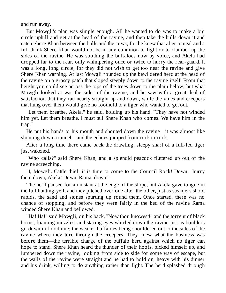and run away.

But Mowgli's plan was simple enough. All he wanted to do was to make a big circle uphill and get at the head of the ravine, and then take the bulls down it and catch Shere Khan between the bulls and the cows; for he knew that after a meal and a full drink Shere Khan would not be in any condition to fight or to clamber up the sides of the ravine. He was soothing the buffaloes now by voice, and Akela had dropped far to the rear, only whimpering once or twice to hurry the rear-guard. It was a long, long circle, for they did not wish to get too near the ravine and give Shere Khan warning. At last Mowgli rounded up the bewildered herd at the head of the ravine on a grassy patch that sloped steeply down to the ravine itself. From that height you could see across the tops of the trees down to the plain below; but what Mowgli looked at was the sides of the ravine, and he saw with a great deal of satisfaction that they ran nearly straight up and down, while the vines and creepers that hung over them would give no foothold to a tiger who wanted to get out.

"Let them breathe, Akela," he said, holding up his hand. "They have not winded him yet. Let them breathe. I must tell Shere Khan who comes. We have him in the trap."

He put his hands to his mouth and shouted down the ravine—it was almost like shouting down a tunnel—and the echoes jumped from rock to rock.

After a long time there came back the drawling, sleepy snarl of a full-fed tiger just wakened.

"Who calls?" said Shere Khan, and a splendid peacock fluttered up out of the ravine screeching.

"I, Mowgli. Cattle thief, it is time to come to the Council Rock! Down—hurry them down, Akela! Down, Rama, down!"

The herd paused for an instant at the edge of the slope, but Akela gave tongue in the full hunting-yell, and they pitched over one after the other, just as steamers shoot rapids, the sand and stones spurting up round them. Once started, there was no chance of stopping, and before they were fairly in the bed of the ravine Rama winded Shere Khan and bellowed.

"Ha! Ha!" said Mowgli, on his back. "Now thou knowest!" and the torrent of black horns, foaming muzzles, and staring eyes whirled down the ravine just as boulders go down in floodtime; the weaker buffaloes being shouldered out to the sides of the ravine where they tore through the creepers. They knew what the business was before them—the terrible charge of the buffalo herd against which no tiger can hope to stand. Shere Khan heard the thunder of their hoofs, picked himself up, and lumbered down the ravine, looking from side to side for some way of escape, but the walls of the ravine were straight and he had to hold on, heavy with his dinner and his drink, willing to do anything rather than fight. The herd splashed through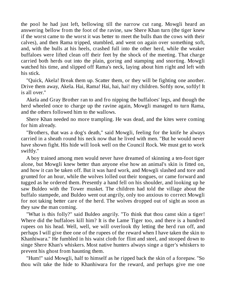the pool he had just left, bellowing till the narrow cut rang. Mowgli heard an answering bellow from the foot of the ravine, saw Shere Khan turn (the tiger knew if the worst came to the worst it was better to meet the bulls than the cows with their calves), and then Rama tripped, stumbled, and went on again over something soft, and, with the bulls at his heels, crashed full into the other herd, while the weaker buffaloes were lifted clean off their feet by the shock of the meeting. That charge carried both herds out into the plain, goring and stamping and snorting. Mowgli watched his time, and slipped off Rama's neck, laying about him right and left with his stick.

"Quick, Akela! Break them up. Scatter them, or they will be fighting one another. Drive them away, Akela. Hai, Rama! Hai, hai, hai! my children. Softly now, softly! It is all over."

Akela and Gray Brother ran to and fro nipping the buffaloes' legs, and though the herd wheeled once to charge up the ravine again, Mowgli managed to turn Rama, and the others followed him to the wallows.

Shere Khan needed no more trampling. He was dead, and the kites were coming for him already.

"Brothers, that was a dog's death," said Mowgli, feeling for the knife he always carried in a sheath round his neck now that he lived with men. "But he would never have shown fight. His hide will look well on the Council Rock. We must get to work swiftly."

A boy trained among men would never have dreamed of skinning a ten-foot tiger alone, but Mowgli knew better than anyone else how an animal's skin is fitted on, and how it can be taken off. But it was hard work, and Mowgli slashed and tore and grunted for an hour, while the wolves lolled out their tongues, or came forward and tugged as he ordered them. Presently a hand fell on his shoulder, and looking up he saw Buldeo with the Tower musket. The children had told the village about the buffalo stampede, and Buldeo went out angrily, only too anxious to correct Mowgli for not taking better care of the herd. The wolves dropped out of sight as soon as they saw the man coming.

"What is this folly?" said Buldeo angrily. "To think that thou canst skin a tiger! Where did the buffaloes kill him? It is the Lame Tiger too, and there is a hundred rupees on his head. Well, well, we will overlook thy letting the herd run off, and perhaps I will give thee one of the rupees of the reward when I have taken the skin to Khanhiwara." He fumbled in his waist cloth for flint and steel, and stooped down to singe Shere Khan's whiskers. Most native hunters always singe a tiger's whiskers to prevent his ghost from haunting them.

"Hum!" said Mowgli, half to himself as he ripped back the skin of a forepaw. "So thou wilt take the hide to Khanhiwara for the reward, and perhaps give me one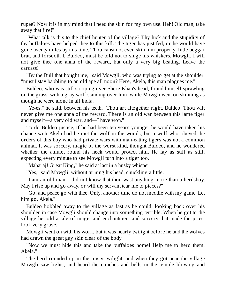rupee? Now it is in my mind that I need the skin for my own use. Heh! Old man, take away that fire!"

"What talk is this to the chief hunter of the village? Thy luck and the stupidity of thy buffaloes have helped thee to this kill. The tiger has just fed, or he would have gone twenty miles by this time. Thou canst not even skin him properly, little beggar brat, and forsooth I, Buldeo, must be told not to singe his whiskers. Mowgli, I will not give thee one anna of the reward, but only a very big beating. Leave the carcass!"

"By the Bull that bought me," said Mowgli, who was trying to get at the shoulder, "must I stay babbling to an old ape all noon? Here, Akela, this man plagues me."

Buldeo, who was still stooping over Shere Khan's head, found himself sprawling on the grass, with a gray wolf standing over him, while Mowgli went on skinning as though he were alone in all India.

"Ye-es," he said, between his teeth. "Thou art altogether right, Buldeo. Thou wilt never give me one anna of the reward. There is an old war between this lame tiger and myself—a very old war, and—I have won."

To do Buldeo justice, if he had been ten years younger he would have taken his chance with Akela had he met the wolf in the woods, but a wolf who obeyed the orders of this boy who had private wars with man-eating tigers was not a common animal. It was sorcery, magic of the worst kind, thought Buldeo, and he wondered whether the amulet round his neck would protect him. He lay as still as still, expecting every minute to see Mowgli turn into a tiger too.

"Maharaj! Great King," he said at last in a husky whisper.

"Yes," said Mowgli, without turning his head, chuckling a little.

"I am an old man. I did not know that thou wast anything more than a herdsboy. May I rise up and go away, or will thy servant tear me to pieces?"

"Go, and peace go with thee. Only, another time do not meddle with my game. Let him go, Akela."

Buldeo hobbled away to the village as fast as he could, looking back over his shoulder in case Mowgli should change into something terrible. When he got to the village he told a tale of magic and enchantment and sorcery that made the priest look very grave.

Mowgli went on with his work, but it was nearly twilight before he and the wolves had drawn the great gay skin clear of the body.

"Now we must hide this and take the buffaloes home! Help me to herd them, Akela."

The herd rounded up in the misty twilight, and when they got near the village Mowgli saw lights, and heard the conches and bells in the temple blowing and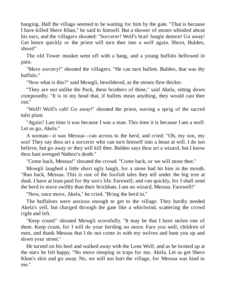banging. Half the village seemed to be waiting for him by the gate. "That is because I have killed Shere Khan," he said to himself. But a shower of stones whistled about his ears, and the villagers shouted: "Sorcerer! Wolf's brat! Jungle demon! Go away! Get hence quickly or the priest will turn thee into a wolf again. Shoot, Buldeo, shoot!"

The old Tower musket went off with a bang, and a young buffalo bellowed in pain.

"More sorcery!" shouted the villagers. "He can turn bullets. Buldeo, that was thy buffalo."

"Now what is this?" said Mowgli, bewildered, as the stones flew thicker.

"They are not unlike the Pack, these brothers of thine," said Akela, sitting down composedly. "It is in my head that, if bullets mean anything, they would cast thee out."

"Wolf! Wolf's cub! Go away!" shouted the priest, waving a sprig of the sacred tulsi plant.

"Again? Last time it was because I was a man. This time it is because I am a wolf. Let us go, Akela."

A woman—it was Messua—ran across to the herd, and cried: "Oh, my son, my son! They say thou art a sorcerer who can turn himself into a beast at will. I do not believe, but go away or they will kill thee. Buldeo says thou art a wizard, but I know thou hast avenged Nathoo's death."

"Come back, Messua!" shouted the crowd. "Come back, or we will stone thee."

Mowgli laughed a little short ugly laugh, for a stone had hit him in the mouth. "Run back, Messua. This is one of the foolish tales they tell under the big tree at dusk. I have at least paid for thy son's life. Farewell; and run quickly, for I shall send the herd in more swiftly than their brickbats. I am no wizard, Messua. Farewell!"

"Now, once more, Akela," he cried. "Bring the herd in."

The buffaloes were anxious enough to get to the village. They hardly needed Akela's yell, but charged through the gate like a whirlwind, scattering the crowd right and left.

"Keep count!" shouted Mowgli scornfully. "It may be that I have stolen one of them. Keep count, for I will do your herding no more. Fare you well, children of men, and thank Messua that I do not come in with my wolves and hunt you up and down your street."

He turned on his heel and walked away with the Lone Wolf, and as he looked up at the stars he felt happy. "No more sleeping in traps for me, Akela. Let us get Shere Khan's skin and go away. No, we will not hurt the village, for Messua was kind to me."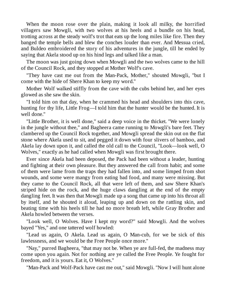When the moon rose over the plain, making it look all milky, the horrified villagers saw Mowgli, with two wolves at his heels and a bundle on his head, trotting across at the steady wolf's trot that eats up the long miles like fire. Then they banged the temple bells and blew the conches louder than ever. And Messua cried, and Buldeo embroidered the story of his adventures in the jungle, till he ended by saying that Akela stood up on his hind legs and talked like a man.

The moon was just going down when Mowgli and the two wolves came to the hill of the Council Rock, and they stopped at Mother Wolf's cave.

"They have cast me out from the Man-Pack, Mother," shouted Mowgli, "but I come with the hide of Shere Khan to keep my word."

Mother Wolf walked stiffly from the cave with the cubs behind her, and her eyes glowed as she saw the skin.

"I told him on that day, when he crammed his head and shoulders into this cave, hunting for thy life, Little Frog—I told him that the hunter would be the hunted. It is well done."

"Little Brother, it is well done," said a deep voice in the thicket. "We were lonely in the jungle without thee," and Bagheera came running to Mowgli's bare feet. They clambered up the Council Rock together, and Mowgli spread the skin out on the flat stone where Akela used to sit, and pegged it down with four slivers of bamboo, and Akela lay down upon it, and called the old call to the Council, "Look—look well, O Wolves," exactly as he had called when Mowgli was first brought there.

Ever since Akela had been deposed, the Pack had been without a leader, hunting and fighting at their own pleasure. But they answered the call from habit; and some of them were lame from the traps they had fallen into, and some limped from shot wounds, and some were mangy from eating bad food, and many were missing. But they came to the Council Rock, all that were left of them, and saw Shere Khan's striped hide on the rock, and the huge claws dangling at the end of the empty dangling feet. It was then that Mowgli made up a song that came up into his throat all by itself, and he shouted it aloud, leaping up and down on the rattling skin, and beating time with his heels till he had no more breath left, while Gray Brother and Akela howled between the verses.

"Look well, O Wolves. Have I kept my word?" said Mowgli. And the wolves bayed "Yes," and one tattered wolf howled:

"Lead us again, O Akela. Lead us again, O Man-cub, for we be sick of this lawlessness, and we would be the Free People once more."

"Nay," purred Bagheera, "that may not be. When ye are full-fed, the madness may come upon you again. Not for nothing are ye called the Free People. Ye fought for freedom, and it is yours. Eat it, O Wolves."

"Man-Pack and Wolf-Pack have cast me out," said Mowgli. "Now I will hunt alone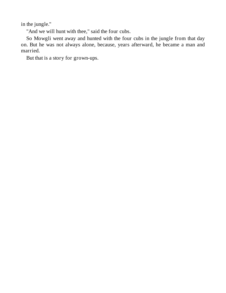in the jungle."

"And we will hunt with thee," said the four cubs.

So Mowgli went away and hunted with the four cubs in the jungle from that day on. But he was not always alone, because, years afterward, he became a man and married.

But that is a story for grown-ups.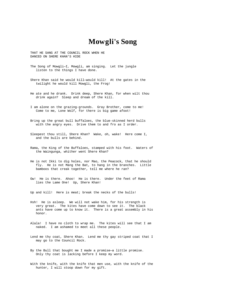### **Mowgli's Song**

THAT HE SANG AT THE COUNCIL ROCK WHEN HE DANCED ON SHERE KHAN'S HIDE

- The Song of Mowgli—I, Mowgli, am singing. Let the jungle listen to the things I have done.
- Shere Khan said he would kill—would kill! At the gates in the twilight he would kill Mowgli, the Frog!
- He ate and he drank. Drink deep, Shere Khan, for when wilt thou drink again? Sleep and dream of the kill.
- I am alone on the grazing-grounds. Gray Brother, come to me! Come to me, Lone Wolf, for there is big game afoot!
- Bring up the great bull buffaloes, the blue-skinned herd bulls with the angry eyes. Drive them to and fro as I order.
- Sleepest thou still, Shere Khan? Wake, oh, wake! Here come I, and the bulls are behind.
- Rama, the King of the Buffaloes, stamped with his foot. Waters of the Waingunga, whither went Shere Khan?
- He is not Ikki to dig holes, nor Mao, the Peacock, that he should fly. He is not Mang the Bat, to hang in the branches. Little bamboos that creak together, tell me where he ran?
- Ow! He is there. Ahoo! He is there. Under the feet of Rama lies the Lame One! Up, Shere Khan!

Up and kill! Here is meat; break the necks of the bulls!

- Hsh! He is asleep. We will not wake him, for his strength is very great. The kites have come down to see it. The black ants have come up to know it. There is a great assembly in his honor.
- Alala! I have no cloth to wrap me. The kites will see that I am naked. I am ashamed to meet all these people.
- Lend me thy coat, Shere Khan. Lend me thy gay striped coat that I may go to the Council Rock.
- By the Bull that bought me I made a promise—a little promise. Only thy coat is lacking before I keep my word.
- With the knife, with the knife that men use, with the knife of the hunter, I will stoop down for my gift.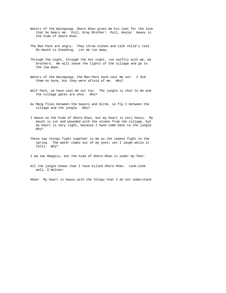- Waters of the Waingunga, Shere Khan gives me his coat for the love that he bears me. Pull, Gray Brother! Pull, Akela! Heavy is the hide of Shere Khan.
- The Man Pack are angry. They throw stones and talk child's talk. My mouth is bleeding. Let me run away.
- Through the night, through the hot night, run swiftly with me, my brothers. We will leave the lights of the village and go to the low moon.
- Waters of the Waingunga, the Man-Pack have cast me out. I did them no harm, but they were afraid of me. Why?
- Wolf Pack, ye have cast me out too. The jungle is shut to me and the village gates are shut. Why?
- As Mang flies between the beasts and birds, so fly I between the village and the jungle. Why?
- I dance on the hide of Shere Khan, but my heart is very heavy. My mouth is cut and wounded with the stones from the village, but my heart is very light, because I have come back to the jungle. Why?
- These two things fight together in me as the snakes fight in the spring. The water comes out of my eyes; yet I laugh while it falls. Why?

I am two Mowglis, but the hide of Shere Khan is under my feet.

All the jungle knows that I have killed Shere Khan. Look—look well, O Wolves!

Ahae! My heart is heavy with the things that I do not understand.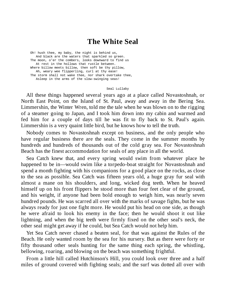#### **The White Seal**

Oh! hush thee, my baby, the night is behind us, And black are the waters that sparkled so green. The moon, o'er the combers, looks downward to find us At rest in the hollows that rustle between. Where billow meets billow, then soft be thy pillow, Ah, weary wee flipperling, curl at thy ease! The storm shall not wake thee, nor shark overtake thee, Asleep in the arms of the slow-swinging seas!

Seal Lullaby

All these things happened several years ago at a place called Novastoshnah, or North East Point, on the Island of St. Paul, away and away in the Bering Sea. Limmershin, the Winter Wren, told me the tale when he was blown on to the rigging of a steamer going to Japan, and I took him down into my cabin and warmed and fed him for a couple of days till he was fit to fly back to St. Paul's again. Limmershin is a very quaint little bird, but he knows how to tell the truth.

Nobody comes to Novastoshnah except on business, and the only people who have regular business there are the seals. They come in the summer months by hundreds and hundreds of thousands out of the cold gray sea. For Novastoshnah Beach has the finest accommodation for seals of any place in all the world.

Sea Catch knew that, and every spring would swim from whatever place he happened to be in—would swim like a torpedo-boat straight for Novastoshnah and spend a month fighting with his companions for a good place on the rocks, as close to the sea as possible. Sea Catch was fifteen years old, a huge gray fur seal with almost a mane on his shoulders, and long, wicked dog teeth. When he heaved himself up on his front flippers he stood more than four feet clear of the ground, and his weight, if anyone had been bold enough to weigh him, was nearly seven hundred pounds. He was scarred all over with the marks of savage fights, but he was always ready for just one fight more. He would put his head on one side, as though he were afraid to look his enemy in the face; then he would shoot it out like lightning, and when the big teeth were firmly fixed on the other seal's neck, the other seal might get away if he could, but Sea Catch would not help him.

Yet Sea Catch never chased a beaten seal, for that was against the Rules of the Beach. He only wanted room by the sea for his nursery. But as there were forty or fifty thousand other seals hunting for the same thing each spring, the whistling, bellowing, roaring, and blowing on the beach was something frightful.

From a little hill called Hutchinson's Hill, you could look over three and a half miles of ground covered with fighting seals; and the surf was dotted all over with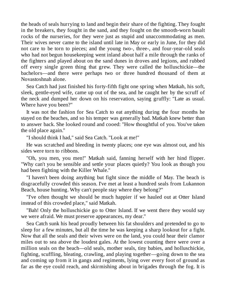the heads of seals hurrying to land and begin their share of the fighting. They fought in the breakers, they fought in the sand, and they fought on the smooth-worn basalt rocks of the nurseries, for they were just as stupid and unaccommodating as men. Their wives never came to the island until late in May or early in June, for they did not care to be torn to pieces; and the young two-, three-, and four-year-old seals who had not begun housekeeping went inland about half a mile through the ranks of the fighters and played about on the sand dunes in droves and legions, and rubbed off every single green thing that grew. They were called the holluschickie—the bachelors—and there were perhaps two or three hundred thousand of them at Novastoshnah alone.

Sea Catch had just finished his forty-fifth fight one spring when Matkah, his soft, sleek, gentle-eyed wife, came up out of the sea, and he caught her by the scruff of the neck and dumped her down on his reservation, saying gruffly: "Late as usual. Where have you been?"

It was not the fashion for Sea Catch to eat anything during the four months he stayed on the beaches, and so his temper was generally bad. Matkah knew better than to answer back. She looked round and cooed: "How thoughtful of you. You've taken the old place again."

"I should think I had," said Sea Catch. "Look at me!"

He was scratched and bleeding in twenty places; one eye was almost out, and his sides were torn to ribbons.

"Oh, you men, you men!" Matkah said, fanning herself with her hind flipper. "Why can't you be sensible and settle your places quietly? You look as though you had been fighting with the Killer Whale."

"I haven't been doing anything but fight since the middle of May. The beach is disgracefully crowded this season. I've met at least a hundred seals from Lukannon Beach, house hunting. Why can't people stay where they belong?"

"I've often thought we should be much happier if we hauled out at Otter Island instead of this crowded place," said Matkah.

"Bah! Only the holluschickie go to Otter Island. If we went there they would say we were afraid. We must preserve appearances, my dear."

Sea Catch sunk his head proudly between his fat shoulders and pretended to go to sleep for a few minutes, but all the time he was keeping a sharp lookout for a fight. Now that all the seals and their wives were on the land, you could hear their clamor miles out to sea above the loudest gales. At the lowest counting there were over a million seals on the beach—old seals, mother seals, tiny babies, and holluschickie, fighting, scuffling, bleating, crawling, and playing together—going down to the sea and coming up from it in gangs and regiments, lying over every foot of ground as far as the eye could reach, and skirmishing about in brigades through the fog. It is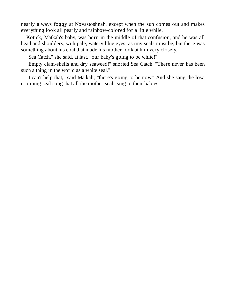nearly always foggy at Novastoshnah, except when the sun comes out and makes everything look all pearly and rainbow-colored for a little while.

Kotick, Matkah's baby, was born in the middle of that confusion, and he was all head and shoulders, with pale, watery blue eyes, as tiny seals must be, but there was something about his coat that made his mother look at him very closely.

"Sea Catch," she said, at last, "our baby's going to be white!"

"Empty clam-shells and dry seaweed!" snorted Sea Catch. "There never has been such a thing in the world as a white seal."

"I can't help that," said Matkah; "there's going to be now." And she sang the low, crooning seal song that all the mother seals sing to their babies: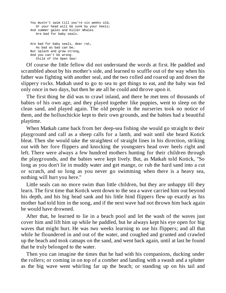```
You mustn't swim till you're six weeks old,
  Or your head will be sunk by your heels;
And summer gales and Killer Whales
   Are bad for baby seals.
Are bad for baby seals, dear rat,
  As bad as bad can be;
But splash and grow strong,
And you can't be wrong.
   Child of the Open Sea!
```
Of course the little fellow did not understand the words at first. He paddled and scrambled about by his mother's side, and learned to scuffle out of the way when his father was fighting with another seal, and the two rolled and roared up and down the slippery rocks. Matkah used to go to sea to get things to eat, and the baby was fed only once in two days, but then he ate all he could and throve upon it.

The first thing he did was to crawl inland, and there he met tens of thousands of babies of his own age, and they played together like puppies, went to sleep on the clean sand, and played again. The old people in the nurseries took no notice of them, and the holluschickie kept to their own grounds, and the babies had a beautiful playtime.

When Matkah came back from her deep-sea fishing she would go straight to their playground and call as a sheep calls for a lamb, and wait until she heard Kotick bleat. Then she would take the straightest of straight lines in his direction, striking out with her fore flippers and knocking the youngsters head over heels right and left. There were always a few hundred mothers hunting for their children through the playgrounds, and the babies were kept lively. But, as Matkah told Kotick, "So long as you don't lie in muddy water and get mange, or rub the hard sand into a cut or scratch, and so long as you never go swimming when there is a heavy sea, nothing will hurt you here."

Little seals can no more swim than little children, but they are unhappy till they learn. The first time that Kotick went down to the sea a wave carried him out beyond his depth, and his big head sank and his little hind flippers flew up exactly as his mother had told him in the song, and if the next wave had not thrown him back again he would have drowned.

After that, he learned to lie in a beach pool and let the wash of the waves just cover him and lift him up while he paddled, but he always kept his eye open for big waves that might hurt. He was two weeks learning to use his flippers; and all that while he floundered in and out of the water, and coughed and grunted and crawled up the beach and took catnaps on the sand, and went back again, until at last he found that he truly belonged to the water.

Then you can imagine the times that he had with his companions, ducking under the rollers; or coming in on top of a comber and landing with a swash and a splutter as the big wave went whirling far up the beach; or standing up on his tail and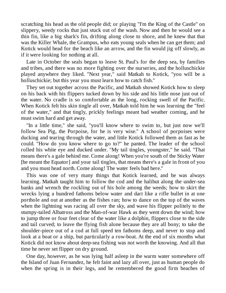scratching his head as the old people did; or playing "I'm the King of the Castle" on slippery, weedy rocks that just stuck out of the wash. Now and then he would see a thin fin, like a big shark's fin, drifting along close to shore, and he knew that that was the Killer Whale, the Grampus, who eats young seals when he can get them; and Kotick would head for the beach like an arrow, and the fin would jig off slowly, as if it were looking for nothing at all.

Late in October the seals began to leave St. Paul's for the deep sea, by families and tribes, and there was no more fighting over the nurseries, and the holluschickie played anywhere they liked. "Next year," said Matkah to Kotick, "you will be a holluschickie; but this year you must learn how to catch fish."

They set out together across the Pacific, and Matkah showed Kotick how to sleep on his back with his flippers tucked down by his side and his little nose just out of the water. No cradle is so comfortable as the long, rocking swell of the Pacific. When Kotick felt his skin tingle all over, Matkah told him he was learning the "feel of the water," and that tingly, prickly feelings meant bad weather coming, and he must swim hard and get away.

"In a little time," she said, "you'll know where to swim to, but just now we'll follow Sea Pig, the Porpoise, for he is very wise." A school of porpoises were ducking and tearing through the water, and little Kotick followed them as fast as he could. "How do you know where to go to?" he panted. The leader of the school rolled his white eye and ducked under. "My tail tingles, youngster," he said. "That means there's a gale behind me. Come along! When you're south of the Sticky Water [he meant the Equator] and your tail tingles, that means there's a gale in front of you and you must head north. Come along! The water feels bad here."

This was one of very many things that Kotick learned, and he was always learning. Matkah taught him to follow the cod and the halibut along the under-sea banks and wrench the rockling out of his hole among the weeds; how to skirt the wrecks lying a hundred fathoms below water and dart like a rifle bullet in at one porthole and out at another as the fishes ran; how to dance on the top of the waves when the lightning was racing all over the sky, and wave his flipper politely to the stumpy-tailed Albatross and the Man-of-war Hawk as they went down the wind; how to jump three or four feet clear of the water like a dolphin, flippers close to the side and tail curved; to leave the flying fish alone because they are all bony; to take the shoulder-piece out of a cod at full speed ten fathoms deep, and never to stop and look at a boat or a ship, but particularly a row-boat. At the end of six months what Kotick did not know about deep-sea fishing was not worth the knowing. And all that time he never set flipper on dry ground.

One day, however, as he was lying half asleep in the warm water somewhere off the Island of Juan Fernandez, he felt faint and lazy all over, just as human people do when the spring is in their legs, and he remembered the good firm beaches of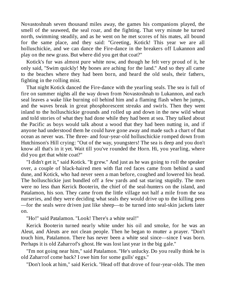Novastoshnah seven thousand miles away, the games his companions played, the smell of the seaweed, the seal roar, and the fighting. That very minute he turned north, swimming steadily, and as he went on he met scores of his mates, all bound for the same place, and they said: "Greeting, Kotick! This year we are all holluschickie, and we can dance the Fire-dance in the breakers off Lukannon and play on the new grass. But where did you get that coat?"

Kotick's fur was almost pure white now, and though he felt very proud of it, he only said, "Swim quickly! My bones are aching for the land." And so they all came to the beaches where they had been born, and heard the old seals, their fathers, fighting in the rolling mist.

That night Kotick danced the Fire-dance with the yearling seals. The sea is full of fire on summer nights all the way down from Novastoshnah to Lukannon, and each seal leaves a wake like burning oil behind him and a flaming flash when he jumps, and the waves break in great phosphorescent streaks and swirls. Then they went inland to the holluschickie grounds and rolled up and down in the new wild wheat and told stories of what they had done while they had been at sea. They talked about the Pacific as boys would talk about a wood that they had been nutting in, and if anyone had understood them he could have gone away and made such a chart of that ocean as never was. The three- and four-year-old holluschickie romped down from Hutchinson's Hill crying: "Out of the way, youngsters! The sea is deep and you don't know all that's in it yet. Wait till you've rounded the Horn. Hi, you yearling, where did you get that white coat?"

"I didn't get it," said Kotick. "It grew." And just as he was going to roll the speaker over, a couple of black-haired men with flat red faces came from behind a sand dune, and Kotick, who had never seen a man before, coughed and lowered his head. The holluschickie just bundled off a few yards and sat staring stupidly. The men were no less than Kerick Booterin, the chief of the seal-hunters on the island, and Patalamon, his son. They came from the little village not half a mile from the sea nurseries, and they were deciding what seals they would drive up to the killing pens —for the seals were driven just like sheep—to be turned into seal-skin jackets later on.

"Ho!" said Patalamon. "Look! There's a white seal!"

Kerick Booterin turned nearly white under his oil and smoke, for he was an Aleut, and Aleuts are not clean people. Then he began to mutter a prayer. "Don't touch him, Patalamon. There has never been a white seal since—since I was born. Perhaps it is old Zaharrof's ghost. He was lost last year in the big gale."

"I'm not going near him," said Patalamon. "He's unlucky. Do you really think he is old Zaharrof come back? I owe him for some gulls' eggs."

"Don't look at him," said Kerick. "Head off that drove of four-year-olds. The men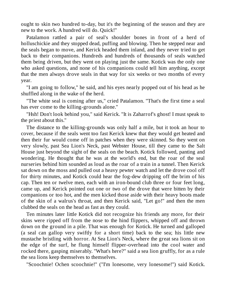ought to skin two hundred to-day, but it's the beginning of the season and they are new to the work. A hundred will do. Quick!"

Patalamon rattled a pair of seal's shoulder bones in front of a herd of holluschickie and they stopped dead, puffing and blowing. Then he stepped near and the seals began to move, and Kerick headed them inland, and they never tried to get back to their companions. Hundreds and hundreds of thousands of seals watched them being driven, but they went on playing just the same. Kotick was the only one who asked questions, and none of his companions could tell him anything, except that the men always drove seals in that way for six weeks or two months of every year.

"I am going to follow," he said, and his eyes nearly popped out of his head as he shuffled along in the wake of the herd.

"The white seal is coming after us," cried Patalamon. "That's the first time a seal has ever come to the killing-grounds alone."

"Hsh! Don't look behind you," said Kerick. "It is Zaharrof's ghost! I must speak to the priest about this."

The distance to the killing-grounds was only half a mile, but it took an hour to cover, because if the seals went too fast Kerick knew that they would get heated and then their fur would come off in patches when they were skinned. So they went on very slowly, past Sea Lion's Neck, past Webster House, till they came to the Salt House just beyond the sight of the seals on the beach. Kotick followed, panting and wondering. He thought that he was at the world's end, but the roar of the seal nurseries behind him sounded as loud as the roar of a train in a tunnel. Then Kerick sat down on the moss and pulled out a heavy pewter watch and let the drove cool off for thirty minutes, and Kotick could hear the fog-dew dripping off the brim of his cap. Then ten or twelve men, each with an iron-bound club three or four feet long, came up, and Kerick pointed out one or two of the drove that were bitten by their companions or too hot, and the men kicked those aside with their heavy boots made of the skin of a walrus's throat, and then Kerick said, "Let go!" and then the men clubbed the seals on the head as fast as they could.

Ten minutes later little Kotick did not recognize his friends any more, for their skins were ripped off from the nose to the hind flippers, whipped off and thrown down on the ground in a pile. That was enough for Kotick. He turned and galloped (a seal can gallop very swiftly for a short time) back to the sea; his little new mustache bristling with horror. At Sea Lion's Neck, where the great sea lions sit on the edge of the surf, he flung himself flipper-overhead into the cool water and rocked there, gasping miserably. "What's here?" said a sea lion gruffly, for as a rule the sea lions keep themselves to themselves.

"Scoochnie! Ochen scoochnie!" ("I'm lonesome, very lonesome!") said Kotick.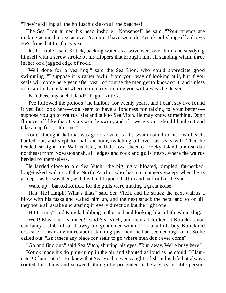"They're killing all the holluschickie on all the beaches!"

The Sea Lion turned his head inshore. "Nonsense!" he said. "Your friends are making as much noise as ever. You must have seen old Kerick polishing off a drove. He's done that for thirty years."

"It's horrible," said Kotick, backing water as a wave went over him, and steadying himself with a screw stroke of his flippers that brought him all standing within three inches of a jagged edge of rock.

"Well done for a yearling!" said the Sea Lion, who could appreciate good swimming. "I suppose it is rather awful from your way of looking at it, but if you seals will come here year after year, of course the men get to know of it, and unless you can find an island where no men ever come you will always be driven."

"Isn't there any such island?" began Kotick.

"I've followed the poltoos [the halibut] for twenty years, and I can't say I've found it yet. But look here—you seem to have a fondness for talking to your betters suppose you go to Walrus Islet and talk to Sea Vitch. He may know something. Don't flounce off like that. It's a six-mile swim, and if I were you I should haul out and take a nap first, little one."

Kotick thought that that was good advice, so he swam round to his own beach, hauled out, and slept for half an hour, twitching all over, as seals will. Then he headed straight for Walrus Islet, a little low sheet of rocky island almost due northeast from Novastoshnah, all ledges and rock and gulls' nests, where the walrus herded by themselves.

He landed close to old Sea Vitch—the big, ugly, bloated, pimpled, fat-necked, long-tusked walrus of the North Pacific, who has no manners except when he is asleep—as he was then, with his hind flippers half in and half out of the surf.

"Wake up!" barked Kotick, for the gulls were making a great noise.

"Hah! Ho! Hmph! What's that?" said Sea Vitch, and he struck the next walrus a blow with his tusks and waked him up, and the next struck the next, and so on till they were all awake and staring in every direction but the right one.

"Hi! It's me," said Kotick, bobbing in the surf and looking like a little white slug.

"Well! May I be—skinned!" said Sea Vitch, and they all looked at Kotick as you can fancy a club full of drowsy old gentlemen would look at a little boy. Kotick did not care to hear any more about skinning just then; he had seen enough of it. So he called out: "Isn't there any place for seals to go where men don't ever come?"

"Go and find out," said Sea Vitch, shutting his eyes. "Run away. We're busy here."

Kotick made his dolphin-jump in the air and shouted as loud as he could: "Clameater! Clam-eater!" He knew that Sea Vitch never caught a fish in his life but always rooted for clams and seaweed; though he pretended to be a very terrible person.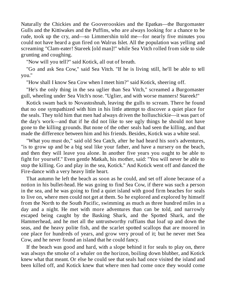Naturally the Chickies and the Gooverooskies and the Epatkas—the Burgomaster Gulls and the Kittiwakes and the Puffins, who are always looking for a chance to be rude, took up the cry, and—so Limmershin told me—for nearly five minutes you could not have heard a gun fired on Walrus Islet. All the population was yelling and screaming "Clam-eater! Stareek [old man]!" while Sea Vitch rolled from side to side grunting and coughing.

"Now will you tell?" said Kotick, all out of breath.

"Go and ask Sea Cow," said Sea Vitch. "If he is living still, he'll be able to tell you."

"How shall I know Sea Cow when I meet him?" said Kotick, sheering off.

"He's the only thing in the sea uglier than Sea Vitch," screamed a Burgomaster gull, wheeling under Sea Vitch's nose. "Uglier, and with worse manners! Stareek!"

Kotick swam back to Novastoshnah, leaving the gulls to scream. There he found that no one sympathized with him in his little attempt to discover a quiet place for the seals. They told him that men had always driven the holluschickie—it was part of the day's work—and that if he did not like to see ugly things he should not have gone to the killing grounds. But none of the other seals had seen the killing, and that made the difference between him and his friends. Besides, Kotick was a white seal.

"What you must do," said old Sea Catch, after he had heard his son's adventures, "is to grow up and be a big seal like your father, and have a nursery on the beach, and then they will leave you alone. In another five years you ought to be able to fight for yourself." Even gentle Matkah, his mother, said: "You will never be able to stop the killing. Go and play in the sea, Kotick." And Kotick went off and danced the Fire-dance with a very heavy little heart.

That autumn he left the beach as soon as he could, and set off alone because of a notion in his bullet-head. He was going to find Sea Cow, if there was such a person in the sea, and he was going to find a quiet island with good firm beaches for seals to live on, where men could not get at them. So he explored and explored by himself from the North to the South Pacific, swimming as much as three hundred miles in a day and a night. He met with more adventures than can be told, and narrowly escaped being caught by the Basking Shark, and the Spotted Shark, and the Hammerhead, and he met all the untrustworthy ruffians that loaf up and down the seas, and the heavy polite fish, and the scarlet spotted scallops that are moored in one place for hundreds of years, and grow very proud of it; but he never met Sea Cow, and he never found an island that he could fancy.

If the beach was good and hard, with a slope behind it for seals to play on, there was always the smoke of a whaler on the horizon, boiling down blubber, and Kotick knew what that meant. Or else he could see that seals had once visited the island and been killed off, and Kotick knew that where men had come once they would come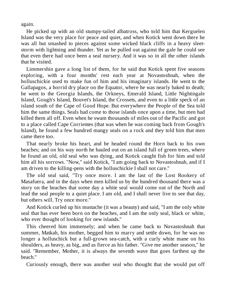again.

He picked up with an old stumpy-tailed albatross, who told him that Kerguelen Island was the very place for peace and quiet, and when Kotick went down there he was all but smashed to pieces against some wicked black cliffs in a heavy sleetstorm with lightning and thunder. Yet as he pulled out against the gale he could see that even there had once been a seal nursery. And it was so in all the other islands that he visited.

Limmershin gave a long list of them, for he said that Kotick spent five seasons exploring, with a four months' rest each year at Novastoshnah, when the holluschickie used to make fun of him and his imaginary islands. He went to the Gallapagos, a horrid dry place on the Equator, where he was nearly baked to death; he went to the Georgia Islands, the Orkneys, Emerald Island, Little Nightingale Island, Gough's Island, Bouvet's Island, the Crossets, and even to a little speck of an island south of the Cape of Good Hope. But everywhere the People of the Sea told him the same things. Seals had come to those islands once upon a time, but men had killed them all off. Even when he swam thousands of miles out of the Pacific and got to a place called Cape Corrientes (that was when he was coming back from Gough's Island), he found a few hundred mangy seals on a rock and they told him that men came there too.

That nearly broke his heart, and he headed round the Horn back to his own beaches; and on his way north he hauled out on an island full of green trees, where he found an old, old seal who was dying, and Kotick caught fish for him and told him all his sorrows. "Now," said Kotick, "I am going back to Novastoshnah, and if I am driven to the killing-pens with the holluschickie I shall not care."

The old seal said, "Try once more. I am the last of the Lost Rookery of Masafuera, and in the days when men killed us by the hundred thousand there was a story on the beaches that some day a white seal would come out of the North and lead the seal people to a quiet place. I am old, and I shall never live to see that day, but others will. Try once more."

And Kotick curled up his mustache (it was a beauty) and said, "I am the only white seal that has ever been born on the beaches, and I am the only seal, black or white, who ever thought of looking for new islands."

This cheered him immensely; and when he came back to Novastoshnah that summer, Matkah, his mother, begged him to marry and settle down, for he was no longer a holluschick but a full-grown sea-catch, with a curly white mane on his shoulders, as heavy, as big, and as fierce as his father. "Give me another season," he said. "Remember, Mother, it is always the seventh wave that goes farthest up the beach."

Curiously enough, there was another seal who thought that she would put off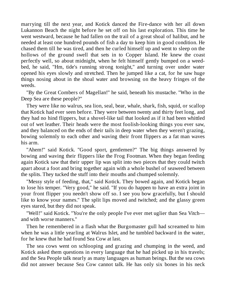marrying till the next year, and Kotick danced the Fire-dance with her all down Lukannon Beach the night before he set off on his last exploration. This time he went westward, because he had fallen on the trail of a great shoal of halibut, and he needed at least one hundred pounds of fish a day to keep him in good condition. He chased them till he was tired, and then he curled himself up and went to sleep on the hollows of the ground swell that sets in to Copper Island. He knew the coast perfectly well, so about midnight, when he felt himself gently bumped on a weedbed, he said, "Hm, tide's running strong tonight," and turning over under water opened his eyes slowly and stretched. Then he jumped like a cat, for he saw huge things nosing about in the shoal water and browsing on the heavy fringes of the weeds.

"By the Great Combers of Magellan!" he said, beneath his mustache. "Who in the Deep Sea are these people?"

They were like no walrus, sea lion, seal, bear, whale, shark, fish, squid, or scallop that Kotick had ever seen before. They were between twenty and thirty feet long, and they had no hind flippers, but a shovel-like tail that looked as if it had been whittled out of wet leather. Their heads were the most foolish-looking things you ever saw, and they balanced on the ends of their tails in deep water when they weren't grazing, bowing solemnly to each other and waving their front flippers as a fat man waves his arm.

"Ahem!" said Kotick. "Good sport, gentlemen?" The big things answered by bowing and waving their flippers like the Frog Footman. When they began feeding again Kotick saw that their upper lip was split into two pieces that they could twitch apart about a foot and bring together again with a whole bushel of seaweed between the splits. They tucked the stuff into their mouths and chumped solemnly.

"Messy style of feeding, that," said Kotick. They bowed again, and Kotick began to lose his temper. "Very good," he said. "If you do happen to have an extra joint in your front flipper you needn't show off so. I see you bow gracefully, but I should like to know your names." The split lips moved and twitched; and the glassy green eyes stared, but they did not speak.

"Well!" said Kotick. "You're the only people I've ever met uglier than Sea Vitch and with worse manners."

Then he remembered in a flash what the Burgomaster gull had screamed to him when he was a little yearling at Walrus Islet, and he tumbled backward in the water, for he knew that he had found Sea Cow at last.

The sea cows went on schlooping and grazing and chumping in the weed, and Kotick asked them questions in every language that he had picked up in his travels; and the Sea People talk nearly as many languages as human beings. But the sea cows did not answer because Sea Cow cannot talk. He has only six bones in his neck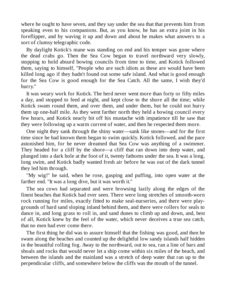where he ought to have seven, and they say under the sea that that prevents him from speaking even to his companions. But, as you know, he has an extra joint in his foreflipper, and by waving it up and down and about he makes what answers to a sort of clumsy telegraphic code.

By daylight Kotick's mane was standing on end and his temper was gone where the dead crabs go. Then the Sea Cow began to travel northward very slowly, stopping to hold absurd bowing councils from time to time, and Kotick followed them, saying to himself, "People who are such idiots as these are would have been killed long ago if they hadn't found out some safe island. And what is good enough for the Sea Cow is good enough for the Sea Catch. All the same, I wish they'd hurry."

It was weary work for Kotick. The herd never went more than forty or fifty miles a day, and stopped to feed at night, and kept close to the shore all the time; while Kotick swam round them, and over them, and under them, but he could not hurry them up one-half mile. As they went farther north they held a bowing council every few hours, and Kotick nearly bit off his mustache with impatience till he saw that they were following up a warm current of water, and then he respected them more.

One night they sank through the shiny water—sank like stones—and for the first time since he had known them began to swim quickly. Kotick followed, and the pace astonished him, for he never dreamed that Sea Cow was anything of a swimmer. They headed for a cliff by the shore—a cliff that ran down into deep water, and plunged into a dark hole at the foot of it, twenty fathoms under the sea. It was a long, long swim, and Kotick badly wanted fresh air before he was out of the dark tunnel they led him through.

"My wig!" he said, when he rose, gasping and puffing, into open water at the farther end. "It was a long dive, but it was worth it."

The sea cows had separated and were browsing lazily along the edges of the finest beaches that Kotick had ever seen. There were long stretches of smooth-worn rock running for miles, exactly fitted to make seal-nurseries, and there were playgrounds of hard sand sloping inland behind them, and there were rollers for seals to dance in, and long grass to roll in, and sand dunes to climb up and down, and, best of all, Kotick knew by the feel of the water, which never deceives a true sea catch, that no men had ever come there.

The first thing he did was to assure himself that the fishing was good, and then he swam along the beaches and counted up the delightful low sandy islands half hidden in the beautiful rolling fog. Away to the northward, out to sea, ran a line of bars and shoals and rocks that would never let a ship come within six miles of the beach, and between the islands and the mainland was a stretch of deep water that ran up to the perpendicular cliffs, and somewhere below the cliffs was the mouth of the tunnel.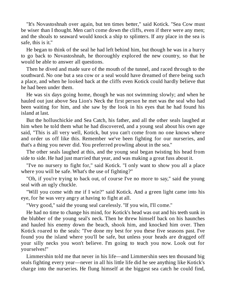"It's Novastoshnah over again, but ten times better," said Kotick. "Sea Cow must be wiser than I thought. Men can't come down the cliffs, even if there were any men; and the shoals to seaward would knock a ship to splinters. If any place in the sea is safe, this is it."

He began to think of the seal he had left behind him, but though he was in a hurry to go back to Novastoshnah, he thoroughly explored the new country, so that he would be able to answer all questions.

Then he dived and made sure of the mouth of the tunnel, and raced through to the southward. No one but a sea cow or a seal would have dreamed of there being such a place, and when he looked back at the cliffs even Kotick could hardly believe that he had been under them.

He was six days going home, though he was not swimming slowly; and when he hauled out just above Sea Lion's Neck the first person he met was the seal who had been waiting for him, and she saw by the look in his eyes that he had found his island at last.

But the holluschickie and Sea Catch, his father, and all the other seals laughed at him when he told them what he had discovered, and a young seal about his own age said, "This is all very well, Kotick, but you can't come from no one knows where and order us off like this. Remember we've been fighting for our nurseries, and that's a thing you never did. You preferred prowling about in the sea."

The other seals laughed at this, and the young seal began twisting his head from side to side. He had just married that year, and was making a great fuss about it.

"I've no nursery to fight for," said Kotick. "I only want to show you all a place where you will be safe. What's the use of fighting?"

"Oh, if you're trying to back out, of course I've no more to say," said the young seal with an ugly chuckle.

"Will you come with me if I win?" said Kotick. And a green light came into his eye, for he was very angry at having to fight at all.

"Very good," said the young seal carelessly. "If you win, I'll come."

He had no time to change his mind, for Kotick's head was out and his teeth sunk in the blubber of the young seal's neck. Then he threw himself back on his haunches and hauled his enemy down the beach, shook him, and knocked him over. Then Kotick roared to the seals: "I've done my best for you these five seasons past. I've found you the island where you'll be safe, but unless your heads are dragged off your silly necks you won't believe. I'm going to teach you now. Look out for yourselves!"

Limmershin told me that never in his life—and Limmershin sees ten thousand big seals fighting every year—never in all his little life did he see anything like Kotick's charge into the nurseries. He flung himself at the biggest sea catch he could find,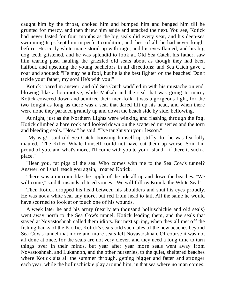caught him by the throat, choked him and bumped him and banged him till he grunted for mercy, and then threw him aside and attacked the next. You see, Kotick had never fasted for four months as the big seals did every year, and his deep-sea swimming trips kept him in perfect condition, and, best of all, he had never fought before. His curly white mane stood up with rage, and his eyes flamed, and his big dog teeth glistened, and he was splendid to look at. Old Sea Catch, his father, saw him tearing past, hauling the grizzled old seals about as though they had been halibut, and upsetting the young bachelors in all directions; and Sea Catch gave a roar and shouted: "He may be a fool, but he is the best fighter on the beaches! Don't tackle your father, my son! He's with you!"

Kotick roared in answer, and old Sea Catch waddled in with his mustache on end, blowing like a locomotive, while Matkah and the seal that was going to marry Kotick cowered down and admired their men-folk. It was a gorgeous fight, for the two fought as long as there was a seal that dared lift up his head, and when there were none they paraded grandly up and down the beach side by side, bellowing.

At night, just as the Northern Lights were winking and flashing through the fog, Kotick climbed a bare rock and looked down on the scattered nurseries and the torn and bleeding seals. "Now," he said, "I've taught you your lesson."

"My wig!" said old Sea Catch, boosting himself up stiffly, for he was fearfully mauled. "The Killer Whale himself could not have cut them up worse. Son, I'm proud of you, and what's more, I'll come with you to your island—if there is such a place."

"Hear you, fat pigs of the sea. Who comes with me to the Sea Cow's tunnel? Answer, or I shall teach you again," roared Kotick.

There was a murmur like the ripple of the tide all up and down the beaches. "We will come," said thousands of tired voices. "We will follow Kotick, the White Seal."

Then Kotick dropped his head between his shoulders and shut his eyes proudly. He was not a white seal any more, but red from head to tail. All the same he would have scorned to look at or touch one of his wounds.

A week later he and his army (nearly ten thousand holluschickie and old seals) went away north to the Sea Cow's tunnel, Kotick leading them, and the seals that stayed at Novastoshnah called them idiots. But next spring, when they all met off the fishing banks of the Pacific, Kotick's seals told such tales of the new beaches beyond Sea Cow's tunnel that more and more seals left Novastoshnah. Of course it was not all done at once, for the seals are not very clever, and they need a long time to turn things over in their minds, but year after year more seals went away from Novastoshnah, and Lukannon, and the other nurseries, to the quiet, sheltered beaches where Kotick sits all the summer through, getting bigger and fatter and stronger each year, while the holluschickie play around him, in that sea where no man comes.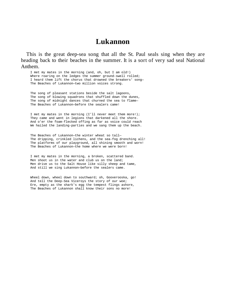#### **Lukannon**

This is the great deep-sea song that all the St. Paul seals sing when they are heading back to their beaches in the summer. It is a sort of very sad seal National Anthem.

I met my mates in the morning (and, oh, but I am old!) Where roaring on the ledges the summer ground-swell rolled; I heard them lift the chorus that drowned the breakers' song— The Beaches of Lukannon—two million voices strong.

The song of pleasant stations beside the salt lagoons, The song of blowing squadrons that shuffled down the dunes, The song of midnight dances that churned the sea to flame— The Beaches of Lukannon—before the sealers came!

I met my mates in the morning (I'll never meet them more!); They came and went in legions that darkened all the shore. And o'er the foam-flecked offing as far as voice could reach We hailed the landing-parties and we sang them up the beach.

The Beaches of Lukannon—the winter wheat so tall— The dripping, crinkled lichens, and the sea-fog drenching all! The platforms of our playground, all shining smooth and worn! The Beaches of Lukannon—the home where we were born!

I met my mates in the morning, a broken, scattered band. Men shoot us in the water and club us on the land; Men drive us to the Salt House like silly sheep and tame, And still we sing Lukannon—before the sealers came.

Wheel down, wheel down to southward; oh, Gooverooska, go! And tell the Deep-Sea Viceroys the story of our woe; Ere, empty as the shark's egg the tempest flings ashore, The Beaches of Lukannon shall know their sons no more!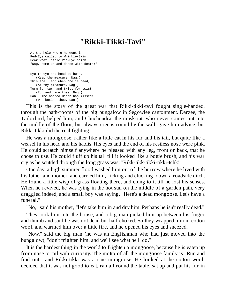## **"Rikki-Tikki-Tavi"**

At the hole where he went in Red-Eye called to Wrinkle-Skin. Hear what little Red-Eye saith: "Nag, come up and dance with death!"

Eye to eye and head to head, (Keep the measure, Nag.) This shall end when one is dead; (At thy pleasure, Nag.) Turn for turn and twist for twist— (Run and hide thee, Nag.) Hah! The hooded Death has missed! (Woe betide thee, Nag!)

This is the story of the great war that Rikki-tikki-tavi fought single-handed, through the bath-rooms of the big bungalow in Segowlee cantonment. Darzee, the Tailorbird, helped him, and Chuchundra, the musk-rat, who never comes out into the middle of the floor, but always creeps round by the wall, gave him advice, but Rikki-tikki did the real fighting.

He was a mongoose, rather like a little cat in his fur and his tail, but quite like a weasel in his head and his habits. His eyes and the end of his restless nose were pink. He could scratch himself anywhere he pleased with any leg, front or back, that he chose to use. He could fluff up his tail till it looked like a bottle brush, and his war cry as he scuttled through the long grass was: "Rikk-tikk-tikki-tikki-tchk!"

One day, a high summer flood washed him out of the burrow where he lived with his father and mother, and carried him, kicking and clucking, down a roadside ditch. He found a little wisp of grass floating there, and clung to it till he lost his senses. When he revived, he was lying in the hot sun on the middle of a garden path, very draggled indeed, and a small boy was saying, "Here's a dead mongoose. Let's have a funeral."

"No," said his mother, "let's take him in and dry him. Perhaps he isn't really dead."

They took him into the house, and a big man picked him up between his finger and thumb and said he was not dead but half choked. So they wrapped him in cotton wool, and warmed him over a little fire, and he opened his eyes and sneezed.

"Now," said the big man (he was an Englishman who had just moved into the bungalow), "don't frighten him, and we'll see what he'll do."

It is the hardest thing in the world to frighten a mongoose, because he is eaten up from nose to tail with curiosity. The motto of all the mongoose family is "Run and find out," and Rikki-tikki was a true mongoose. He looked at the cotton wool, decided that it was not good to eat, ran all round the table, sat up and put his fur in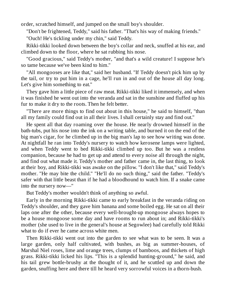order, scratched himself, and jumped on the small boy's shoulder.

"Don't be frightened, Teddy," said his father. "That's his way of making friends."

"Ouch! He's tickling under my chin," said Teddy.

Rikki-tikki looked down between the boy's collar and neck, snuffed at his ear, and climbed down to the floor, where he sat rubbing his nose.

"Good gracious," said Teddy's mother, "and that's a wild creature! I suppose he's so tame because we've been kind to him."

"All mongooses are like that," said her husband. "If Teddy doesn't pick him up by the tail, or try to put him in a cage, he'll run in and out of the house all day long. Let's give him something to eat."

They gave him a little piece of raw meat. Rikki-tikki liked it immensely, and when it was finished he went out into the veranda and sat in the sunshine and fluffed up his fur to make it dry to the roots. Then he felt better.

"There are more things to find out about in this house," he said to himself, "than all my family could find out in all their lives. I shall certainly stay and find out."

He spent all that day roaming over the house. He nearly drowned himself in the bath-tubs, put his nose into the ink on a writing table, and burned it on the end of the big man's cigar, for he climbed up in the big man's lap to see how writing was done. At nightfall he ran into Teddy's nursery to watch how kerosene lamps were lighted, and when Teddy went to bed Rikki-tikki climbed up too. But he was a restless companion, because he had to get up and attend to every noise all through the night, and find out what made it. Teddy's mother and father came in, the last thing, to look at their boy, and Rikki-tikki was awake on the pillow. "I don't like that," said Teddy's mother. "He may bite the child." "He'll do no such thing," said the father. "Teddy's safer with that little beast than if he had a bloodhound to watch him. If a snake came into the nursery now—"

But Teddy's mother wouldn't think of anything so awful.

Early in the morning Rikki-tikki came to early breakfast in the veranda riding on Teddy's shoulder, and they gave him banana and some boiled egg. He sat on all their laps one after the other, because every well-brought-up mongoose always hopes to be a house mongoose some day and have rooms to run about in; and Rikki-tikki's mother (she used to live in the general's house at Segowlee) had carefully told Rikki what to do if ever he came across white men.

Then Rikki-tikki went out into the garden to see what was to be seen. It was a large garden, only half cultivated, with bushes, as big as summer-houses, of Marshal Niel roses, lime and orange trees, clumps of bamboos, and thickets of high grass. Rikki-tikki licked his lips. "This is a splendid hunting-ground," he said, and his tail grew bottle-brushy at the thought of it, and he scuttled up and down the garden, snuffing here and there till he heard very sorrowful voices in a thorn-bush.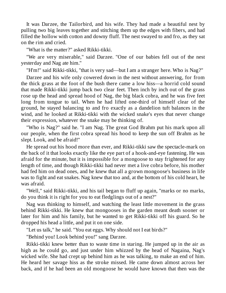It was Darzee, the Tailorbird, and his wife. They had made a beautiful nest by pulling two big leaves together and stitching them up the edges with fibers, and had filled the hollow with cotton and downy fluff. The nest swayed to and fro, as they sat on the rim and cried.

"What is the matter?" asked Rikki-tikki.

"We are very miserable," said Darzee. "One of our babies fell out of the nest yesterday and Nag ate him."

"H'm!" said Rikki-tikki, "that is very sad—but I am a stranger here. Who is Nag?"

Darzee and his wife only cowered down in the nest without answering, for from the thick grass at the foot of the bush there came a low hiss—a horrid cold sound that made Rikki-tikki jump back two clear feet. Then inch by inch out of the grass rose up the head and spread hood of Nag, the big black cobra, and he was five feet long from tongue to tail. When he had lifted one-third of himself clear of the ground, he stayed balancing to and fro exactly as a dandelion tuft balances in the wind, and he looked at Rikki-tikki with the wicked snake's eyes that never change their expression, whatever the snake may be thinking of.

"Who is Nag?" said he. "I am Nag. The great God Brahm put his mark upon all our people, when the first cobra spread his hood to keep the sun off Brahm as he slept. Look, and be afraid!"

He spread out his hood more than ever, and Rikki-tikki saw the spectacle-mark on the back of it that looks exactly like the eye part of a hook-and-eye fastening. He was afraid for the minute, but it is impossible for a mongoose to stay frightened for any length of time, and though Rikki-tikki had never met a live cobra before, his mother had fed him on dead ones, and he knew that all a grown mongoose's business in life was to fight and eat snakes. Nag knew that too and, at the bottom of his cold heart, he was afraid.

"Well," said Rikki-tikki, and his tail began to fluff up again, "marks or no marks, do you think it is right for you to eat fledglings out of a nest?"

Nag was thinking to himself, and watching the least little movement in the grass behind Rikki-tikki. He knew that mongooses in the garden meant death sooner or later for him and his family, but he wanted to get Rikki-tikki off his guard. So he dropped his head a little, and put it on one side.

"Let us talk," he said. "You eat eggs. Why should not I eat birds?"

"Behind you! Look behind you!" sang Darzee.

Rikki-tikki knew better than to waste time in staring. He jumped up in the air as high as he could go, and just under him whizzed by the head of Nagaina, Nag's wicked wife. She had crept up behind him as he was talking, to make an end of him. He heard her savage hiss as the stroke missed. He came down almost across her back, and if he had been an old mongoose he would have known that then was the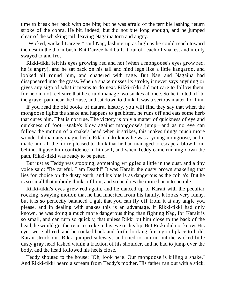time to break her back with one bite; but he was afraid of the terrible lashing return stroke of the cobra. He bit, indeed, but did not bite long enough, and he jumped clear of the whisking tail, leaving Nagaina torn and angry.

"Wicked, wicked Darzee!" said Nag, lashing up as high as he could reach toward the nest in the thorn-bush. But Darzee had built it out of reach of snakes, and it only swayed to and fro.

Rikki-tikki felt his eyes growing red and hot (when a mongoose's eyes grow red, he is angry), and he sat back on his tail and hind legs like a little kangaroo, and looked all round him, and chattered with rage. But Nag and Nagaina had disappeared into the grass. When a snake misses its stroke, it never says anything or gives any sign of what it means to do next. Rikki-tikki did not care to follow them, for he did not feel sure that he could manage two snakes at once. So he trotted off to the gravel path near the house, and sat down to think. It was a serious matter for him.

If you read the old books of natural history, you will find they say that when the mongoose fights the snake and happens to get bitten, he runs off and eats some herb that cures him. That is not true. The victory is only a matter of quickness of eye and quickness of foot—snake's blow against mongoose's jump—and as no eye can follow the motion of a snake's head when it strikes, this makes things much more wonderful than any magic herb. Rikki-tikki knew he was a young mongoose, and it made him all the more pleased to think that he had managed to escape a blow from behind. It gave him confidence in himself, and when Teddy came running down the path, Rikki-tikki was ready to be petted.

But just as Teddy was stooping, something wriggled a little in the dust, and a tiny voice said: "Be careful. I am Death!" It was Karait, the dusty brown snakeling that lies for choice on the dusty earth; and his bite is as dangerous as the cobra's. But he is so small that nobody thinks of him, and so he does the more harm to people.

Rikki-tikki's eyes grew red again, and he danced up to Karait with the peculiar rocking, swaying motion that he had inherited from his family. It looks very funny, but it is so perfectly balanced a gait that you can fly off from it at any angle you please, and in dealing with snakes this is an advantage. If Rikki-tikki had only known, he was doing a much more dangerous thing than fighting Nag, for Karait is so small, and can turn so quickly, that unless Rikki bit him close to the back of the head, he would get the return stroke in his eye or his lip. But Rikki did not know. His eyes were all red, and he rocked back and forth, looking for a good place to hold. Karait struck out. Rikki jumped sideways and tried to run in, but the wicked little dusty gray head lashed within a fraction of his shoulder, and he had to jump over the body, and the head followed his heels close.

Teddy shouted to the house: "Oh, look here! Our mongoose is killing a snake." And Rikki-tikki heard a scream from Teddy's mother. His father ran out with a stick,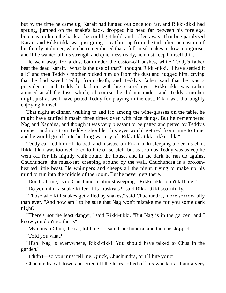but by the time he came up, Karait had lunged out once too far, and Rikki-tikki had sprung, jumped on the snake's back, dropped his head far between his forelegs, bitten as high up the back as he could get hold, and rolled away. That bite paralyzed Karait, and Rikki-tikki was just going to eat him up from the tail, after the custom of his family at dinner, when he remembered that a full meal makes a slow mongoose, and if he wanted all his strength and quickness ready, he must keep himself thin.

He went away for a dust bath under the castor-oil bushes, while Teddy's father beat the dead Karait. "What is the use of that?" thought Rikki-tikki. "I have settled it all;" and then Teddy's mother picked him up from the dust and hugged him, crying that he had saved Teddy from death, and Teddy's father said that he was a providence, and Teddy looked on with big scared eyes. Rikki-tikki was rather amused at all the fuss, which, of course, he did not understand. Teddy's mother might just as well have petted Teddy for playing in the dust. Rikki was thoroughly enjoying himself.

That night at dinner, walking to and fro among the wine-glasses on the table, he might have stuffed himself three times over with nice things. But he remembered Nag and Nagaina, and though it was very pleasant to be patted and petted by Teddy's mother, and to sit on Teddy's shoulder, his eyes would get red from time to time, and he would go off into his long war cry of "Rikk-tikk-tikki-tikki-tchk!"

Teddy carried him off to bed, and insisted on Rikki-tikki sleeping under his chin. Rikki-tikki was too well bred to bite or scratch, but as soon as Teddy was asleep he went off for his nightly walk round the house, and in the dark he ran up against Chuchundra, the musk-rat, creeping around by the wall. Chuchundra is a brokenhearted little beast. He whimpers and cheeps all the night, trying to make up his mind to run into the middle of the room. But he never gets there.

"Don't kill me," said Chuchundra, almost weeping. "Rikki-tikki, don't kill me!"

"Do you think a snake-killer kills muskrats?" said Rikki-tikki scornfully.

"Those who kill snakes get killed by snakes," said Chuchundra, more sorrowfully than ever. "And how am I to be sure that Nag won't mistake me for you some dark night?"

"There's not the least danger," said Rikki-tikki. "But Nag is in the garden, and I know you don't go there."

"My cousin Chua, the rat, told me—" said Chuchundra, and then he stopped.

"Told you what?"

"H'sh! Nag is everywhere, Rikki-tikki. You should have talked to Chua in the garden."

"I didn't—so you must tell me. Quick, Chuchundra, or I'll bite you!"

Chuchundra sat down and cried till the tears rolled off his whiskers. "I am a very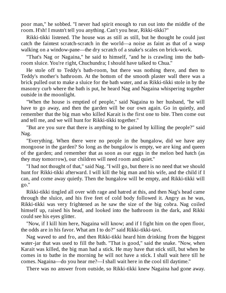poor man," he sobbed. "I never had spirit enough to run out into the middle of the room. H'sh! I mustn't tell you anything. Can't you hear, Rikki-tikki?"

Rikki-tikki listened. The house was as still as still, but he thought he could just catch the faintest scratch-scratch in the world—a noise as faint as that of a wasp walking on a window-pane—the dry scratch of a snake's scales on brick-work.

"That's Nag or Nagaina," he said to himself, "and he is crawling into the bathroom sluice. You're right, Chuchundra; I should have talked to Chua."

He stole off to Teddy's bath-room, but there was nothing there, and then to Teddy's mother's bathroom. At the bottom of the smooth plaster wall there was a brick pulled out to make a sluice for the bath water, and as Rikki-tikki stole in by the masonry curb where the bath is put, he heard Nag and Nagaina whispering together outside in the moonlight.

"When the house is emptied of people," said Nagaina to her husband, "he will have to go away, and then the garden will be our own again. Go in quietly, and remember that the big man who killed Karait is the first one to bite. Then come out and tell me, and we will hunt for Rikki-tikki together."

"But are you sure that there is anything to be gained by killing the people?" said Nag.

"Everything. When there were no people in the bungalow, did we have any mongoose in the garden? So long as the bungalow is empty, we are king and queen of the garden; and remember that as soon as our eggs in the melon bed hatch (as they may tomorrow), our children will need room and quiet."

"I had not thought of that," said Nag. "I will go, but there is no need that we should hunt for Rikki-tikki afterward. I will kill the big man and his wife, and the child if I can, and come away quietly. Then the bungalow will be empty, and Rikki-tikki will go."

Rikki-tikki tingled all over with rage and hatred at this, and then Nag's head came through the sluice, and his five feet of cold body followed it. Angry as he was, Rikki-tikki was very frightened as he saw the size of the big cobra. Nag coiled himself up, raised his head, and looked into the bathroom in the dark, and Rikki could see his eyes glitter.

"Now, if I kill him here, Nagaina will know; and if I fight him on the open floor, the odds are in his favor. What am I to do?" said Rikki-tikki-tavi.

Nag waved to and fro, and then Rikki-tikki heard him drinking from the biggest water-jar that was used to fill the bath. "That is good," said the snake. "Now, when Karait was killed, the big man had a stick. He may have that stick still, but when he comes in to bathe in the morning he will not have a stick. I shall wait here till he comes. Nagaina—do you hear me?—I shall wait here in the cool till daytime."

There was no answer from outside, so Rikki-tikki knew Nagaina had gone away.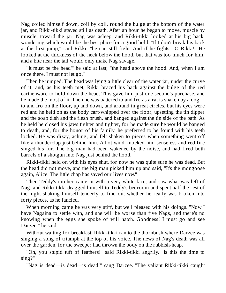Nag coiled himself down, coil by coil, round the bulge at the bottom of the water jar, and Rikki-tikki stayed still as death. After an hour he began to move, muscle by muscle, toward the jar. Nag was asleep, and Rikki-tikki looked at his big back, wondering which would be the best place for a good hold. "If I don't break his back at the first jump," said Rikki, "he can still fight. And if he fights—O Rikki!" He looked at the thickness of the neck below the hood, but that was too much for him; and a bite near the tail would only make Nag savage.

"It must be the head"' he said at last; "the head above the hood. And, when I am once there, I must not let go."

Then he jumped. The head was lying a little clear of the water jar, under the curve of it; and, as his teeth met, Rikki braced his back against the bulge of the red earthenware to hold down the head. This gave him just one second's purchase, and he made the most of it. Then he was battered to and fro as a rat is shaken by a dog to and fro on the floor, up and down, and around in great circles, but his eyes were red and he held on as the body cart-whipped over the floor, upsetting the tin dipper and the soap dish and the flesh brush, and banged against the tin side of the bath. As he held he closed his jaws tighter and tighter, for he made sure he would be banged to death, and, for the honor of his family, he preferred to be found with his teeth locked. He was dizzy, aching, and felt shaken to pieces when something went off like a thunderclap just behind him. A hot wind knocked him senseless and red fire singed his fur. The big man had been wakened by the noise, and had fired both barrels of a shotgun into Nag just behind the hood.

Rikki-tikki held on with his eyes shut, for now he was quite sure he was dead. But the head did not move, and the big man picked him up and said, "It's the mongoose again, Alice. The little chap has saved our lives now."

Then Teddy's mother came in with a very white face, and saw what was left of Nag, and Rikki-tikki dragged himself to Teddy's bedroom and spent half the rest of the night shaking himself tenderly to find out whether he really was broken into forty pieces, as he fancied.

When morning came he was very stiff, but well pleased with his doings. "Now I have Nagaina to settle with, and she will be worse than five Nags, and there's no knowing when the eggs she spoke of will hatch. Goodness! I must go and see Darzee," he said.

Without waiting for breakfast, Rikki-tikki ran to the thornbush where Darzee was singing a song of triumph at the top of his voice. The news of Nag's death was all over the garden, for the sweeper had thrown the body on the rubbish-heap.

"Oh, you stupid tuft of feathers!" said Rikki-tikki angrily. "Is this the time to sing?"

"Nag is dead—is dead—is dead!" sang Darzee. "The valiant Rikki-tikki caught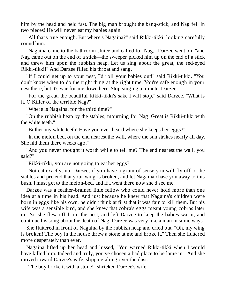him by the head and held fast. The big man brought the bang-stick, and Nag fell in two pieces! He will never eat my babies again."

"All that's true enough. But where's Nagaina?" said Rikki-tikki, looking carefully round him.

"Nagaina came to the bathroom sluice and called for Nag," Darzee went on, "and Nag came out on the end of a stick—the sweeper picked him up on the end of a stick and threw him upon the rubbish heap. Let us sing about the great, the red-eyed Rikki-tikki!" And Darzee filled his throat and sang.

"If I could get up to your nest, I'd roll your babies out!" said Rikki-tikki. "You don't know when to do the right thing at the right time. You're safe enough in your nest there, but it's war for me down here. Stop singing a minute, Darzee."

"For the great, the beautiful Rikki-tikki's sake I will stop," said Darzee. "What is it, O Killer of the terrible Nag?"

"Where is Nagaina, for the third time?"

"On the rubbish heap by the stables, mourning for Nag. Great is Rikki-tikki with the white teeth."

"Bother my white teeth! Have you ever heard where she keeps her eggs?"

"In the melon bed, on the end nearest the wall, where the sun strikes nearly all day. She hid them there weeks ago."

"And you never thought it worth while to tell me? The end nearest the wall, you said?"

"Rikki-tikki, you are not going to eat her eggs?"

"Not eat exactly; no. Darzee, if you have a grain of sense you will fly off to the stables and pretend that your wing is broken, and let Nagaina chase you away to this bush. I must get to the melon-bed, and if I went there now she'd see me."

Darzee was a feather-brained little fellow who could never hold more than one idea at a time in his head. And just because he knew that Nagaina's children were born in eggs like his own, he didn't think at first that it was fair to kill them. But his wife was a sensible bird, and she knew that cobra's eggs meant young cobras later on. So she flew off from the nest, and left Darzee to keep the babies warm, and continue his song about the death of Nag. Darzee was very like a man in some ways.

She fluttered in front of Nagaina by the rubbish heap and cried out, "Oh, my wing is broken! The boy in the house threw a stone at me and broke it." Then she fluttered more desperately than ever.

Nagaina lifted up her head and hissed, "You warned Rikki-tikki when I would have killed him. Indeed and truly, you've chosen a bad place to be lame in." And she moved toward Darzee's wife, slipping along over the dust.

"The boy broke it with a stone!" shrieked Darzee's wife.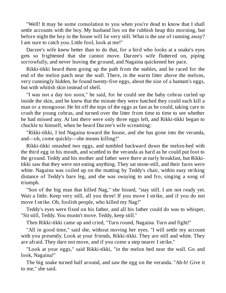"Well! It may be some consolation to you when you're dead to know that I shall settle accounts with the boy. My husband lies on the rubbish heap this morning, but before night the boy in the house will lie very still. What is the use of running away? I am sure to catch you. Little fool, look at me!"

Darzee's wife knew better than to do that, for a bird who looks at a snake's eyes gets so frightened that she cannot move. Darzee's wife fluttered on, piping sorrowfully, and never leaving the ground, and Nagaina quickened her pace.

Rikki-tikki heard them going up the path from the stables, and he raced for the end of the melon patch near the wall. There, in the warm litter above the melons, very cunningly hidden, he found twenty-five eggs, about the size of a bantam's eggs, but with whitish skin instead of shell.

"I was not a day too soon," he said, for he could see the baby cobras curled up inside the skin, and he knew that the minute they were hatched they could each kill a man or a mongoose. He bit off the tops of the eggs as fast as he could, taking care to crush the young cobras, and turned over the litter from time to time to see whether he had missed any. At last there were only three eggs left, and Rikki-tikki began to chuckle to himself, when he heard Darzee's wife screaming:

"Rikki-tikki, I led Nagaina toward the house, and she has gone into the veranda, and—oh, come quickly—she means killing!"

Rikki-tikki smashed two eggs, and tumbled backward down the melon-bed with the third egg in his mouth, and scuttled to the veranda as hard as he could put foot to the ground. Teddy and his mother and father were there at early breakfast, but Rikkitikki saw that they were not eating anything. They sat stone-still, and their faces were white. Nagaina was coiled up on the matting by Teddy's chair, within easy striking distance of Teddy's bare leg, and she was swaying to and fro, singing a song of triumph.

"Son of the big man that killed Nag," she hissed, "stay still. I am not ready yet. Wait a little. Keep very still, all you three! If you move I strike, and if you do not move I strike. Oh, foolish people, who killed my Nag!"

Teddy's eyes were fixed on his father, and all his father could do was to whisper, "Sit still, Teddy. You mustn't move. Teddy, keep still."

Then Rikki-tikki came up and cried, "Turn round, Nagaina. Turn and fight!"

"All in good time," said she, without moving her eyes. "I will settle my account with you presently. Look at your friends, Rikki-tikki. They are still and white. They are afraid. They dare not move, and if you come a step nearer I strike."

"Look at your eggs," said Rikki-tikki, "in the melon bed near the wall. Go and look, Nagaina!"

The big snake turned half around, and saw the egg on the veranda. "Ah-h! Give it to me," she said.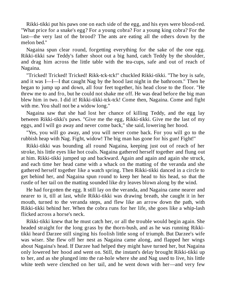Rikki-tikki put his paws one on each side of the egg, and his eyes were blood-red. "What price for a snake's egg? For a young cobra? For a young king cobra? For the last—the very last of the brood? The ants are eating all the others down by the melon bed."

Nagaina spun clear round, forgetting everything for the sake of the one egg. Rikki-tikki saw Teddy's father shoot out a big hand, catch Teddy by the shoulder, and drag him across the little table with the tea-cups, safe and out of reach of Nagaina.

"Tricked! Tricked! Tricked! Rikk-tck-tck!" chuckled Rikki-tikki. "The boy is safe, and it was I—I—I that caught Nag by the hood last night in the bathroom." Then he began to jump up and down, all four feet together, his head close to the floor. "He threw me to and fro, but he could not shake me off. He was dead before the big man blew him in two. I did it! Rikki-tikki-tck-tck! Come then, Nagaina. Come and fight with me. You shall not be a widow long."

Nagaina saw that she had lost her chance of killing Teddy, and the egg lay between Rikki-tikki's paws. "Give me the egg, Rikki-tikki. Give me the last of my eggs, and I will go away and never come back," she said, lowering her hood.

"Yes, you will go away, and you will never come back. For you will go to the rubbish heap with Nag. Fight, widow! The big man has gone for his gun! Fight!"

Rikki-tikki was bounding all round Nagaina, keeping just out of reach of her stroke, his little eyes like hot coals. Nagaina gathered herself together and flung out at him. Rikki-tikki jumped up and backward. Again and again and again she struck, and each time her head came with a whack on the matting of the veranda and she gathered herself together like a watch spring. Then Rikki-tikki danced in a circle to get behind her, and Nagaina spun round to keep her head to his head, so that the rustle of her tail on the matting sounded like dry leaves blown along by the wind.

He had forgotten the egg. It still lay on the veranda, and Nagaina came nearer and nearer to it, till at last, while Rikki-tikki was drawing breath, she caught it in her mouth, turned to the veranda steps, and flew like an arrow down the path, with Rikki-tikki behind her. When the cobra runs for her life, she goes like a whip-lash flicked across a horse's neck.

Rikki-tikki knew that he must catch her, or all the trouble would begin again. She headed straight for the long grass by the thorn-bush, and as he was running Rikkitikki heard Darzee still singing his foolish little song of triumph. But Darzee's wife was wiser. She flew off her nest as Nagaina came along, and flapped her wings about Nagaina's head. If Darzee had helped they might have turned her, but Nagaina only lowered her hood and went on. Still, the instant's delay brought Rikki-tikki up to her, and as she plunged into the rat-hole where she and Nag used to live, his little white teeth were clenched on her tail, and he went down with her—and very few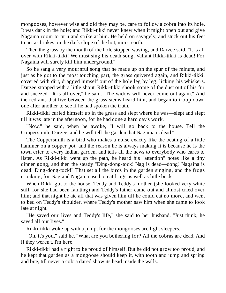mongooses, however wise and old they may be, care to follow a cobra into its hole. It was dark in the hole; and Rikki-tikki never knew when it might open out and give Nagaina room to turn and strike at him. He held on savagely, and stuck out his feet to act as brakes on the dark slope of the hot, moist earth.

Then the grass by the mouth of the hole stopped waving, and Darzee said, "It is all over with Rikki-tikki! We must sing his death song. Valiant Rikki-tikki is dead! For Nagaina will surely kill him underground."

So he sang a very mournful song that he made up on the spur of the minute, and just as he got to the most touching part, the grass quivered again, and Rikki-tikki, covered with dirt, dragged himself out of the hole leg by leg, licking his whiskers. Darzee stopped with a little shout. Rikki-tikki shook some of the dust out of his fur and sneezed. "It is all over," he said. "The widow will never come out again." And the red ants that live between the grass stems heard him, and began to troop down one after another to see if he had spoken the truth.

Rikki-tikki curled himself up in the grass and slept where he was—slept and slept till it was late in the afternoon, for he had done a hard day's work.

"Now," he said, when he awoke, "I will go back to the house. Tell the Coppersmith, Darzee, and he will tell the garden that Nagaina is dead."

The Coppersmith is a bird who makes a noise exactly like the beating of a little hammer on a copper pot; and the reason he is always making it is because he is the town crier to every Indian garden, and tells all the news to everybody who cares to listen. As Rikki-tikki went up the path, he heard his "attention" notes like a tiny dinner gong, and then the steady "Ding-dong-tock! Nag is dead—dong! Nagaina is dead! Ding-dong-tock!" That set all the birds in the garden singing, and the frogs croaking, for Nag and Nagaina used to eat frogs as well as little birds.

When Rikki got to the house, Teddy and Teddy's mother (she looked very white still, for she had been fainting) and Teddy's father came out and almost cried over him; and that night he ate all that was given him till he could eat no more, and went to bed on Teddy's shoulder, where Teddy's mother saw him when she came to look late at night.

"He saved our lives and Teddy's life," she said to her husband. "Just think, he saved all our lives."

Rikki-tikki woke up with a jump, for the mongooses are light sleepers.

"Oh, it's you," said he. "What are you bothering for? All the cobras are dead. And if they weren't, I'm here."

Rikki-tikki had a right to be proud of himself. But he did not grow too proud, and he kept that garden as a mongoose should keep it, with tooth and jump and spring and bite, till never a cobra dared show its head inside the walls.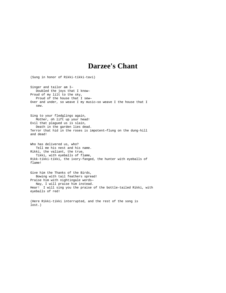## **Darzee's Chant**

(Sung in honor of Rikki-tikki-tavi) Singer and tailor am I— Doubled the joys that I know— Proud of my lilt to the sky, Proud of the house that I sew— Over and under, so weave I my music—so weave I the house that I sew. Sing to your fledglings again, Mother, oh lift up your head! Evil that plagued us is slain, Death in the garden lies dead. Terror that hid in the roses is impotent—flung on the dung-hill and dead! Who has delivered us, who? Tell me his nest and his name. Rikki, the valiant, the true, Tikki, with eyeballs of flame, Rikk-tikki-tikki, the ivory-fanged, the hunter with eyeballs of flame! Give him the Thanks of the Birds, Bowing with tail feathers spread! Praise him with nightingale words— Nay, I will praise him instead. Hear! I will sing you the praise of the bottle-tailed Rikki, with eyeballs of red! (Here Rikki-tikki interrupted, and the rest of the song is

lost.)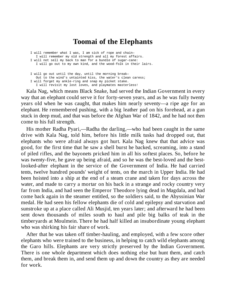## **Toomai of the Elephants**

I will remember what I was, I am sick of rope and chain— I will remember my old strength and all my forest affairs. I will not sell my back to man for a bundle of sugar-cane: I will go out to my own kind, and the wood-folk in their lairs.

I will go out until the day, until the morning break— Out to the wind's untainted kiss, the water's clean caress; I will forget my ankle-ring and snap my picket stake. I will revisit my lost loves, and playmates masterless!

Kala Nag, which means Black Snake, had served the Indian Government in every way that an elephant could serve it for forty-seven years, and as he was fully twenty years old when he was caught, that makes him nearly seventy—a ripe age for an elephant. He remembered pushing, with a big leather pad on his forehead, at a gun stuck in deep mud, and that was before the Afghan War of 1842, and he had not then come to his full strength.

His mother Radha Pyari,—Radha the darling,—who had been caught in the same drive with Kala Nag, told him, before his little milk tusks had dropped out, that elephants who were afraid always got hurt. Kala Nag knew that that advice was good, for the first time that he saw a shell burst he backed, screaming, into a stand of piled rifles, and the bayonets pricked him in all his softest places. So, before he was twenty-five, he gave up being afraid, and so he was the best-loved and the bestlooked-after elephant in the service of the Government of India. He had carried tents, twelve hundred pounds' weight of tents, on the march in Upper India. He had been hoisted into a ship at the end of a steam crane and taken for days across the water, and made to carry a mortar on his back in a strange and rocky country very far from India, and had seen the Emperor Theodore lying dead in Magdala, and had come back again in the steamer entitled, so the soldiers said, to the Abyssinian War medal. He had seen his fellow elephants die of cold and epilepsy and starvation and sunstroke up at a place called Ali Musjid, ten years later; and afterward he had been sent down thousands of miles south to haul and pile big balks of teak in the timberyards at Moulmein. There he had half killed an insubordinate young elephant who was shirking his fair share of work.

After that he was taken off timber-hauling, and employed, with a few score other elephants who were trained to the business, in helping to catch wild elephants among the Garo hills. Elephants are very strictly preserved by the Indian Government. There is one whole department which does nothing else but hunt them, and catch them, and break them in, and send them up and down the country as they are needed for work.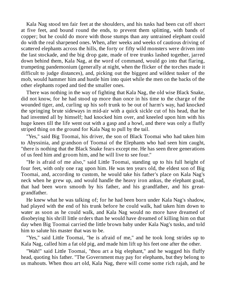Kala Nag stood ten fair feet at the shoulders, and his tusks had been cut off short at five feet, and bound round the ends, to prevent them splitting, with bands of copper; but he could do more with those stumps than any untrained elephant could do with the real sharpened ones. When, after weeks and weeks of cautious driving of scattered elephants across the hills, the forty or fifty wild monsters were driven into the last stockade, and the big drop gate, made of tree trunks lashed together, jarred down behind them, Kala Nag, at the word of command, would go into that flaring, trumpeting pandemonium (generally at night, when the flicker of the torches made it difficult to judge distances), and, picking out the biggest and wildest tusker of the mob, would hammer him and hustle him into quiet while the men on the backs of the other elephants roped and tied the smaller ones.

There was nothing in the way of fighting that Kala Nag, the old wise Black Snake, did not know, for he had stood up more than once in his time to the charge of the wounded tiger, and, curling up his soft trunk to be out of harm's way, had knocked the springing brute sideways in mid-air with a quick sickle cut of his head, that he had invented all by himself; had knocked him over, and kneeled upon him with his huge knees till the life went out with a gasp and a howl, and there was only a fluffy striped thing on the ground for Kala Nag to pull by the tail.

"Yes," said Big Toomai, his driver, the son of Black Toomai who had taken him to Abyssinia, and grandson of Toomai of the Elephants who had seen him caught, "there is nothing that the Black Snake fears except me. He has seen three generations of us feed him and groom him, and he will live to see four."

"He is afraid of me also," said Little Toomai, standing up to his full height of four feet, with only one rag upon him. He was ten years old, the eldest son of Big Toomai, and, according to custom, he would take his father's place on Kala Nag's neck when he grew up, and would handle the heavy iron ankus, the elephant goad, that had been worn smooth by his father, and his grandfather, and his greatgrandfather.

He knew what he was talking of; for he had been born under Kala Nag's shadow, had played with the end of his trunk before he could walk, had taken him down to water as soon as he could walk, and Kala Nag would no more have dreamed of disobeying his shrill little orders than he would have dreamed of killing him on that day when Big Toomai carried the little brown baby under Kala Nag's tusks, and told him to salute his master that was to be.

"Yes," said Little Toomai, "he is afraid of me," and he took long strides up to Kala Nag, called him a fat old pig, and made him lift up his feet one after the other.

"Wah!" said Little Toomai, "thou art a big elephant," and he wagged his fluffy head, quoting his father. "The Government may pay for elephants, but they belong to us mahouts. When thou art old, Kala Nag, there will come some rich rajah, and he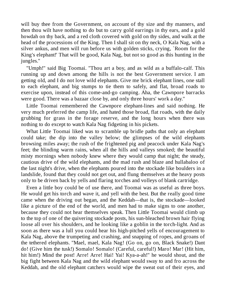will buy thee from the Government, on account of thy size and thy manners, and then thou wilt have nothing to do but to carry gold earrings in thy ears, and a gold howdah on thy back, and a red cloth covered with gold on thy sides, and walk at the head of the processions of the King. Then I shall sit on thy neck, O Kala Nag, with a silver ankus, and men will run before us with golden sticks, crying, `Room for the King's elephant!' That will be good, Kala Nag, but not so good as this hunting in the jungles."

"Umph!" said Big Toomai. "Thou art a boy, and as wild as a buffalo-calf. This running up and down among the hills is not the best Government service. I am getting old, and I do not love wild elephants. Give me brick elephant lines, one stall to each elephant, and big stumps to tie them to safely, and flat, broad roads to exercise upon, instead of this come-and-go camping. Aha, the Cawnpore barracks were good. There was a bazaar close by, and only three hours' work a day."

Little Toomai remembered the Cawnpore elephant-lines and said nothing. He very much preferred the camp life, and hated those broad, flat roads, with the daily grubbing for grass in the forage reserve, and the long hours when there was nothing to do except to watch Kala Nag fidgeting in his pickets.

What Little Toomai liked was to scramble up bridle paths that only an elephant could take; the dip into the valley below; the glimpses of the wild elephants browsing miles away; the rush of the frightened pig and peacock under Kala Nag's feet; the blinding warm rains, when all the hills and valleys smoked; the beautiful misty mornings when nobody knew where they would camp that night; the steady, cautious drive of the wild elephants, and the mad rush and blaze and hullabaloo of the last night's drive, when the elephants poured into the stockade like boulders in a landslide, found that they could not get out, and flung themselves at the heavy posts only to be driven back by yells and flaring torches and volleys of blank cartridge.

Even a little boy could be of use there, and Toomai was as useful as three boys. He would get his torch and wave it, and yell with the best. But the really good time came when the driving out began, and the Keddah—that is, the stockade—looked like a picture of the end of the world, and men had to make signs to one another, because they could not hear themselves speak. Then Little Toomai would climb up to the top of one of the quivering stockade posts, his sun-bleached brown hair flying loose all over his shoulders, and he looking like a goblin in the torch-light. And as soon as there was a lull you could hear his high-pitched yells of encouragement to Kala Nag, above the trumpeting and crashing, and snapping of ropes, and groans of the tethered elephants. "Mael, mael, Kala Nag! (Go on, go on, Black Snake!) Dant do! (Give him the tusk!) Somalo! Somalo! (Careful, careful!) Maro! Mar! (Hit him, hit him!) Mind the post! Arre! Arre! Hai! Yai! Kya-a-ah!" he would shout, and the big fight between Kala Nag and the wild elephant would sway to and fro across the Keddah, and the old elephant catchers would wipe the sweat out of their eyes, and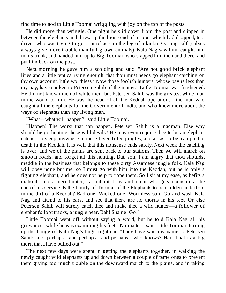find time to nod to Little Toomai wriggling with joy on the top of the posts.

He did more than wriggle. One night he slid down from the post and slipped in between the elephants and threw up the loose end of a rope, which had dropped, to a driver who was trying to get a purchase on the leg of a kicking young calf (calves always give more trouble than full-grown animals). Kala Nag saw him, caught him in his trunk, and handed him up to Big Toomai, who slapped him then and there, and put him back on the post.

Next morning he gave him a scolding and said, "Are not good brick elephant lines and a little tent carrying enough, that thou must needs go elephant catching on thy own account, little worthless? Now those foolish hunters, whose pay is less than my pay, have spoken to Petersen Sahib of the matter." Little Toomai was frightened. He did not know much of white men, but Petersen Sahib was the greatest white man in the world to him. He was the head of all the Keddah operations—the man who caught all the elephants for the Government of India, and who knew more about the ways of elephants than any living man.

"What—what will happen?" said Little Toomai.

"Happen! The worst that can happen. Petersen Sahib is a madman. Else why should he go hunting these wild devils? He may even require thee to be an elephant catcher, to sleep anywhere in these fever-filled jungles, and at last to be trampled to death in the Keddah. It is well that this nonsense ends safely. Next week the catching is over, and we of the plains are sent back to our stations. Then we will march on smooth roads, and forget all this hunting. But, son, I am angry that thou shouldst meddle in the business that belongs to these dirty Assamese jungle folk. Kala Nag will obey none but me, so I must go with him into the Keddah, but he is only a fighting elephant, and he does not help to rope them. So I sit at my ease, as befits a mahout,—not a mere hunter,—a mahout, I say, and a man who gets a pension at the end of his service. Is the family of Toomai of the Elephants to be trodden underfoot in the dirt of a Keddah? Bad one! Wicked one! Worthless son! Go and wash Kala Nag and attend to his ears, and see that there are no thorns in his feet. Or else Petersen Sahib will surely catch thee and make thee a wild hunter—a follower of elephant's foot tracks, a jungle bear. Bah! Shame! Go!"

Little Toomai went off without saying a word, but he told Kala Nag all his grievances while he was examining his feet. "No matter," said Little Toomai, turning up the fringe of Kala Nag's huge right ear. "They have said my name to Petersen Sahib, and perhaps—and perhaps—and perhaps—who knows? Hai! That is a big thorn that I have pulled out!"

The next few days were spent in getting the elephants together, in walking the newly caught wild elephants up and down between a couple of tame ones to prevent them giving too much trouble on the downward march to the plains, and in taking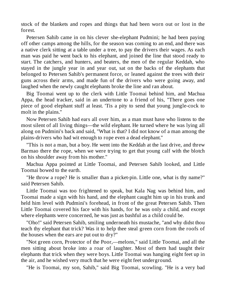stock of the blankets and ropes and things that had been worn out or lost in the forest.

Petersen Sahib came in on his clever she-elephant Pudmini; he had been paying off other camps among the hills, for the season was coming to an end, and there was a native clerk sitting at a table under a tree, to pay the drivers their wages. As each man was paid he went back to his elephant, and joined the line that stood ready to start. The catchers, and hunters, and beaters, the men of the regular Keddah, who stayed in the jungle year in and year out, sat on the backs of the elephants that belonged to Petersen Sahib's permanent force, or leaned against the trees with their guns across their arms, and made fun of the drivers who were going away, and laughed when the newly caught elephants broke the line and ran about.

Big Toomai went up to the clerk with Little Toomai behind him, and Machua Appa, the head tracker, said in an undertone to a friend of his, "There goes one piece of good elephant stuff at least. 'Tis a pity to send that young jungle-cock to molt in the plains."

Now Petersen Sahib had ears all over him, as a man must have who listens to the most silent of all living things—the wild elephant. He turned where he was lying all along on Pudmini's back and said, "What is that? I did not know of a man among the plains-drivers who had wit enough to rope even a dead elephant."

"This is not a man, but a boy. He went into the Keddah at the last drive, and threw Barmao there the rope, when we were trying to get that young calf with the blotch on his shoulder away from his mother."

Machua Appa pointed at Little Toomai, and Petersen Sahib looked, and Little Toomai bowed to the earth.

"He throw a rope? He is smaller than a picket-pin. Little one, what is thy name?" said Petersen Sahib.

Little Toomai was too frightened to speak, but Kala Nag was behind him, and Toomai made a sign with his hand, and the elephant caught him up in his trunk and held him level with Pudmini's forehead, in front of the great Petersen Sahib. Then Little Toomai covered his face with his hands, for he was only a child, and except where elephants were concerned, he was just as bashful as a child could be.

"Oho!" said Petersen Sahib, smiling underneath his mustache, "and why didst thou teach thy elephant that trick? Was it to help thee steal green corn from the roofs of the houses when the ears are put out to dry?"

"Not green corn, Protector of the Poor,—melons," said Little Toomai, and all the men sitting about broke into a roar of laughter. Most of them had taught their elephants that trick when they were boys. Little Toomai was hanging eight feet up in the air, and he wished very much that he were eight feet underground.

"He is Toomai, my son, Sahib," said Big Toomai, scowling. "He is a very bad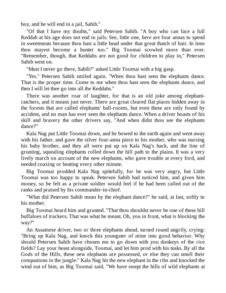boy, and he will end in a jail, Sahib."

"Of that I have my doubts," said Petersen Sahib. "A boy who can face a full Keddah at his age does not end in jails. See, little one, here are four annas to spend in sweetmeats because thou hast a little head under that great thatch of hair. In time thou mayest become a hunter too." Big Toomai scowled more than ever. "Remember, though, that Keddahs are not good for children to play in," Petersen Sahib went on.

"Must I never go there, Sahib?" asked Little Toomai with a big gasp.

"Yes." Petersen Sahib smiled again. "When thou hast seen the elephants dance. That is the proper time. Come to me when thou hast seen the elephants dance, and then I will let thee go into all the Keddahs."

There was another roar of laughter, for that is an old joke among elephantcatchers, and it means just never. There are great cleared flat places hidden away in the forests that are called elephants' ball-rooms, but even these are only found by accident, and no man has ever seen the elephants dance. When a driver boasts of his skill and bravery the other drivers say, "And when didst thou see the elephants dance?"

Kala Nag put Little Toomai down, and he bowed to the earth again and went away with his father, and gave the silver four-anna piece to his mother, who was nursing his baby brother, and they all were put up on Kala Nag's back, and the line of grunting, squealing elephants rolled down the hill path to the plains. It was a very lively march on account of the new elephants, who gave trouble at every ford, and needed coaxing or beating every other minute.

Big Toomai prodded Kala Nag spitefully, for he was very angry, but Little Toomai was too happy to speak. Petersen Sahib had noticed him, and given him money, so he felt as a private soldier would feel if he had been called out of the ranks and praised by his commander-in-chief.

"What did Petersen Sahib mean by the elephant dance?" he said, at last, softly to his mother.

Big Toomai heard him and grunted. "That thou shouldst never be one of these hill buffaloes of trackers. That was what he meant. Oh, you in front, what is blocking the way?"

An Assamese driver, two or three elephants ahead, turned round angrily, crying: "Bring up Kala Nag, and knock this youngster of mine into good behavior. Why should Petersen Sahib have chosen me to go down with you donkeys of the rice fields? Lay your beast alongside, Toomai, and let him prod with his tusks. By all the Gods of the Hills, these new elephants are possessed, or else they can smell their companions in the jungle." Kala Nag hit the new elephant in the ribs and knocked the wind out of him, as Big Toomai said, "We have swept the hills of wild elephants at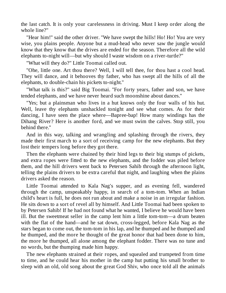the last catch. It is only your carelessness in driving. Must I keep order along the whole line?"

"Hear him!" said the other driver. "We have swept the hills! Ho! Ho! You are very wise, you plains people. Anyone but a mud-head who never saw the jungle would know that they know that the drives are ended for the season. Therefore all the wild elephants to-night will—but why should I waste wisdom on a river-turtle?"

"What will they do?" Little Toomai called out.

"Ohe, little one. Art thou there? Well, I will tell thee, for thou hast a cool head. They will dance, and it behooves thy father, who has swept all the hills of all the elephants, to double-chain his pickets to-night."

"What talk is this?" said Big Toomai. "For forty years, father and son, we have tended elephants, and we have never heard such moonshine about dances."

"Yes; but a plainsman who lives in a hut knows only the four walls of his hut. Well, leave thy elephants unshackled tonight and see what comes. As for their dancing, I have seen the place where—Bapree-bap! How many windings has the Dihang River? Here is another ford, and we must swim the calves. Stop still, you behind there."

And in this way, talking and wrangling and splashing through the rivers, they made their first march to a sort of receiving camp for the new elephants. But they lost their tempers long before they got there.

Then the elephants were chained by their hind legs to their big stumps of pickets, and extra ropes were fitted to the new elephants, and the fodder was piled before them, and the hill drivers went back to Petersen Sahib through the afternoon light, telling the plains drivers to be extra careful that night, and laughing when the plains drivers asked the reason.

Little Toomai attended to Kala Nag's supper, and as evening fell, wandered through the camp, unspeakably happy, in search of a tom-tom. When an Indian child's heart is full, he does not run about and make a noise in an irregular fashion. He sits down to a sort of revel all by himself. And Little Toomai had been spoken to by Petersen Sahib! If he had not found what he wanted, I believe he would have been ill. But the sweetmeat seller in the camp lent him a little tom-tom—a drum beaten with the flat of the hand—and he sat down, cross-legged, before Kala Nag as the stars began to come out, the tom-tom in his lap, and he thumped and he thumped and he thumped, and the more he thought of the great honor that had been done to him, the more he thumped, all alone among the elephant fodder. There was no tune and no words, but the thumping made him happy.

The new elephants strained at their ropes, and squealed and trumpeted from time to time, and he could hear his mother in the camp hut putting his small brother to sleep with an old, old song about the great God Shiv, who once told all the animals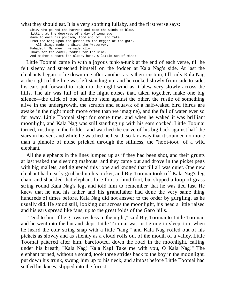what they should eat. It is a very soothing lullaby, and the first verse says:

Shiv, who poured the harvest and made the winds to blow, Sitting at the doorways of a day of long ago, Gave to each his portion, food and toil and fate, From the King upon the guddee to the Beggar at the gate. All things made he—Shiva the Preserver. Mahadeo! Mahadeo! He made all— Thorn for the camel, fodder for the kine, And mother's heart for sleepy head, O little son of mine!

Little Toomai came in with a joyous tunk-a-tunk at the end of each verse, till he felt sleepy and stretched himself on the fodder at Kala Nag's side. At last the elephants began to lie down one after another as is their custom, till only Kala Nag at the right of the line was left standing up; and he rocked slowly from side to side, his ears put forward to listen to the night wind as it blew very slowly across the hills. The air was full of all the night noises that, taken together, make one big silence—the click of one bamboo stem against the other, the rustle of something alive in the undergrowth, the scratch and squawk of a half-waked bird (birds are awake in the night much more often than we imagine), and the fall of water ever so far away. Little Toomai slept for some time, and when he waked it was brilliant moonlight, and Kala Nag was still standing up with his ears cocked. Little Toomai turned, rustling in the fodder, and watched the curve of his big back against half the stars in heaven, and while he watched he heard, so far away that it sounded no more than a pinhole of noise pricked through the stillness, the "hoot-toot" of a wild elephant.

All the elephants in the lines jumped up as if they had been shot, and their grunts at last waked the sleeping mahouts, and they came out and drove in the picket pegs with big mallets, and tightened this rope and knotted that till all was quiet. One new elephant had nearly grubbed up his picket, and Big Toomai took off Kala Nag's leg chain and shackled that elephant fore-foot to hind-foot, but slipped a loop of grass string round Kala Nag's leg, and told him to remember that he was tied fast. He knew that he and his father and his grandfather had done the very same thing hundreds of times before. Kala Nag did not answer to the order by gurgling, as he usually did. He stood still, looking out across the moonlight, his head a little raised and his ears spread like fans, up to the great folds of the Garo hills.

"Tend to him if he grows restless in the night," said Big Toomai to Little Toomai, and he went into the hut and slept. Little Toomai was just going to sleep, too, when he heard the coir string snap with a little "tang," and Kala Nag rolled out of his pickets as slowly and as silently as a cloud rolls out of the mouth of a valley. Little Toomai pattered after him, barefooted, down the road in the moonlight, calling under his breath, "Kala Nag! Kala Nag! Take me with you, O Kala Nag!" The elephant turned, without a sound, took three strides back to the boy in the moonlight, put down his trunk, swung him up to his neck, and almost before Little Toomai had settled his knees, slipped into the forest.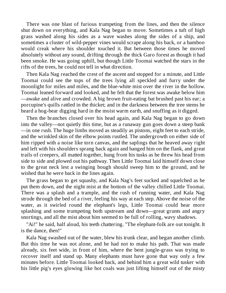There was one blast of furious trumpeting from the lines, and then the silence shut down on everything, and Kala Nag began to move. Sometimes a tuft of high grass washed along his sides as a wave washes along the sides of a ship, and sometimes a cluster of wild-pepper vines would scrape along his back, or a bamboo would creak where his shoulder touched it. But between those times he moved absolutely without any sound, drifting through the thick Garo forest as though it had been smoke. He was going uphill, but though Little Toomai watched the stars in the rifts of the trees, he could not tell in what direction.

Then Kala Nag reached the crest of the ascent and stopped for a minute, and Little Toomai could see the tops of the trees lying all speckled and furry under the moonlight for miles and miles, and the blue-white mist over the river in the hollow. Toomai leaned forward and looked, and he felt that the forest was awake below him —awake and alive and crowded. A big brown fruit-eating bat brushed past his ear; a porcupine's quills rattled in the thicket; and in the darkness between the tree stems he heard a hog-bear digging hard in the moist warm earth, and snuffing as it digged.

Then the branches closed over his head again, and Kala Nag began to go down into the valley—not quietly this time, but as a runaway gun goes down a steep bank —in one rush. The huge limbs moved as steadily as pistons, eight feet to each stride, and the wrinkled skin of the elbow points rustled. The undergrowth on either side of him ripped with a noise like torn canvas, and the saplings that he heaved away right and left with his shoulders sprang back again and banged him on the flank, and great trails of creepers, all matted together, hung from his tusks as he threw his head from side to side and plowed out his pathway. Then Little Toomai laid himself down close to the great neck lest a swinging bough should sweep him to the ground, and he wished that he were back in the lines again.

The grass began to get squashy, and Kala Nag's feet sucked and squelched as he put them down, and the night mist at the bottom of the valley chilled Little Toomai. There was a splash and a trample, and the rush of running water, and Kala Nag strode through the bed of a river, feeling his way at each step. Above the noise of the water, as it swirled round the elephant's legs, Little Toomai could hear more splashing and some trumpeting both upstream and down—great grunts and angry snortings, and all the mist about him seemed to be full of rolling, wavy shadows.

"Ai!" he said, half aloud, his teeth chattering. "The elephant-folk are out tonight. It is the dance, then!"

Kala Nag swashed out of the water, blew his trunk clear, and began another climb. But this time he was not alone, and he had not to make his path. That was made already, six feet wide, in front of him, where the bent jungle-grass was trying to recover itself and stand up. Many elephants must have gone that way only a few minutes before. Little Toomai looked back, and behind him a great wild tusker with his little pig's eyes glowing like hot coals was just lifting himself out of the misty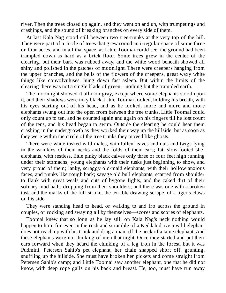river. Then the trees closed up again, and they went on and up, with trumpetings and crashings, and the sound of breaking branches on every side of them.

At last Kala Nag stood still between two tree-trunks at the very top of the hill. They were part of a circle of trees that grew round an irregular space of some three or four acres, and in all that space, as Little Toomai could see, the ground had been trampled down as hard as a brick floor. Some trees grew in the center of the clearing, but their bark was rubbed away, and the white wood beneath showed all shiny and polished in the patches of moonlight. There were creepers hanging from the upper branches, and the bells of the flowers of the creepers, great waxy white things like convolvuluses, hung down fast asleep. But within the limits of the clearing there was not a single blade of green—nothing but the trampled earth.

The moonlight showed it all iron gray, except where some elephants stood upon it, and their shadows were inky black. Little Toomai looked, holding his breath, with his eyes starting out of his head, and as he looked, more and more and more elephants swung out into the open from between the tree trunks. Little Toomai could only count up to ten, and he counted again and again on his fingers till he lost count of the tens, and his head began to swim. Outside the clearing he could hear them crashing in the undergrowth as they worked their way up the hillside, but as soon as they were within the circle of the tree trunks they moved like ghosts.

There were white-tusked wild males, with fallen leaves and nuts and twigs lying in the wrinkles of their necks and the folds of their ears; fat, slow-footed sheelephants, with restless, little pinky black calves only three or four feet high running under their stomachs; young elephants with their tusks just beginning to show, and very proud of them; lanky, scraggy old-maid elephants, with their hollow anxious faces, and trunks like rough bark; savage old bull elephants, scarred from shoulder to flank with great weals and cuts of bygone fights, and the caked dirt of their solitary mud baths dropping from their shoulders; and there was one with a broken tusk and the marks of the full-stroke, the terrible drawing scrape, of a tiger's claws on his side.

They were standing head to head, or walking to and fro across the ground in couples, or rocking and swaying all by themselves—scores and scores of elephants.

Toomai knew that so long as he lay still on Kala Nag's neck nothing would happen to him, for even in the rush and scramble of a Keddah drive a wild elephant does not reach up with his trunk and drag a man off the neck of a tame elephant. And these elephants were not thinking of men that night. Once they started and put their ears forward when they heard the chinking of a leg iron in the forest, but it was Pudmini, Petersen Sahib's pet elephant, her chain snapped short off, grunting, snuffling up the hillside. She must have broken her pickets and come straight from Petersen Sahib's camp; and Little Toomai saw another elephant, one that he did not know, with deep rope galls on his back and breast. He, too, must have run away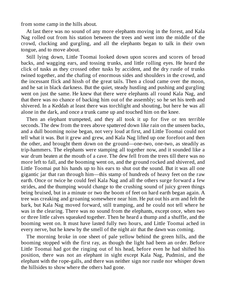from some camp in the hills about.

At last there was no sound of any more elephants moving in the forest, and Kala Nag rolled out from his station between the trees and went into the middle of the crowd, clucking and gurgling, and all the elephants began to talk in their own tongue, and to move about.

Still lying down, Little Toomai looked down upon scores and scores of broad backs, and wagging ears, and tossing trunks, and little rolling eyes. He heard the click of tusks as they crossed other tusks by accident, and the dry rustle of trunks twined together, and the chafing of enormous sides and shoulders in the crowd, and the incessant flick and hissh of the great tails. Then a cloud came over the moon, and he sat in black darkness. But the quiet, steady hustling and pushing and gurgling went on just the same. He knew that there were elephants all round Kala Nag, and that there was no chance of backing him out of the assembly; so he set his teeth and shivered. In a Keddah at least there was torchlight and shouting, but here he was all alone in the dark, and once a trunk came up and touched him on the knee.

Then an elephant trumpeted, and they all took it up for five or ten terrible seconds. The dew from the trees above spattered down like rain on the unseen backs, and a dull booming noise began, not very loud at first, and Little Toomai could not tell what it was. But it grew and grew, and Kala Nag lifted up one forefoot and then the other, and brought them down on the ground—one-two, one-two, as steadily as trip-hammers. The elephants were stamping all together now, and it sounded like a war drum beaten at the mouth of a cave. The dew fell from the trees till there was no more left to fall, and the booming went on, and the ground rocked and shivered, and Little Toomai put his hands up to his ears to shut out the sound. But it was all one gigantic jar that ran through him—this stamp of hundreds of heavy feet on the raw earth. Once or twice he could feel Kala Nag and all the others surge forward a few strides, and the thumping would change to the crushing sound of juicy green things being bruised, but in a minute or two the boom of feet on hard earth began again. A tree was creaking and groaning somewhere near him. He put out his arm and felt the bark, but Kala Nag moved forward, still tramping, and he could not tell where he was in the clearing. There was no sound from the elephants, except once, when two or three little calves squeaked together. Then he heard a thump and a shuffle, and the booming went on. It must have lasted fully two hours, and Little Toomai ached in every nerve, but he knew by the smell of the night air that the dawn was coming.

The morning broke in one sheet of pale yellow behind the green hills, and the booming stopped with the first ray, as though the light had been an order. Before Little Toomai had got the ringing out of his head, before even he had shifted his position, there was not an elephant in sight except Kala Nag, Pudmini, and the elephant with the rope-galls, and there was neither sign nor rustle nor whisper down the hillsides to show where the others had gone.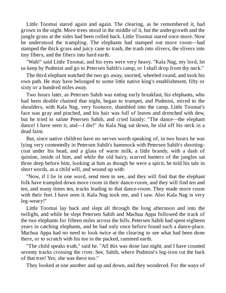Little Toomai stared again and again. The clearing, as he remembered it, had grown in the night. More trees stood in the middle of it, but the undergrowth and the jungle grass at the sides had been rolled back. Little Toomai stared once more. Now he understood the trampling. The elephants had stamped out more room—had stamped the thick grass and juicy cane to trash, the trash into slivers, the slivers into tiny fibers, and the fibers into hard earth.

"Wah!" said Little Toomai, and his eyes were very heavy. "Kala Nag, my lord, let us keep by Pudmini and go to Petersen Sahib's camp, or I shall drop from thy neck."

The third elephant watched the two go away, snorted, wheeled round, and took his own path. He may have belonged to some little native king's establishment, fifty or sixty or a hundred miles away.

Two hours later, as Petersen Sahib was eating early breakfast, his elephants, who had been double chained that night, began to trumpet, and Pudmini, mired to the shoulders, with Kala Nag, very footsore, shambled into the camp. Little Toomai's face was gray and pinched, and his hair was full of leaves and drenched with dew, but he tried to salute Petersen Sahib, and cried faintly: "The dance—the elephant dance! I have seen it, and—I die!" As Kala Nag sat down, he slid off his neck in a dead faint.

But, since native children have no nerves worth speaking of, in two hours he was lying very contentedly in Petersen Sahib's hammock with Petersen Sahib's shootingcoat under his head, and a glass of warm milk, a little brandy, with a dash of quinine, inside of him, and while the old hairy, scarred hunters of the jungles sat three deep before him, looking at him as though he were a spirit, he told his tale in short words, as a child will, and wound up with:

"Now, if I lie in one word, send men to see, and they will find that the elephant folk have trampled down more room in their dance-room, and they will find ten and ten, and many times ten, tracks leading to that dance-room. They made more room with their feet. I have seen it. Kala Nag took me, and I saw. Also Kala Nag is very leg-weary!"

Little Toomai lay back and slept all through the long afternoon and into the twilight, and while he slept Petersen Sahib and Machua Appa followed the track of the two elephants for fifteen miles across the hills. Petersen Sahib had spent eighteen years in catching elephants, and he had only once before found such a dance-place. Machua Appa had no need to look twice at the clearing to see what had been done there, or to scratch with his toe in the packed, rammed earth.

"The child speaks truth," said he. "All this was done last night, and I have counted seventy tracks crossing the river. See, Sahib, where Pudmini's leg-iron cut the bark of that tree! Yes; she was there too."

They looked at one another and up and down, and they wondered. For the ways of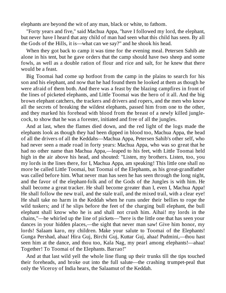elephants are beyond the wit of any man, black or white, to fathom.

"Forty years and five," said Machua Appa, "have I followed my lord, the elephant, but never have I heard that any child of man had seen what this child has seen. By all the Gods of the Hills, it is—what can we say?" and he shook his head.

When they got back to camp it was time for the evening meal. Petersen Sahib ate alone in his tent, but he gave orders that the camp should have two sheep and some fowls, as well as a double ration of flour and rice and salt, for he knew that there would be a feast.

Big Toomai had come up hotfoot from the camp in the plains to search for his son and his elephant, and now that he had found them he looked at them as though he were afraid of them both. And there was a feast by the blazing campfires in front of the lines of picketed elephants, and Little Toomai was the hero of it all. And the big brown elephant catchers, the trackers and drivers and ropers, and the men who know all the secrets of breaking the wildest elephants, passed him from one to the other, and they marked his forehead with blood from the breast of a newly killed junglecock, to show that he was a forester, initiated and free of all the jungles.

And at last, when the flames died down, and the red light of the logs made the elephants look as though they had been dipped in blood too, Machua Appa, the head of all the drivers of all the Keddahs—Machua Appa, Petersen Sahib's other self, who had never seen a made road in forty years: Machua Appa, who was so great that he had no other name than Machua Appa,—leaped to his feet, with Little Toomai held high in the air above his head, and shouted: "Listen, my brothers. Listen, too, you my lords in the lines there, for I, Machua Appa, am speaking! This little one shall no more be called Little Toomai, but Toomai of the Elephants, as his great-grandfather was called before him. What never man has seen he has seen through the long night, and the favor of the elephant-folk and of the Gods of the Jungles is with him. He shall become a great tracker. He shall become greater than I, even I, Machua Appa! He shall follow the new trail, and the stale trail, and the mixed trail, with a clear eye! He shall take no harm in the Keddah when he runs under their bellies to rope the wild tuskers; and if he slips before the feet of the charging bull elephant, the bull elephant shall know who he is and shall not crush him. Aihai! my lords in the chains,"—he whirled up the line of pickets—"here is the little one that has seen your dances in your hidden places,—the sight that never man saw! Give him honor, my lords! Salaam karo, my children. Make your salute to Toomai of the Elephants! Gunga Pershad, ahaa! Hira Guj, Birchi Guj, Kuttar Guj, ahaa! Pudmini,—thou hast seen him at the dance, and thou too, Kala Nag, my pearl among elephants!—ahaa! Together! To Toomai of the Elephants. Barrao!"

And at that last wild yell the whole line flung up their trunks till the tips touched their foreheads, and broke out into the full salute—the crashing trumpet-peal that only the Viceroy of India hears, the Salaamut of the Keddah.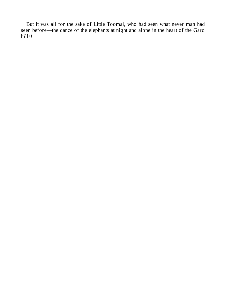But it was all for the sake of Little Toomai, who had seen what never man had seen before—the dance of the elephants at night and alone in the heart of the Garo hills!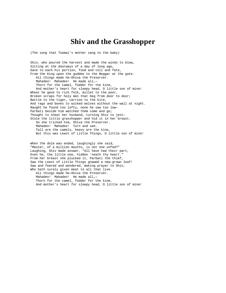## **Shiv and the Grasshopper**

(The song that Toomai's mother sang to the baby)

Shiv, who poured the harvest and made the winds to blow, Sitting at the doorways of a day of long ago, Gave to each his portion, food and toil and fate, From the King upon the guddee to the Beggar at the gate. All things made he—Shiva the Preserver. Mahadeo! Mahadeo! He made all,-Thorn for the camel, fodder for the kine, And mother's heart for sleepy head, O little son of mine! Wheat he gave to rich folk, millet to the poor, Broken scraps for holy men that beg from door to door; Battle to the tiger, carrion to the kite, And rags and bones to wicked wolves without the wall at night. Naught he found too lofty, none he saw too low— Parbati beside him watched them come and go; Thought to cheat her husband, turning Shiv to jest— Stole the little grasshopper and hid it in her breast. So she tricked him, Shiva the Preserver. Mahadeo! Mahadeo! Turn and see. Tall are the camels, heavy are the kine, But this was Least of Little Things, O little son of mine!

When the dole was ended, laughingly she said, "Master, of a million mouths, is not one unfed?" Laughing, Shiv made answer, "All have had their part, Even he, the little one, hidden 'neath thy heart." From her breast she plucked it, Parbati the thief, Saw the Least of Little Things gnawed a new-grown leaf! Saw and feared and wondered, making prayer to Shiv, Who hath surely given meat to all that live. All things made he—Shiva the Preserver. Mahadeo! Mahadeo! He made all,-Thorn for the camel, fodder for the kine, And mother's heart for sleepy head, O little son of mine!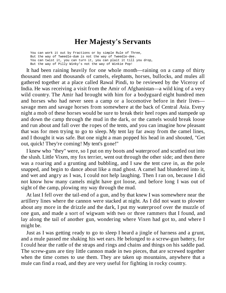## **Her Majesty's Servants**

You can work it out by Fractions or by simple Rule of Three, But the way of Tweedle-dum is not the way of Tweedle-dee. You can twist it, you can turn it, you can plait it till you drop, But the way of Pilly Winky's not the way of Winkie Pop!

It had been raining heavily for one whole month—raining on a camp of thirty thousand men and thousands of camels, elephants, horses, bullocks, and mules all gathered together at a place called Rawal Pindi, to be reviewed by the Viceroy of India. He was receiving a visit from the Amir of Afghanistan—a wild king of a very wild country. The Amir had brought with him for a bodyguard eight hundred men and horses who had never seen a camp or a locomotive before in their lives savage men and savage horses from somewhere at the back of Central Asia. Every night a mob of these horses would be sure to break their heel ropes and stampede up and down the camp through the mud in the dark, or the camels would break loose and run about and fall over the ropes of the tents, and you can imagine how pleasant that was for men trying to go to sleep. My tent lay far away from the camel lines, and I thought it was safe. But one night a man popped his head in and shouted, "Get out, quick! They're coming! My tent's gone!"

I knew who "they" were, so I put on my boots and waterproof and scuttled out into the slush. Little Vixen, my fox terrier, went out through the other side; and then there was a roaring and a grunting and bubbling, and I saw the tent cave in, as the pole snapped, and begin to dance about like a mad ghost. A camel had blundered into it, and wet and angry as I was, I could not help laughing. Then I ran on, because I did not know how many camels might have got loose, and before long I was out of sight of the camp, plowing my way through the mud.

At last I fell over the tail-end of a gun, and by that knew I was somewhere near the artillery lines where the cannon were stacked at night. As I did not want to plowter about any more in the drizzle and the dark, I put my waterproof over the muzzle of one gun, and made a sort of wigwam with two or three rammers that I found, and lay along the tail of another gun, wondering where Vixen had got to, and where I might be.

Just as I was getting ready to go to sleep I heard a jingle of harness and a grunt, and a mule passed me shaking his wet ears. He belonged to a screw-gun battery, for I could hear the rattle of the straps and rings and chains and things on his saddle pad. The screw-guns are tiny little cannon made in two pieces, that are screwed together when the time comes to use them. They are taken up mountains, anywhere that a mule can find a road, and they are very useful for fighting in rocky country.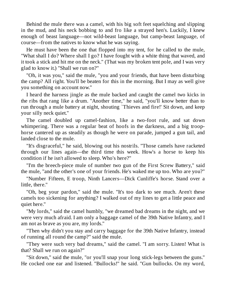Behind the mule there was a camel, with his big soft feet squelching and slipping in the mud, and his neck bobbing to and fro like a strayed hen's. Luckily, I knew enough of beast language—not wild-beast language, but camp-beast language, of course—from the natives to know what he was saying.

He must have been the one that flopped into my tent, for he called to the mule, "What shall I do? Where shall I go? I have fought with a white thing that waved, and it took a stick and hit me on the neck." (That was my broken tent pole, and I was very glad to know it.) "Shall we run on?"

"Oh, it was you," said the mule, "you and your friends, that have been disturbing the camp? All right. You'll be beaten for this in the morning. But I may as well give you something on account now."

I heard the harness jingle as the mule backed and caught the camel two kicks in the ribs that rang like a drum. "Another time," he said, "you'll know better than to run through a mule battery at night, shouting `Thieves and fire!' Sit down, and keep your silly neck quiet."

The camel doubled up camel-fashion, like a two-foot rule, and sat down whimpering. There was a regular beat of hoofs in the darkness, and a big troophorse cantered up as steadily as though he were on parade, jumped a gun tail, and landed close to the mule.

"It's disgraceful," he said, blowing out his nostrils. "Those camels have racketed through our lines again—the third time this week. How's a horse to keep his condition if he isn't allowed to sleep. Who's here?"

"I'm the breech-piece mule of number two gun of the First Screw Battery," said the mule, "and the other's one of your friends. He's waked me up too. Who are you?"

"Number Fifteen, E troop, Ninth Lancers—Dick Cunliffe's horse. Stand over a little, there."

"Oh, beg your pardon," said the mule. "It's too dark to see much. Aren't these camels too sickening for anything? I walked out of my lines to get a little peace and quiet here."

"My lords," said the camel humbly, "we dreamed bad dreams in the night, and we were very much afraid. I am only a baggage camel of the 39th Native Infantry, and I am not as brave as you are, my lords."

"Then why didn't you stay and carry baggage for the 39th Native Infantry, instead of running all round the camp?" said the mule.

"They were such very bad dreams," said the camel. "I am sorry. Listen! What is that? Shall we run on again?"

"Sit down," said the mule, "or you'll snap your long stick-legs between the guns." He cocked one ear and listened. "Bullocks!" he said. "Gun bullocks. On my word,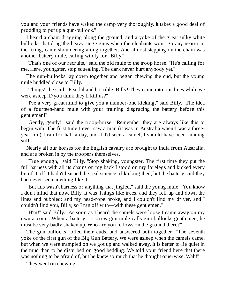you and your friends have waked the camp very thoroughly. It takes a good deal of prodding to put up a gun-bullock."

I heard a chain dragging along the ground, and a yoke of the great sulky white bullocks that drag the heavy siege guns when the elephants won't go any nearer to the firing, came shouldering along together. And almost stepping on the chain was another battery mule, calling wildly for "Billy."

"That's one of our recruits," said the old mule to the troop horse. "He's calling for me. Here, youngster, stop squealing. The dark never hurt anybody yet."

The gun-bullocks lay down together and began chewing the cud, but the young mule huddled close to Billy.

"Things!" he said. "Fearful and horrible, Billy! They came into our lines while we were asleep. D'you think they'll kill us?"

"I've a very great mind to give you a number-one kicking," said Billy. "The idea of a fourteen-hand mule with your training disgracing the battery before this gentleman!"

"Gently, gently!" said the troop-horse. "Remember they are always like this to begin with. The first time I ever saw a man (it was in Australia when I was a threeyear-old) I ran for half a day, and if I'd seen a camel, I should have been running still."

Nearly all our horses for the English cavalry are brought to India from Australia, and are broken in by the troopers themselves.

"True enough," said Billy. "Stop shaking, youngster. The first time they put the full harness with all its chains on my back I stood on my forelegs and kicked every bit of it off. I hadn't learned the real science of kicking then, but the battery said they had never seen anything like it."

"But this wasn't harness or anything that jingled," said the young mule. "You know I don't mind that now, Billy. It was Things like trees, and they fell up and down the lines and bubbled; and my head-rope broke, and I couldn't find my driver, and I couldn't find you, Billy, so I ran off with—with these gentlemen."

"H'm!" said Billy. "As soon as I heard the camels were loose I came away on my own account. When a battery—a screw-gun mule calls gun-bullocks gentlemen, he must be very badly shaken up. Who are you fellows on the ground there?"

The gun bullocks rolled their cuds, and answered both together: "The seventh yoke of the first gun of the Big Gun Battery. We were asleep when the camels came, but when we were trampled on we got up and walked away. It is better to lie quiet in the mud than to be disturbed on good bedding. We told your friend here that there was nothing to be afraid of, but he knew so much that he thought otherwise. Wah!"

They went on chewing.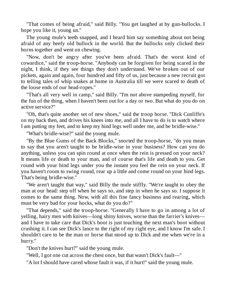"That comes of being afraid," said Billy. "You get laughed at by gun-bullocks. I hope you like it, young un."

The young mule's teeth snapped, and I heard him say something about not being afraid of any beefy old bullock in the world. But the bullocks only clicked their horns together and went on chewing.

"Now, don't be angry after you've been afraid. That's the worst kind of cowardice," said the troop-horse. "Anybody can be forgiven for being scared in the night, I think, if they see things they don't understand. We've broken out of our pickets, again and again, four hundred and fifty of us, just because a new recruit got to telling tales of whip snakes at home in Australia till we were scared to death of the loose ends of our head-ropes."

"That's all very well in camp," said Billy. "I'm not above stampeding myself, for the fun of the thing, when I haven't been out for a day or two. But what do you do on active service?"

"Oh, that's quite another set of new shoes," said the troop horse. "Dick Cunliffe's on my back then, and drives his knees into me, and all I have to do is to watch where I am putting my feet, and to keep my hind legs well under me, and be bridle-wise."

"What's bridle-wise?" said the young mule.

"By the Blue Gums of the Back Blocks," snorted the troop-horse, "do you mean to say that you aren't taught to be bridle-wise in your business? How can you do anything, unless you can spin round at once when the rein is pressed on your neck? It means life or death to your man, and of course that's life and death to you. Get round with your hind legs under you the instant you feel the rein on your neck. If you haven't room to swing round, rear up a little and come round on your hind legs. That's being bridle-wise."

"We aren't taught that way," said Billy the mule stiffly. "We're taught to obey the man at our head: step off when he says so, and step in when he says so. I suppose it comes to the same thing. Now, with all this fine fancy business and rearing, which must be very bad for your hocks, what do you do?"

"That depends," said the troop-horse. "Generally I have to go in among a lot of yelling, hairy men with knives—long shiny knives, worse than the farrier's knives and I have to take care that Dick's boot is just touching the next man's boot without crushing it. I can see Dick's lance to the right of my right eye, and I know I'm safe. I shouldn't care to be the man or horse that stood up to Dick and me when we're in a hurry."

"Don't the knives hurt?" said the young mule.

"Well, I got one cut across the chest once, but that wasn't Dick's fault—"

"A lot I should have cared whose fault it was, if it hurt!" said the young mule.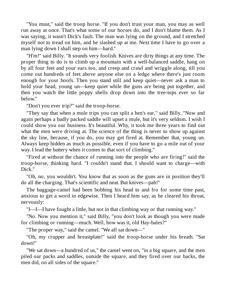"You must," said the troop horse. "If you don't trust your man, you may as well run away at once. That's what some of our horses do, and I don't blame them. As I was saying, it wasn't Dick's fault. The man was lying on the ground, and I stretched myself not to tread on him, and he slashed up at me. Next time I have to go over a man lying down I shall step on him—hard."

"H'm!" said Billy. "It sounds very foolish. Knives are dirty things at any time. The proper thing to do is to climb up a mountain with a well-balanced saddle, hang on by all four feet and your ears too, and creep and crawl and wriggle along, till you come out hundreds of feet above anyone else on a ledge where there's just room enough for your hoofs. Then you stand still and keep quiet—never ask a man to hold your head, young un—keep quiet while the guns are being put together, and then you watch the little poppy shells drop down into the tree-tops ever so far below."

"Don't you ever trip?" said the troop-horse.

"They say that when a mule trips you can split a hen's ear," said Billy. "Now and again perhaps a badly packed saddle will upset a mule, but it's very seldom. I wish I could show you our business. It's beautiful. Why, it took me three years to find out what the men were driving at. The science of the thing is never to show up against the sky line, because, if you do, you may get fired at. Remember that, young un. Always keep hidden as much as possible, even if you have to go a mile out of your way. I lead the battery when it comes to that sort of climbing."

"Fired at without the chance of running into the people who are firing!" said the troop-horse, thinking hard. "I couldn't stand that. I should want to charge—with Dick."

"Oh, no, you wouldn't. You know that as soon as the guns are in position they'll do all the charging. That's scientific and neat. But knives—pah!"

The baggage-camel had been bobbing his head to and fro for some time past, anxious to get a word in edgewise. Then I heard him say, as he cleared his throat, nervously:

"I—I—I have fought a little, but not in that climbing way or that running way."

"No. Now you mention it," said Billy, "you don't look as though you were made for climbing or running—much. Well, how was it, old Hay-bales?"

"The proper way," said the camel. "We all sat down—"

"Oh, my crupper and breastplate!" said the troop-horse under his breath. "Sat down!"

"We sat down—a hundred of us," the camel went on, "in a big square, and the men piled our packs and saddles, outside the square, and they fired over our backs, the men did, on all sides of the square."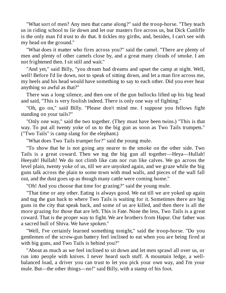"What sort of men? Any men that came along?" said the troop-horse. "They teach us in riding school to lie down and let our masters fire across us, but Dick Cunliffe is the only man I'd trust to do that. It tickles my girths, and, besides, I can't see with my head on the ground."

"What does it matter who fires across you?" said the camel. "There are plenty of men and plenty of other camels close by, and a great many clouds of smoke. I am not frightened then. I sit still and wait."

"And yet," said Billy, "you dream bad dreams and upset the camp at night. Well, well! Before I'd lie down, not to speak of sitting down, and let a man fire across me, my heels and his head would have something to say to each other. Did you ever hear anything so awful as that?"

There was a long silence, and then one of the gun bullocks lifted up his big head and said, "This is very foolish indeed. There is only one way of fighting."

"Oh, go on," said Billy. "Please don't mind me. I suppose you fellows fight standing on your tails?"

"Only one way," said the two together. (They must have been twins.) "This is that way. To put all twenty yoke of us to the big gun as soon as Two Tails trumpets." ("Two Tails" is camp slang for the elephant.)

"What does Two Tails trumpet for?" said the young mule.

"To show that he is not going any nearer to the smoke on the other side. Two Tails is a great coward. Then we tug the big gun all together—Heya—Hullah! Heeyah! Hullah! We do not climb like cats nor run like calves. We go across the level plain, twenty yoke of us, till we are unyoked again, and we graze while the big guns talk across the plain to some town with mud walls, and pieces of the wall fall out, and the dust goes up as though many cattle were coming home."

"Oh! And you choose that time for grazing?" said the young mule.

"That time or any other. Eating is always good. We eat till we are yoked up again and tug the gun back to where Two Tails is waiting for it. Sometimes there are big guns in the city that speak back, and some of us are killed, and then there is all the more grazing for those that are left. This is Fate. None the less, Two Tails is a great coward. That is the proper way to fight. We are brothers from Hapur. Our father was a sacred bull of Shiva. We have spoken."

"Well, I've certainly learned something tonight," said the troop-horse. "Do you gentlemen of the screw-gun battery feel inclined to eat when you are being fired at with big guns, and Two Tails is behind you?"

"About as much as we feel inclined to sit down and let men sprawl all over us, or run into people with knives. I never heard such stuff. A mountain ledge, a wellbalanced load, a driver you can trust to let you pick your own way, and I'm your mule. But—the other things—no!" said Billy, with a stamp of his foot.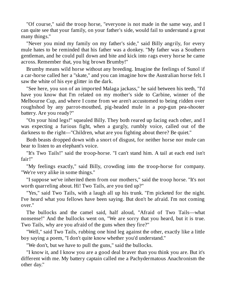"Of course," said the troop horse, "everyone is not made in the same way, and I can quite see that your family, on your father's side, would fail to understand a great many things."

"Never you mind my family on my father's side," said Billy angrily, for every mule hates to be reminded that his father was a donkey. "My father was a Southern gentleman, and he could pull down and bite and kick into rags every horse he came across. Remember that, you big brown Brumby!"

Brumby means wild horse without any breeding. Imagine the feelings of Sunol if a car-horse called her a "skate," and you can imagine how the Australian horse felt. I saw the white of his eye glitter in the dark.

"See here, you son of an imported Malaga jackass," he said between his teeth, "I'd have you know that I'm related on my mother's side to Carbine, winner of the Melbourne Cup, and where I come from we aren't accustomed to being ridden over roughshod by any parrot-mouthed, pig-headed mule in a pop-gun pea-shooter battery. Are you ready?"

"On your hind legs!" squealed Billy. They both reared up facing each other, and I was expecting a furious fight, when a gurgly, rumbly voice, called out of the darkness to the right—"Children, what are you fighting about there? Be quiet."

Both beasts dropped down with a snort of disgust, for neither horse nor mule can bear to listen to an elephant's voice.

"It's Two Tails!" said the troop-horse. "I can't stand him. A tail at each end isn't fair!"

"My feelings exactly," said Billy, crowding into the troop-horse for company. "We're very alike in some things."

"I suppose we've inherited them from our mothers," said the troop horse. "It's not worth quarreling about. Hi! Two Tails, are you tied up?"

"Yes," said Two Tails, with a laugh all up his trunk. "I'm picketed for the night. I've heard what you fellows have been saying. But don't be afraid. I'm not coming over."

The bullocks and the camel said, half aloud, "Afraid of Two Tails—what nonsense!" And the bullocks went on, "We are sorry that you heard, but it is true. Two Tails, why are you afraid of the guns when they fire?"

"Well," said Two Tails, rubbing one hind leg against the other, exactly like a little boy saying a poem, "I don't quite know whether you'd understand."

"We don't, but we have to pull the guns," said the bullocks.

"I know it, and I know you are a good deal braver than you think you are. But it's different with me. My battery captain called me a Pachydermatous Anachronism the other day."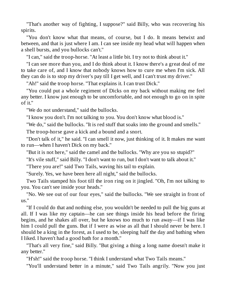"That's another way of fighting, I suppose?" said Billy, who was recovering his spirits.

"You don't know what that means, of course, but I do. It means betwixt and between, and that is just where I am. I can see inside my head what will happen when a shell bursts, and you bullocks can't."

"I can," said the troop-horse. "At least a little bit. I try not to think about it."

"I can see more than you, and I do think about it. I know there's a great deal of me to take care of, and I know that nobody knows how to cure me when I'm sick. All they can do is to stop my driver's pay till I get well, and I can't trust my driver."

"Ah!" said the troop horse. "That explains it. I can trust Dick."

"You could put a whole regiment of Dicks on my back without making me feel any better. I know just enough to be uncomfortable, and not enough to go on in spite of it."

"We do not understand," said the bullocks.

"I know you don't. I'm not talking to you. You don't know what blood is."

"We do," said the bullocks. "It is red stuff that soaks into the ground and smells."

The troop-horse gave a kick and a bound and a snort.

"Don't talk of it," he said. "I can smell it now, just thinking of it. It makes me want to run—when I haven't Dick on my back."

"But it is not here," said the camel and the bullocks. "Why are you so stupid?"

"It's vile stuff," said Billy. "I don't want to run, but I don't want to talk about it."

"There you are!" said Two Tails, waving his tail to explain.

"Surely. Yes, we have been here all night," said the bullocks.

Two Tails stamped his foot till the iron ring on it jingled. "Oh, I'm not talking to you. You can't see inside your heads."

"No. We see out of our four eyes," said the bullocks. "We see straight in front of us."

"If I could do that and nothing else, you wouldn't be needed to pull the big guns at all. If I was like my captain—he can see things inside his head before the firing begins, and he shakes all over, but he knows too much to run away—if I was like him I could pull the guns. But if I were as wise as all that I should never be here. I should be a king in the forest, as I used to be, sleeping half the day and bathing when I liked. I haven't had a good bath for a month."

"That's all very fine," said Billy. "But giving a thing a long name doesn't make it any better."

"H'sh!" said the troop horse. "I think I understand what Two Tails means."

"You'll understand better in a minute," said Two Tails angrily. "Now you just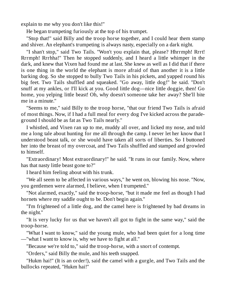explain to me why you don't like this!"

He began trumpeting furiously at the top of his trumpet.

"Stop that!" said Billy and the troop horse together, and I could hear them stamp and shiver. An elephant's trumpeting is always nasty, especially on a dark night.

"I shan't stop," said Two Tails. "Won't you explain that, please? Hhrrmph! Rrrt! Rrrmph! Rrrhha!" Then he stopped suddenly, and I heard a little whimper in the dark, and knew that Vixen had found me at last. She knew as well as I did that if there is one thing in the world the elephant is more afraid of than another it is a little barking dog. So she stopped to bully Two Tails in his pickets, and yapped round his big feet. Two Tails shuffled and squeaked. "Go away, little dog!" he said. "Don't snuff at my ankles, or I'll kick at you. Good little dog—nice little doggie, then! Go home, you yelping little beast! Oh, why doesn't someone take her away? She'll bite me in a minute."

"Seems to me," said Billy to the troop horse, "that our friend Two Tails is afraid of most things. Now, if I had a full meal for every dog I've kicked across the paradeground I should be as fat as Two Tails nearly."

I whistled, and Vixen ran up to me, muddy all over, and licked my nose, and told me a long tale about hunting for me all through the camp. I never let her know that I understood beast talk, or she would have taken all sorts of liberties. So I buttoned her into the breast of my overcoat, and Two Tails shuffled and stamped and growled to himself.

"Extraordinary! Most extraordinary!" he said. "It runs in our family. Now, where has that nasty little beast gone to?"

I heard him feeling about with his trunk.

"We all seem to be affected in various ways," he went on, blowing his nose. "Now, you gentlemen were alarmed, I believe, when I trumpeted."

"Not alarmed, exactly," said the troop-horse, "but it made me feel as though I had hornets where my saddle ought to be. Don't begin again."

"I'm frightened of a little dog, and the camel here is frightened by bad dreams in the night."

"It is very lucky for us that we haven't all got to fight in the same way," said the troop-horse.

"What I want to know," said the young mule, who had been quiet for a long time —"what I want to know is, why we have to fight at all."

"Because we're told to," said the troop-horse, with a snort of contempt.

"Orders," said Billy the mule, and his teeth snapped.

"Hukm hai!" (It is an order!), said the camel with a gurgle, and Two Tails and the bullocks repeated, "Hukm hai!"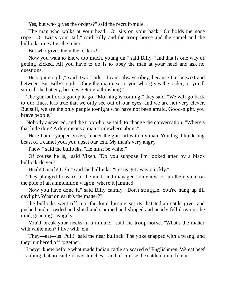"Yes, but who gives the orders?" said the recruit-mule.

"The man who walks at your head—Or sits on your back—Or holds the nose rope—Or twists your tail," said Billy and the troop-horse and the camel and the bullocks one after the other.

"But who gives them the orders?"

"Now you want to know too much, young un," said Billy, "and that is one way of getting kicked. All you have to do is to obey the man at your head and ask no questions."

"He's quite right," said Two Tails. "I can't always obey, because I'm betwixt and between. But Billy's right. Obey the man next to you who gives the order, or you'll stop all the battery, besides getting a thrashing."

The gun-bullocks got up to go. "Morning is coming," they said. "We will go back to our lines. It is true that we only see out of our eyes, and we are not very clever. But still, we are the only people to-night who have not been afraid. Good-night, you brave people."

Nobody answered, and the troop-horse said, to change the conversation, "Where's that little dog? A dog means a man somewhere about."

"Here I am," yapped Vixen, "under the gun tail with my man. You big, blundering beast of a camel you, you upset our tent. My man's very angry."

"Phew!" said the bullocks. "He must be white!"

"Of course he is," said Vixen. "Do you suppose I'm looked after by a black bullock-driver?"

"Huah! Ouach! Ugh!" said the bullocks. "Let us get away quickly."

They plunged forward in the mud, and managed somehow to run their yoke on the pole of an ammunition wagon, where it jammed.

"Now you have done it," said Billy calmly. "Don't struggle. You're hung up till daylight. What on earth's the matter?"

The bullocks went off into the long hissing snorts that Indian cattle give, and pushed and crowded and slued and stamped and slipped and nearly fell down in the mud, grunting savagely.

"You'll break your necks in a minute," said the troop-horse. "What's the matter with white men? I live with 'em."

"They—eat—us! Pull!" said the near bullock. The yoke snapped with a twang, and they lumbered off together.

I never knew before what made Indian cattle so scared of Englishmen. We eat beef —a thing that no cattle-driver touches—and of course the cattle do not like it.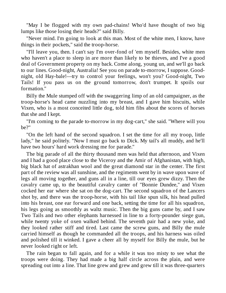"May I be flogged with my own pad-chains! Who'd have thought of two big lumps like those losing their heads?" said Billy.

"Never mind. I'm going to look at this man. Most of the white men, I know, have things in their pockets," said the troop-horse.

"I'll leave you, then. I can't say I'm over-fond of 'em myself. Besides, white men who haven't a place to sleep in are more than likely to be thieves, and I've a good deal of Government property on my back. Come along, young un, and we'll go back to our lines. Good-night, Australia! See you on parade to-morrow, I suppose. Goodnight, old Hay-bale!—try to control your feelings, won't you? Good-night, Two Tails! If you pass us on the ground tomorrow, don't trumpet. It spoils our formation."

Billy the Mule stumped off with the swaggering limp of an old campaigner, as the troop-horse's head came nuzzling into my breast, and I gave him biscuits, while Vixen, who is a most conceited little dog, told him fibs about the scores of horses that she and I kept.

"I'm coming to the parade to-morrow in my dog-cart," she said. "Where will you be?"

"On the left hand of the second squadron. I set the time for all my troop, little lady," he said politely. "Now I must go back to Dick. My tail's all muddy, and he'll have two hours' hard work dressing me for parade."

The big parade of all the thirty thousand men was held that afternoon, and Vixen and I had a good place close to the Viceroy and the Amir of Afghanistan, with high, big black hat of astrakhan wool and the great diamond star in the center. The first part of the review was all sunshine, and the regiments went by in wave upon wave of legs all moving together, and guns all in a line, till our eyes grew dizzy. Then the cavalry came up, to the beautiful cavalry canter of "Bonnie Dundee," and Vixen cocked her ear where she sat on the dog-cart. The second squadron of the Lancers shot by, and there was the troop-horse, with his tail like spun silk, his head pulled into his breast, one ear forward and one back, setting the time for all his squadron, his legs going as smoothly as waltz music. Then the big guns came by, and I saw Two Tails and two other elephants harnessed in line to a forty-pounder siege gun, while twenty yoke of oxen walked behind. The seventh pair had a new yoke, and they looked rather stiff and tired. Last came the screw guns, and Billy the mule carried himself as though he commanded all the troops, and his harness was oiled and polished till it winked. I gave a cheer all by myself for Billy the mule, but he never looked right or left.

The rain began to fall again, and for a while it was too misty to see what the troops were doing. They had made a big half circle across the plain, and were spreading out into a line. That line grew and grew and grew till it was three-quarters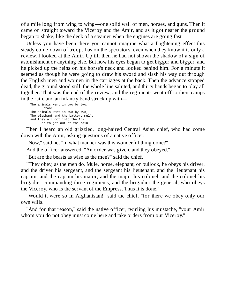of a mile long from wing to wing—one solid wall of men, horses, and guns. Then it came on straight toward the Viceroy and the Amir, and as it got nearer the ground began to shake, like the deck of a steamer when the engines are going fast.

Unless you have been there you cannot imagine what a frightening effect this steady come-down of troops has on the spectators, even when they know it is only a review. I looked at the Amir. Up till then he had not shown the shadow of a sign of astonishment or anything else. But now his eyes began to get bigger and bigger, and he picked up the reins on his horse's neck and looked behind him. For a minute it seemed as though he were going to draw his sword and slash his way out through the English men and women in the carriages at the back. Then the advance stopped dead, the ground stood still, the whole line saluted, and thirty bands began to play all together. That was the end of the review, and the regiments went off to their camps in the rain, and an infantry band struck up with—

The animals went in two by two, Hurrah! The animals went in two by two, The elephant and the battery mul', and they all got into the Ark For to get out of the rain!

Then I heard an old grizzled, long-haired Central Asian chief, who had come down with the Amir, asking questions of a native officer.

"Now," said he, "in what manner was this wonderful thing done?"

And the officer answered, "An order was given, and they obeyed."

"But are the beasts as wise as the men?" said the chief.

"They obey, as the men do. Mule, horse, elephant, or bullock, he obeys his driver, and the driver his sergeant, and the sergeant his lieutenant, and the lieutenant his captain, and the captain his major, and the major his colonel, and the colonel his brigadier commanding three regiments, and the brigadier the general, who obeys the Viceroy, who is the servant of the Empress. Thus it is done."

"Would it were so in Afghanistan!" said the chief, "for there we obey only our own wills."

"And for that reason," said the native officer, twirling his mustache, "your Amir whom you do not obey must come here and take orders from our Viceroy."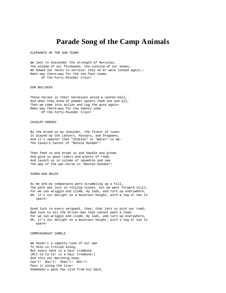## **Parade Song of the Camp Animals**

ELEPHANTS OF THE GUN TEAMS

We lent to Alexander the strength of Hercules, The wisdom of our foreheads, the cunning of our knees; We bowed our necks to service: they ne'er were loosed again,-Make way there—way for the ten-foot teams Of the Forty-Pounder train!

GUN BULLOCKS

Those heroes in their harnesses avoid a cannon-ball, And what they know of powder upsets them one and all; Then we come into action and tug the guns again— Make way there—way for the twenty yoke Of the Forty-Pounder train!

#### CAVALRY HORSES

By the brand on my shoulder, the finest of tunes Is played by the Lancers, Hussars, and Dragoons, And it's sweeter than "Stables" or "Water" to me— The Cavalry Canter of "Bonnie Dundee"!

Then feed us and break us and handle and groom, And give us good riders and plenty of room, And launch us in column of squadron and see The way of the war-horse to "Bonnie Dundee"!

#### SCREW-GUN MULES

As me and my companions were scrambling up a hill, The path was lost in rolling stones, but we went forward still; For we can wriggle and climb, my lads, and turn up everywhere, Oh, it's our delight on a mountain height, with a leg or two to spare!

Good luck to every sergeant, then, that lets us pick our road; Bad luck to all the driver-men that cannot pack a load: For we can wriggle and climb, my lads, and turn up everywhere, Oh, it's our delight on a mountain height, with a leg or two to spare!

#### COMMISSARIAT CAMELS

We haven't a camelty tune of our own To help us trollop along, But every neck is a hair trombone (Rtt-ta-ta-ta! is a hair trombone!) And this our marching-song: Can't! Don't! Shan't! Won't! Pass it along the line! Somebody's pack has slid from his back,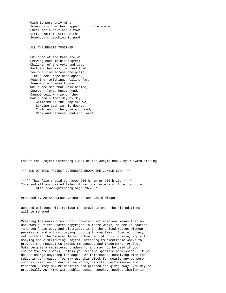Wish it were only mine! Somebody's load has tipped off in the road— Cheer for a halt and a row! Urrr! Yarrh! Grr! Arrh! Somebody's catching it now!

ALL THE BEASTS TOGETHER

Children of the Camp are we, Serving each in his degree; Children of the yoke and goad, Pack and harness, pad and load. See our line across the plain, Like a heel-rope bent again, Reaching, writhing, rolling far, Sweeping all away to war! While the men that walk beside, Dusty, silent, heavy-eyed, Cannot tell why we or they March and suffer day by day. Children of the Camp are we, Serving each in his degree; Children of the yoke and goad, Pack and harness, pad and load!

End of the Project Gutenberg EBook of The Jungle Book, by Rudyard Kipling

\*\*\* END OF THIS PROJECT GUTENBERG EBOOK THE JUNGLE BOOK \*\*\*

\*\*\*\*\* This file should be named 236-h.htm or 236-h.zip \*\*\*\*\* This and all associated files of various formats will be found in: http://www.gutenberg.org/2/3/236/

Produced by An Anonymous Volunteer and David Widger

Updated editions will replace the previous one--the old editions will be renamed.

Creating the works from public domain print editions means that no one owns a United States copyright in these works, so the Foundation (and you!) can copy and distribute it in the United States without permission and without paying copyright royalties. Special rules, set forth in the General Terms of Use part of this license, apply to copying and distributing Project Gutenberg-tm electronic works to protect the PROJECT GUTENBERG-tm concept and trademark. Project Gutenberg is a registered trademark, and may not be used if you charge for the eBooks, unless you receive specific permission. If you do not charge anything for copies of this eBook, complying with the rules is very easy. You may use this eBook for nearly any purpose such as creation of derivative works, reports, performances and research. They may be modified and printed and given away--you may do practically ANYTHING with public domain eBooks. Redistribution is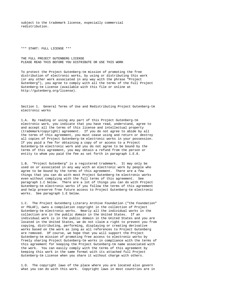subject to the trademark license, especially commercial redistribution.

\*\*\* START: FULL LICENSE \*\*\*

THE FULL PROJECT GUTENBERG LICENSE PLEASE READ THIS BEFORE YOU DISTRIBUTE OR USE THIS WORK

To protect the Project Gutenberg-tm mission of promoting the free distribution of electronic works, by using or distributing this work (or any other work associated in any way with the phrase "Project Gutenberg"), you agree to comply with all the terms of the Full Project Gutenberg-tm License (available with this file or online at http://gutenberg.org/license).

Section 1. General Terms of Use and Redistributing Project Gutenberg-tm electronic works

1.A. By reading or using any part of this Project Gutenberg-tm electronic work, you indicate that you have read, understand, agree to and accept all the terms of this license and intellectual property (trademark/copyright) agreement. If you do not agree to abide by all the terms of this agreement, you must cease using and return or destroy all copies of Project Gutenberg-tm electronic works in your possession. If you paid a fee for obtaining a copy of or access to a Project Gutenberg-tm electronic work and you do not agree to be bound by the terms of this agreement, you may obtain a refund from the person or entity to whom you paid the fee as set forth in paragraph 1.E.8.

1.B. "Project Gutenberg" is a registered trademark. It may only be used on or associated in any way with an electronic work by people who agree to be bound by the terms of this agreement. There are a few things that you can do with most Project Gutenberg-tm electronic works even without complying with the full terms of this agreement. See paragraph 1.C below. There are a lot of things you can do with Project Gutenberg-tm electronic works if you follow the terms of this agreement and help preserve free future access to Project Gutenberg-tm electronic works. See paragraph 1.E below.

1.C. The Project Gutenberg Literary Archive Foundation ("the Foundation" or PGLAF), owns a compilation copyright in the collection of Project Gutenberg-tm electronic works. Nearly all the individual works in the collection are in the public domain in the United States. If an individual work is in the public domain in the United States and you are located in the United States, we do not claim a right to prevent you from copying, distributing, performing, displaying or creating derivative works based on the work as long as all references to Project Gutenberg are removed. Of course, we hope that you will support the Project Gutenberg-tm mission of promoting free access to electronic works by freely sharing Project Gutenberg-tm works in compliance with the terms of this agreement for keeping the Project Gutenberg-tm name associated with the work. You can easily comply with the terms of this agreement by keeping this work in the same format with its attached full Project Gutenberg-tm License when you share it without charge with others.

1.D. The copyright laws of the place where you are located also govern what you can do with this work. Copyright laws in most countries are in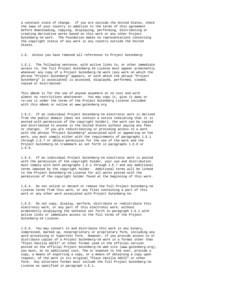a constant state of change. If you are outside the United States, check the laws of your country in addition to the terms of this agreement before downloading, copying, displaying, performing, distributing or creating derivative works based on this work or any other Project Gutenberg-tm work. The Foundation makes no representations concerning the copyright status of any work in any country outside the United States.

1.E. Unless you have removed all references to Project Gutenberg:

1.E.1. The following sentence, with active links to, or other immediate access to, the full Project Gutenberg-tm License must appear prominently whenever any copy of a Project Gutenberg-tm work (any work on which the phrase "Project Gutenberg" appears, or with which the phrase "Project Gutenberg" is associated) is accessed, displayed, performed, viewed, copied or distributed:

This eBook is for the use of anyone anywhere at no cost and with almost no restrictions whatsoever. You may copy it, give it away or re-use it under the terms of the Project Gutenberg License included with this eBook or online at www.gutenberg.org

1.E.2. If an individual Project Gutenberg-tm electronic work is derived from the public domain (does not contain a notice indicating that it is posted with permission of the copyright holder), the work can be copied and distributed to anyone in the United States without paying any fees or charges. If you are redistributing or providing access to a work with the phrase "Project Gutenberg" associated with or appearing on the work, you must comply either with the requirements of paragraphs 1.E.1 through 1.E.7 or obtain permission for the use of the work and the Project Gutenberg-tm trademark as set forth in paragraphs 1.E.8 or 1.E.9.

1.E.3. If an individual Project Gutenberg-tm electronic work is posted with the permission of the copyright holder, your use and distribution must comply with both paragraphs 1.E.1 through 1.E.7 and any additional terms imposed by the copyright holder. Additional terms will be linked to the Project Gutenberg-tm License for all works posted with the permission of the copyright holder found at the beginning of this work.

1.E.4. Do not unlink or detach or remove the full Project Gutenberg-tm License terms from this work, or any files containing a part of this work or any other work associated with Project Gutenberg-tm.

1.E.5. Do not copy, display, perform, distribute or redistribute this electronic work, or any part of this electronic work, without prominently displaying the sentence set forth in paragraph 1.E.1 with active links or immediate access to the full terms of the Project Gutenberg-tm License.

1.E.6. You may convert to and distribute this work in any binary, compressed, marked up, nonproprietary or proprietary form, including any word processing or hypertext form. However, if you provide access to or distribute copies of a Project Gutenberg-tm work in a format other than "Plain Vanilla ASCII" or other format used in the official version posted on the official Project Gutenberg-tm web site (www.gutenberg.org), you must, at no additional cost, fee or expense to the user, provide a copy, a means of exporting a copy, or a means of obtaining a copy upon request, of the work in its original "Plain Vanilla ASCII" or other form. Any alternate format must include the full Project Gutenberg-tm License as specified in paragraph 1.E.1.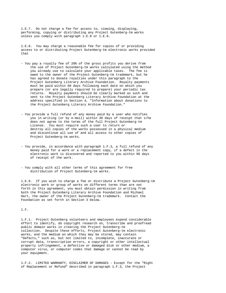1.E.7. Do not charge a fee for access to, viewing, displaying, performing, copying or distributing any Project Gutenberg-tm works unless you comply with paragraph 1.E.8 or 1.E.9.

1.E.8. You may charge a reasonable fee for copies of or providing access to or distributing Project Gutenberg-tm electronic works provided that

- You pay a royalty fee of 20% of the gross profits you derive from the use of Project Gutenberg-tm works calculated using the method you already use to calculate your applicable taxes. The fee is owed to the owner of the Project Gutenberg-tm trademark, but he has agreed to donate royalties under this paragraph to the Project Gutenberg Literary Archive Foundation. Royalty payments must be paid within 60 days following each date on which you prepare (or are legally required to prepare) your periodic tax returns. Royalty payments should be clearly marked as such and sent to the Project Gutenberg Literary Archive Foundation at the address specified in Section 4, "Information about donations to the Project Gutenberg Literary Archive Foundation."
- You provide a full refund of any money paid by a user who notifies you in writing (or by e-mail) within 30 days of receipt that s/he does not agree to the terms of the full Project Gutenberg-tm License. You must require such a user to return or destroy all copies of the works possessed in a physical medium and discontinue all use of and all access to other copies of Project Gutenberg-tm works.
- You provide, in accordance with paragraph 1.F.3, a full refund of any money paid for a work or a replacement copy, if a defect in the electronic work is discovered and reported to you within 90 days of receipt of the work.
- You comply with all other terms of this agreement for free distribution of Project Gutenberg-tm works.

1.E.9. If you wish to charge a fee or distribute a Project Gutenberg-tm electronic work or group of works on different terms than are set forth in this agreement, you must obtain permission in writing from both the Project Gutenberg Literary Archive Foundation and Michael Hart, the owner of the Project Gutenberg-tm trademark. Contact the Foundation as set forth in Section 3 below.

1.F.

1.F.1. Project Gutenberg volunteers and employees expend considerable effort to identify, do copyright research on, transcribe and proofread public domain works in creating the Project Gutenberg-tm collection. Despite these efforts, Project Gutenberg-tm electronic works, and the medium on which they may be stored, may contain "Defects," such as, but not limited to, incomplete, inaccurate or corrupt data, transcription errors, a copyright or other intellectual property infringement, a defective or damaged disk or other medium, a computer virus, or computer codes that damage or cannot be read by your equipment.

1.F.2. LIMITED WARRANTY, DISCLAIMER OF DAMAGES - Except for the "Right of Replacement or Refund" described in paragraph 1.F.3, the Project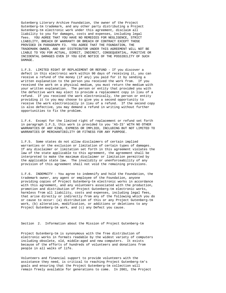Gutenberg Literary Archive Foundation, the owner of the Project Gutenberg-tm trademark, and any other party distributing a Project Gutenberg-tm electronic work under this agreement, disclaim all liability to you for damages, costs and expenses, including legal fees. YOU AGREE THAT YOU HAVE NO REMEDIES FOR NEGLIGENCE, STRICT LIABILITY, BREACH OF WARRANTY OR BREACH OF CONTRACT EXCEPT THOSE PROVIDED IN PARAGRAPH F3. YOU AGREE THAT THE FOUNDATION, THE TRADEMARK OWNER, AND ANY DISTRIBUTOR UNDER THIS AGREEMENT WILL NOT BE LIABLE TO YOU FOR ACTUAL, DIRECT, INDIRECT, CONSEQUENTIAL, PUNITIVE OR INCIDENTAL DAMAGES EVEN IF YOU GIVE NOTICE OF THE POSSIBILITY OF SUCH DAMAGE.

1.F.3. LIMITED RIGHT OF REPLACEMENT OR REFUND - If you discover a defect in this electronic work within 90 days of receiving it, you can receive a refund of the money (if any) you paid for it by sending a written explanation to the person you received the work from. If you received the work on a physical medium, you must return the medium with your written explanation. The person or entity that provided you with the defective work may elect to provide a replacement copy in lieu of a refund. If you received the work electronically, the person or entity providing it to you may choose to give you a second opportunity to receive the work electronically in lieu of a refund. If the second copy is also defective, you may demand a refund in writing without further opportunities to fix the problem.

1.F.4. Except for the limited right of replacement or refund set forth in paragraph 1.F.3, this work is provided to you 'AS-IS' WITH NO OTHER WARRANTIES OF ANY KIND, EXPRESS OR IMPLIED, INCLUDING BUT NOT LIMITED TO WARRANTIES OF MERCHANTIBILITY OR FITNESS FOR ANY PURPOSE.

1.F.5. Some states do not allow disclaimers of certain implied warranties or the exclusion or limitation of certain types of damages. If any disclaimer or limitation set forth in this agreement violates the law of the state applicable to this agreement, the agreement shall be interpreted to make the maximum disclaimer or limitation permitted by the applicable state law. The invalidity or unenforceability of any provision of this agreement shall not void the remaining provisions.

1.F.6. INDEMNITY - You agree to indemnify and hold the Foundation, the trademark owner, any agent or employee of the Foundation, anyone providing copies of Project Gutenberg-tm electronic works in accordance with this agreement, and any volunteers associated with the production, promotion and distribution of Project Gutenberg-tm electronic works, harmless from all liability, costs and expenses, including legal fees, that arise directly or indirectly from any of the following which you do or cause to occur: (a) distribution of this or any Project Gutenberg-tm work, (b) alteration, modification, or additions or deletions to any Project Gutenberg-tm work, and (c) any Defect you cause.

Section 2. Information about the Mission of Project Gutenberg-tm

Project Gutenberg-tm is synonymous with the free distribution of electronic works in formats readable by the widest variety of computers including obsolete, old, middle-aged and new computers. It exists because of the efforts of hundreds of volunteers and donations from people in all walks of life.

Volunteers and financial support to provide volunteers with the assistance they need, is critical to reaching Project Gutenberg-tm's goals and ensuring that the Project Gutenberg-tm collection will remain freely available for generations to come. In 2001, the Project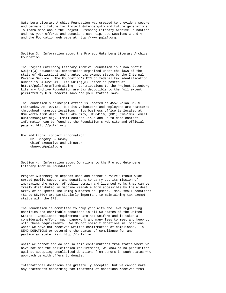Gutenberg Literary Archive Foundation was created to provide a secure and permanent future for Project Gutenberg-tm and future generations. To learn more about the Project Gutenberg Literary Archive Foundation and how your efforts and donations can help, see Sections 3 and 4 and the Foundation web page at http://www.pglaf.org.

Section 3. Information about the Project Gutenberg Literary Archive Foundation

The Project Gutenberg Literary Archive Foundation is a non profit  $501(c)(3)$  educational corporation organized under the laws of the state of Mississippi and granted tax exempt status by the Internal Revenue Service. The Foundation's EIN or federal tax identification number is  $64-6221541$ . Its  $501(c)(3)$  letter is posted at http://pglaf.org/fundraising. Contributions to the Project Gutenberg Literary Archive Foundation are tax deductible to the full extent permitted by U.S. federal laws and your state's laws.

The Foundation's principal office is located at 4557 Melan Dr. S. Fairbanks, AK, 99712., but its volunteers and employees are scattered throughout numerous locations. Its business office is located at 809 North 1500 West, Salt Lake City, UT 84116, (801) 596-1887, email business@pglaf.org. Email contact links and up to date contact information can be found at the Foundation's web site and official page at http://pglaf.org

For additional contact information: Dr. Gregory B. Newby Chief Executive and Director gbnewby@pglaf.org

Section 4. Information about Donations to the Project Gutenberg Literary Archive Foundation

Project Gutenberg-tm depends upon and cannot survive without wide spread public support and donations to carry out its mission of increasing the number of public domain and licensed works that can be freely distributed in machine readable form accessible by the widest array of equipment including outdated equipment. Many small donations (\$1 to \$5,000) are particularly important to maintaining tax exempt status with the IRS.

The Foundation is committed to complying with the laws regulating charities and charitable donations in all 50 states of the United States. Compliance requirements are not uniform and it takes a considerable effort, much paperwork and many fees to meet and keep up with these requirements. We do not solicit donations in locations where we have not received written confirmation of compliance. To SEND DONATIONS or determine the status of compliance for any particular state visit http://pglaf.org

While we cannot and do not solicit contributions from states where we have not met the solicitation requirements, we know of no prohibition against accepting unsolicited donations from donors in such states who approach us with offers to donate.

International donations are gratefully accepted, but we cannot make any statements concerning tax treatment of donations received from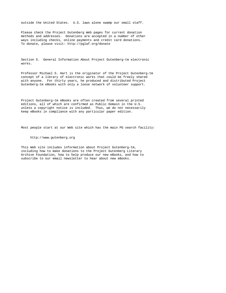outside the United States. U.S. laws alone swamp our small staff.

Please check the Project Gutenberg Web pages for current donation methods and addresses. Donations are accepted in a number of other ways including checks, online payments and credit card donations. To donate, please visit: http://pglaf.org/donate

Section 5. General Information About Project Gutenberg-tm electronic works.

Professor Michael S. Hart is the originator of the Project Gutenberg-tm concept of a library of electronic works that could be freely shared with anyone. For thirty years, he produced and distributed Project Gutenberg-tm eBooks with only a loose network of volunteer support.

Project Gutenberg-tm eBooks are often created from several printed editions, all of which are confirmed as Public Domain in the U.S. unless a copyright notice is included. Thus, we do not necessarily keep eBooks in compliance with any particular paper edition.

Most people start at our Web site which has the main PG search facility:

#### http://www.gutenberg.org

This Web site includes information about Project Gutenberg-tm, including how to make donations to the Project Gutenberg Literary Archive Foundation, how to help produce our new eBooks, and how to subscribe to our email newsletter to hear about new eBooks.